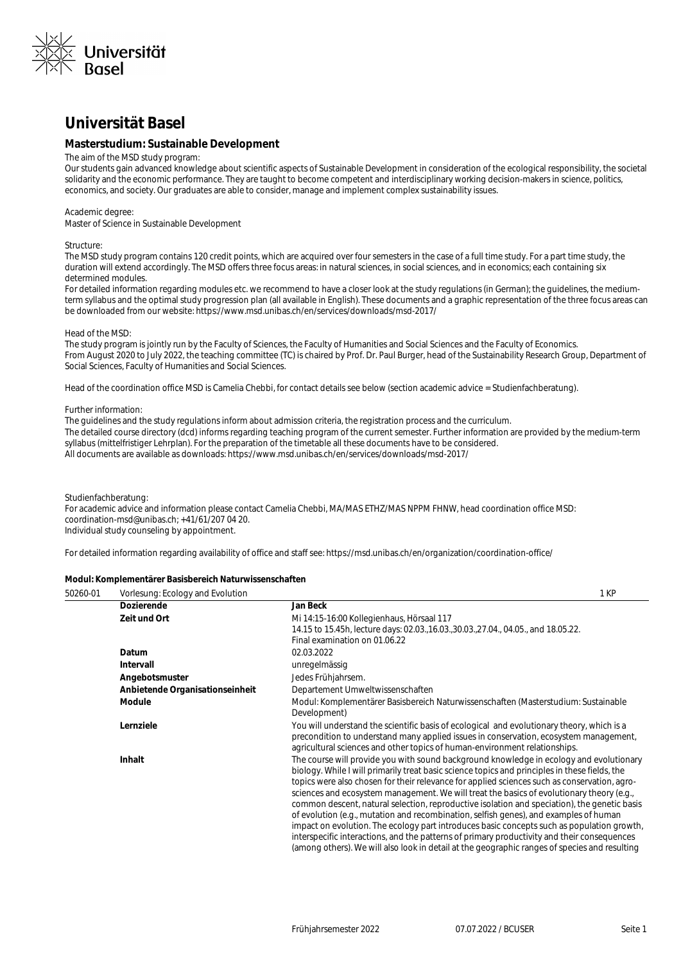

# **Universität Basel**

## **Masterstudium: Sustainable Development**

## The aim of the MSD study program:

Our students gain advanced knowledge about scientific aspects of Sustainable Development in consideration of the ecological responsibility, the societal solidarity and the economic performance. They are taught to become competent and interdisciplinary working decision-makers in science, politics, economics, and society. Our graduates are able to consider, manage and implement complex sustainability issues.

#### Academic degree:

Master of Science in Sustainable Development

### Structure:

The MSD study program contains 120 credit points, which are acquired over four semesters in the case of a full time study. For a part time study, the duration will extend accordingly. The MSD offers three focus areas: in natural sciences, in social sciences, and in economics; each containing six determined modules.

For detailed information regarding modules etc. we recommend to have a closer look at the study regulations (in German); the quidelines, the mediumterm syllabus and the optimal study progression plan (all available in English). These documents and a graphic representation of the three focus areas can be downloaded from our website: https://www.msd.unibas.ch/en/services/downloads/msd-2017/

#### Head of the MSD:

The study program is jointly run by the Faculty of Sciences, the Faculty of Humanities and Social Sciences and the Faculty of Economics. From August 2020 to July 2022, the teaching committee (TC) is chaired by Prof. Dr. Paul Burger, head of the Sustainability Research Group, Department of Social Sciences, Faculty of Humanities and Social Sciences.

Head of the coordination office MSD is Camelia Chebbi, for contact details see below (section academic advice = Studienfachberatung).

#### Further information:

The guidelines and the study regulations inform about admission criteria, the registration process and the curriculum. The detailed course directory (dcd) informs regarding teaching program of the current semester. Further information are provided by the medium-term syllabus (mittelfristiger Lehrplan). For the preparation of the timetable all these documents have to be considered. All documents are available as downloads: https://www.msd.unibas.ch/en/services/downloads/msd-2017/

### Studienfachberatung:

For academic advice and information please contact Camelia Chebbi, MA/MAS ETHZ/MAS NPPM FHNW, head coordination office MSD: coordination-msd@unibas.ch; +41/61/207 04 20. Individual study counseling by appointment.

For detailed information regarding availability of office and staff see: https://msd.unibas.ch/en/organization/coordination-office/

### **Modul: Komplementärer Basisbereich Naturwissenschaften**

| 50260-01 | Vorlesung: Ecology and Evolution | 1 KP                                                                                           |
|----------|----------------------------------|------------------------------------------------------------------------------------------------|
|          | <b>Dozierende</b>                | Jan Beck                                                                                       |
|          | Zeit und Ort                     | Mi 14:15-16:00 Kollegienhaus, Hörsaal 117                                                      |
|          |                                  | 14.15 to 15.45h, lecture days: 02.03., 16.03., 30.03., 27.04., 04.05., and 18.05.22.           |
|          |                                  | Final examination on 01.06.22                                                                  |
|          | Datum                            | 02.03.2022                                                                                     |
|          | <b>Intervall</b>                 | unregelmässig                                                                                  |
|          | Angebotsmuster                   | Jedes Frühjahrsem.                                                                             |
|          | Anbietende Organisationseinheit  | Departement Umweltwissenschaften                                                               |
|          | <b>Module</b>                    | Modul: Komplementärer Basisbereich Naturwissenschaften (Masterstudium: Sustainable             |
|          |                                  | Development)                                                                                   |
|          | Lernziele                        | You will understand the scientific basis of ecological and evolutionary theory, which is a     |
|          |                                  | precondition to understand many applied issues in conservation, ecosystem management,          |
|          |                                  | agricultural sciences and other topics of human-environment relationships.                     |
|          | Inhalt                           | The course will provide you with sound background knowledge in ecology and evolutionary        |
|          |                                  | biology. While I will primarily treat basic science topics and principles in these fields, the |
|          |                                  | topics were also chosen for their relevance for applied sciences such as conservation, agro-   |
|          |                                  | sciences and ecosystem management. We will treat the basics of evolutionary theory (e.g.,      |
|          |                                  | common descent, natural selection, reproductive isolation and speciation), the genetic basis   |
|          |                                  | of evolution (e.g., mutation and recombination, selfish genes), and examples of human          |
|          |                                  | impact on evolution. The ecology part introduces basic concepts such as population growth,     |
|          |                                  | interspecific interactions, and the patterns of primary productivity and their consequences    |
|          |                                  | (among others). We will also look in detail at the geographic ranges of species and resulting  |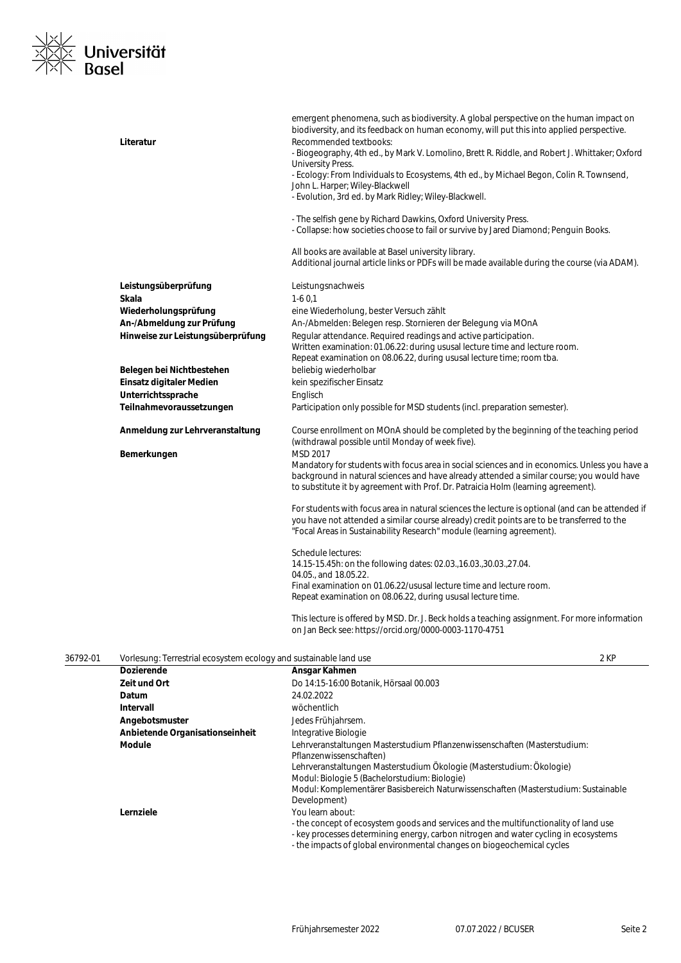

|          | Literatur                                                         | emergent phenomena, such as biodiversity. A global perspective on the human impact on<br>biodiversity, and its feedback on human economy, will put this into applied perspective.<br>Recommended textbooks:<br>- Biogeography, 4th ed., by Mark V. Lomolino, Brett R. Riddle, and Robert J. Whittaker; Oxford<br>University Press.<br>- Ecology: From Individuals to Ecosystems, 4th ed., by Michael Begon, Colin R. Townsend,<br>John L. Harper; Wiley-Blackwell<br>- Evolution, 3rd ed. by Mark Ridley; Wiley-Blackwell.<br>- The selfish gene by Richard Dawkins, Oxford University Press. |      |
|----------|-------------------------------------------------------------------|-----------------------------------------------------------------------------------------------------------------------------------------------------------------------------------------------------------------------------------------------------------------------------------------------------------------------------------------------------------------------------------------------------------------------------------------------------------------------------------------------------------------------------------------------------------------------------------------------|------|
|          |                                                                   | - Collapse: how societies choose to fail or survive by Jared Diamond; Penguin Books.                                                                                                                                                                                                                                                                                                                                                                                                                                                                                                          |      |
|          |                                                                   | All books are available at Basel university library.<br>Additional journal article links or PDFs will be made available during the course (via ADAM).                                                                                                                                                                                                                                                                                                                                                                                                                                         |      |
|          | Leistungsüberprüfung                                              | Leistungsnachweis                                                                                                                                                                                                                                                                                                                                                                                                                                                                                                                                                                             |      |
|          | Skala                                                             | $1-60,1$                                                                                                                                                                                                                                                                                                                                                                                                                                                                                                                                                                                      |      |
|          | Wiederholungsprüfung                                              | eine Wiederholung, bester Versuch zählt                                                                                                                                                                                                                                                                                                                                                                                                                                                                                                                                                       |      |
|          | An-/Abmeldung zur Prüfung                                         | An-/Abmelden: Belegen resp. Stornieren der Belegung via MOnA                                                                                                                                                                                                                                                                                                                                                                                                                                                                                                                                  |      |
|          | Hinweise zur Leistungsüberprüfung                                 | Regular attendance. Required readings and active participation.<br>Written examination: 01.06.22: during ususal lecture time and lecture room.                                                                                                                                                                                                                                                                                                                                                                                                                                                |      |
|          |                                                                   | Repeat examination on 08.06.22, during ususal lecture time; room tba.                                                                                                                                                                                                                                                                                                                                                                                                                                                                                                                         |      |
|          | Belegen bei Nichtbestehen<br>Einsatz digitaler Medien             | beliebig wiederholbar<br>kein spezifischer Einsatz                                                                                                                                                                                                                                                                                                                                                                                                                                                                                                                                            |      |
|          | Unterrichtssprache                                                | Englisch                                                                                                                                                                                                                                                                                                                                                                                                                                                                                                                                                                                      |      |
|          | Teilnahmevoraussetzungen                                          | Participation only possible for MSD students (incl. preparation semester).                                                                                                                                                                                                                                                                                                                                                                                                                                                                                                                    |      |
|          | Anmeldung zur Lehrveranstaltung                                   | Course enrollment on MOnA should be completed by the beginning of the teaching period                                                                                                                                                                                                                                                                                                                                                                                                                                                                                                         |      |
|          |                                                                   | (withdrawal possible until Monday of week five).                                                                                                                                                                                                                                                                                                                                                                                                                                                                                                                                              |      |
|          | Bemerkungen                                                       | MSD 2017<br>Mandatory for students with focus area in social sciences and in economics. Unless you have a                                                                                                                                                                                                                                                                                                                                                                                                                                                                                     |      |
|          |                                                                   | background in natural sciences and have already attended a similar course; you would have<br>to substitute it by agreement with Prof. Dr. Patraicia Holm (learning agreement).                                                                                                                                                                                                                                                                                                                                                                                                                |      |
|          |                                                                   | For students with focus area in natural sciences the lecture is optional (and can be attended if<br>you have not attended a similar course already) credit points are to be transferred to the<br>"Focal Areas in Sustainability Research" module (learning agreement).                                                                                                                                                                                                                                                                                                                       |      |
|          |                                                                   | Schedule lectures:                                                                                                                                                                                                                                                                                                                                                                                                                                                                                                                                                                            |      |
|          |                                                                   | 14.15-15.45h: on the following dates: 02.03., 16.03., 30.03., 27.04.                                                                                                                                                                                                                                                                                                                                                                                                                                                                                                                          |      |
|          |                                                                   | 04.05., and 18.05.22.                                                                                                                                                                                                                                                                                                                                                                                                                                                                                                                                                                         |      |
|          |                                                                   | Final examination on 01.06.22/ususal lecture time and lecture room.<br>Repeat examination on 08.06.22, during ususal lecture time.                                                                                                                                                                                                                                                                                                                                                                                                                                                            |      |
|          |                                                                   | This lecture is offered by MSD. Dr. J. Beck holds a teaching assignment. For more information<br>on Jan Beck see: https://orcid.org/0000-0003-1170-4751                                                                                                                                                                                                                                                                                                                                                                                                                                       |      |
| 36792-01 | Vorlesung: Terrestrial ecosystem ecology and sustainable land use |                                                                                                                                                                                                                                                                                                                                                                                                                                                                                                                                                                                               | 2 KP |
|          | <b>Dozierende</b>                                                 | Ansgar Kahmen                                                                                                                                                                                                                                                                                                                                                                                                                                                                                                                                                                                 |      |
|          | Zeit und Ort                                                      | Do 14:15-16:00 Botanik, Hörsaal 00.003                                                                                                                                                                                                                                                                                                                                                                                                                                                                                                                                                        |      |
|          | Datum                                                             | 24.02.2022                                                                                                                                                                                                                                                                                                                                                                                                                                                                                                                                                                                    |      |
|          | Intervall                                                         | wöchentlich                                                                                                                                                                                                                                                                                                                                                                                                                                                                                                                                                                                   |      |
|          | Angebotsmuster                                                    | Jedes Frühjahrsem.                                                                                                                                                                                                                                                                                                                                                                                                                                                                                                                                                                            |      |
|          | Anbietende Organisationseinheit                                   | Integrative Biologie                                                                                                                                                                                                                                                                                                                                                                                                                                                                                                                                                                          |      |
|          | <b>Module</b>                                                     | Lehrveranstaltungen Masterstudium Pflanzenwissenschaften (Masterstudium:<br>Pflanzenwissenschaften)                                                                                                                                                                                                                                                                                                                                                                                                                                                                                           |      |
|          |                                                                   | Lehrveranstaltungen Masterstudium Ökologie (Masterstudium: Ökologie)<br>Modul: Biologie 5 (Bachelorstudium: Biologie)                                                                                                                                                                                                                                                                                                                                                                                                                                                                         |      |
|          |                                                                   | Modul: Komplementärer Basisbereich Naturwissenschaften (Masterstudium: Sustainable                                                                                                                                                                                                                                                                                                                                                                                                                                                                                                            |      |
|          | Lernziele                                                         | Development)<br>You learn about:                                                                                                                                                                                                                                                                                                                                                                                                                                                                                                                                                              |      |
|          |                                                                   | - the concept of ecosystem goods and services and the multifunctionality of land use                                                                                                                                                                                                                                                                                                                                                                                                                                                                                                          |      |
|          |                                                                   | - key processes determining energy, carbon nitrogen and water cycling in ecosystems<br>- the impacts of global environmental changes on biogeochemical cycles                                                                                                                                                                                                                                                                                                                                                                                                                                 |      |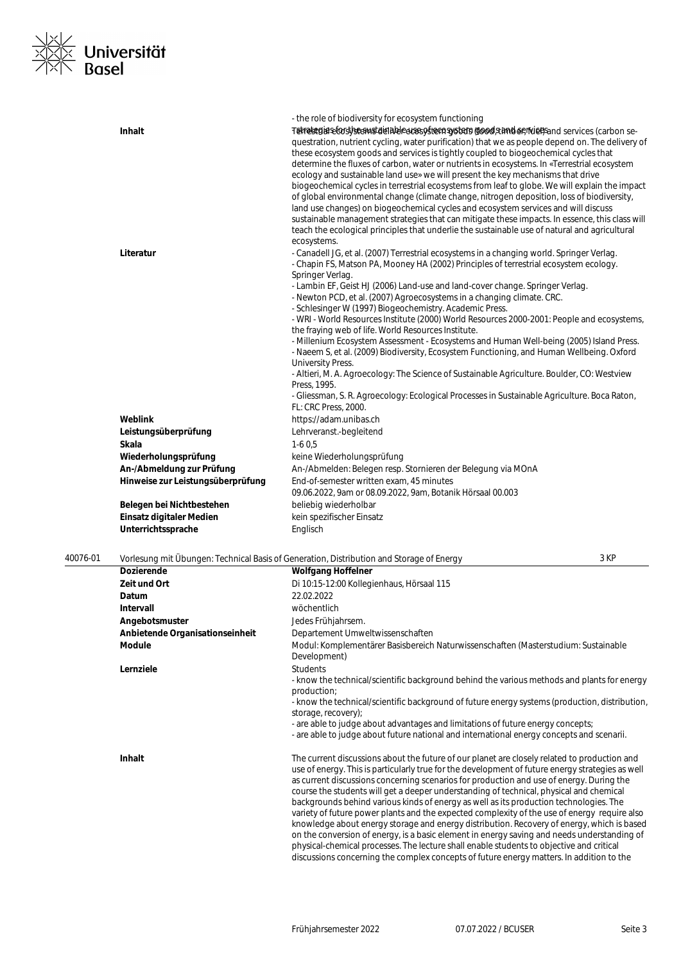

|                                   | - the role of biodiversity for ecosystem functioning                                                                                                                                                                                                                                                                                                                                                                                                                                                                                                                                                                                                                                                                                                                                                                                                                                                                                                                                                                                         |
|-----------------------------------|----------------------------------------------------------------------------------------------------------------------------------------------------------------------------------------------------------------------------------------------------------------------------------------------------------------------------------------------------------------------------------------------------------------------------------------------------------------------------------------------------------------------------------------------------------------------------------------------------------------------------------------------------------------------------------------------------------------------------------------------------------------------------------------------------------------------------------------------------------------------------------------------------------------------------------------------------------------------------------------------------------------------------------------------|
| <b>Inhalt</b>                     | Tetrategiaseforstseemstatenbeecososteensystem (goodstander/ruef)sand services (carbon se-<br>questration, nutrient cycling, water purification) that we as people depend on. The delivery of<br>these ecosystem goods and services is tightly coupled to biogeochemical cycles that<br>determine the fluxes of carbon, water or nutrients in ecosystems. In «Terrestrial ecosystem<br>ecology and sustainable land use» we will present the key mechanisms that drive<br>biogeochemical cycles in terrestrial ecosystems from leaf to globe. We will explain the impact<br>of global environmental change (climate change, nitrogen deposition, loss of biodiversity,<br>land use changes) on biogeochemical cycles and ecosystem services and will discuss<br>sustainable management strategies that can mitigate these impacts. In essence, this class will<br>teach the ecological principles that underlie the sustainable use of natural and agricultural<br>ecosystems.                                                                |
| Literatur                         | - Canadell JG, et al. (2007) Terrestrial ecosystems in a changing world. Springer Verlag.<br>- Chapin FS, Matson PA, Mooney HA (2002) Principles of terrestrial ecosystem ecology.<br>Springer Verlag.<br>- Lambin EF, Geist HJ (2006) Land-use and land-cover change. Springer Verlag.<br>- Newton PCD, et al. (2007) Agroecosystems in a changing climate. CRC.<br>- Schlesinger W (1997) Biogeochemistry. Academic Press.<br>- WRI - World Resources Institute (2000) World Resources 2000-2001: People and ecosystems,<br>the fraying web of life. World Resources Institute.<br>- Millenium Ecosystem Assessment - Ecosystems and Human Well-being (2005) Island Press.<br>- Naeem S, et al. (2009) Biodiversity, Ecosystem Functioning, and Human Wellbeing. Oxford<br><b>University Press.</b><br>- Altieri, M. A. Agroecology: The Science of Sustainable Agriculture. Boulder, CO: Westview<br>Press, 1995.<br>- Gliessman, S. R. Agroecology: Ecological Processes in Sustainable Agriculture. Boca Raton,<br>FL: CRC Press, 2000. |
| Weblink                           | https://adam.unibas.ch                                                                                                                                                                                                                                                                                                                                                                                                                                                                                                                                                                                                                                                                                                                                                                                                                                                                                                                                                                                                                       |
| Leistungsüberprüfung              | Lehrveranst.-begleitend                                                                                                                                                                                                                                                                                                                                                                                                                                                                                                                                                                                                                                                                                                                                                                                                                                                                                                                                                                                                                      |
| <b>Skala</b>                      | $1-60,5$                                                                                                                                                                                                                                                                                                                                                                                                                                                                                                                                                                                                                                                                                                                                                                                                                                                                                                                                                                                                                                     |
| Wiederholungsprüfung              | keine Wiederholungsprüfung                                                                                                                                                                                                                                                                                                                                                                                                                                                                                                                                                                                                                                                                                                                                                                                                                                                                                                                                                                                                                   |
| An-/Abmeldung zur Prüfung         | An-/Abmelden: Belegen resp. Stornieren der Belegung via MOnA                                                                                                                                                                                                                                                                                                                                                                                                                                                                                                                                                                                                                                                                                                                                                                                                                                                                                                                                                                                 |
| Hinweise zur Leistungsüberprüfung | End-of-semester written exam, 45 minutes<br>09.06.2022, 9am or 08.09.2022, 9am, Botanik Hörsaal 00.003                                                                                                                                                                                                                                                                                                                                                                                                                                                                                                                                                                                                                                                                                                                                                                                                                                                                                                                                       |
| Belegen bei Nichtbestehen         | beliebig wiederholbar                                                                                                                                                                                                                                                                                                                                                                                                                                                                                                                                                                                                                                                                                                                                                                                                                                                                                                                                                                                                                        |
| Einsatz digitaler Medien          | kein spezifischer Einsatz                                                                                                                                                                                                                                                                                                                                                                                                                                                                                                                                                                                                                                                                                                                                                                                                                                                                                                                                                                                                                    |
| Unterrichtssprache                | Englisch                                                                                                                                                                                                                                                                                                                                                                                                                                                                                                                                                                                                                                                                                                                                                                                                                                                                                                                                                                                                                                     |
|                                   |                                                                                                                                                                                                                                                                                                                                                                                                                                                                                                                                                                                                                                                                                                                                                                                                                                                                                                                                                                                                                                              |

| 40076-01 |                                 | Vorlesung mit Übungen: Technical Basis of Generation, Distribution and Storage of Energy                                                                                                                                                                                                                                                                                                                                                                                                                                                                                                                                                                                                                                                                                       | 3 KP |
|----------|---------------------------------|--------------------------------------------------------------------------------------------------------------------------------------------------------------------------------------------------------------------------------------------------------------------------------------------------------------------------------------------------------------------------------------------------------------------------------------------------------------------------------------------------------------------------------------------------------------------------------------------------------------------------------------------------------------------------------------------------------------------------------------------------------------------------------|------|
|          | <b>Dozierende</b>               | <b>Wolfgang Hoffelner</b>                                                                                                                                                                                                                                                                                                                                                                                                                                                                                                                                                                                                                                                                                                                                                      |      |
|          | Zeit und Ort                    | Di 10:15-12:00 Kollegienhaus, Hörsaal 115                                                                                                                                                                                                                                                                                                                                                                                                                                                                                                                                                                                                                                                                                                                                      |      |
|          | Datum                           | 22.02.2022                                                                                                                                                                                                                                                                                                                                                                                                                                                                                                                                                                                                                                                                                                                                                                     |      |
|          | <b>Intervall</b>                | wöchentlich                                                                                                                                                                                                                                                                                                                                                                                                                                                                                                                                                                                                                                                                                                                                                                    |      |
|          | Angebotsmuster                  | Jedes Frühjahrsem.                                                                                                                                                                                                                                                                                                                                                                                                                                                                                                                                                                                                                                                                                                                                                             |      |
|          | Anbietende Organisationseinheit | Departement Umweltwissenschaften                                                                                                                                                                                                                                                                                                                                                                                                                                                                                                                                                                                                                                                                                                                                               |      |
|          | <b>Module</b>                   | Modul: Komplementärer Basisbereich Naturwissenschaften (Masterstudium: Sustainable<br>Development)                                                                                                                                                                                                                                                                                                                                                                                                                                                                                                                                                                                                                                                                             |      |
|          | Lernziele                       | <b>Students</b><br>- know the technical/scientific background behind the various methods and plants for energy<br>production;<br>- know the technical/scientific background of future energy systems (production, distribution,<br>storage, recovery);<br>- are able to judge about advantages and limitations of future energy concepts;<br>- are able to judge about future national and international energy concepts and scenarii.                                                                                                                                                                                                                                                                                                                                         |      |
|          | Inhalt                          | The current discussions about the future of our planet are closely related to production and<br>use of energy. This is particularly true for the development of future energy strategies as well<br>as current discussions concerning scenarios for production and use of energy. During the<br>course the students will get a deeper understanding of technical, physical and chemical<br>backgrounds behind various kinds of energy as well as its production technologies. The<br>variety of future power plants and the expected complexity of the use of energy require also<br>knowledge about energy storage and energy distribution. Recovery of energy, which is based<br>on the conversion of energy, is a basic element in energy saving and needs understanding of |      |

physical-chemical processes. The lecture shall enable students to objective and critical discussions concerning the complex concepts of future energy matters. In addition to the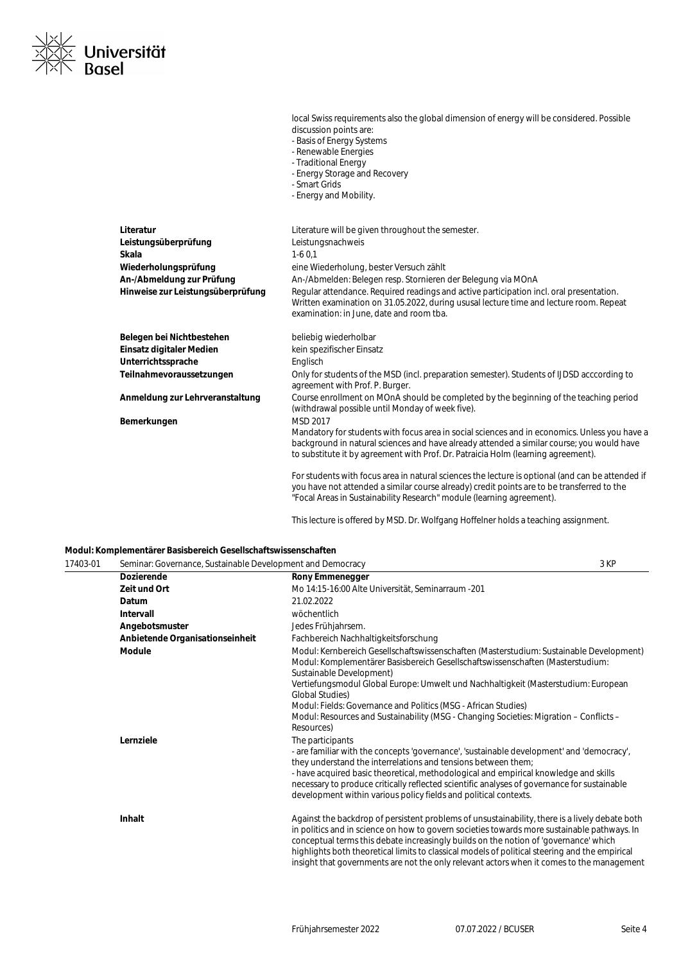

|                                   | discussion points are:<br>- Basis of Energy Systems<br>- Renewable Energies<br>- Traditional Energy<br>- Energy Storage and Recovery<br>- Smart Grids<br>- Energy and Mobility.                                                                                                             |
|-----------------------------------|---------------------------------------------------------------------------------------------------------------------------------------------------------------------------------------------------------------------------------------------------------------------------------------------|
| Literatur                         | Literature will be given throughout the semester.                                                                                                                                                                                                                                           |
| Leistungsüberprüfung              | Leistungsnachweis                                                                                                                                                                                                                                                                           |
| Skala                             | $1-60.1$                                                                                                                                                                                                                                                                                    |
| Wiederholungsprüfung              | eine Wiederholung, bester Versuch zählt                                                                                                                                                                                                                                                     |
| An-/Abmeldung zur Prüfung         | An-/Abmelden: Belegen resp. Stornieren der Belegung via MOnA                                                                                                                                                                                                                                |
| Hinweise zur Leistungsüberprüfung | Regular attendance. Required readings and active participation incl. oral presentation.<br>Written examination on 31.05.2022, during ususal lecture time and lecture room. Repeat<br>examination: in June, date and room tba.                                                               |
| Belegen bei Nichtbestehen         | beliebig wiederholbar                                                                                                                                                                                                                                                                       |
| Einsatz digitaler Medien          | kein spezifischer Einsatz                                                                                                                                                                                                                                                                   |
| Unterrichtssprache                | Englisch                                                                                                                                                                                                                                                                                    |
| Teilnahmevoraussetzungen          | Only for students of the MSD (incl. preparation semester). Students of IJDSD acccording to<br>agreement with Prof. P. Burger.                                                                                                                                                               |
| Anmeldung zur Lehrveranstaltung   | Course enrollment on MOnA should be completed by the beginning of the teaching period<br>(withdrawal possible until Monday of week five).                                                                                                                                                   |
| Bemerkungen                       | MSD 2017<br>Mandatory for students with focus area in social sciences and in economics. Unless you have a<br>background in natural sciences and have already attended a similar course; you would have<br>to substitute it by agreement with Prof. Dr. Patraicia Holm (learning agreement). |
|                                   | For students with focus area in natural sciences the lecture is optional (and can be attended if<br>you have not attended a similar course already) credit points are to be transferred to the<br>"Focal Areas in Sustainability Research" module (learning agreement).                     |

This lecture is offered by MSD. Dr. Wolfgang Hoffelner holds a teaching assignment.

local Swiss requirements also the global dimension of energy will be considered. Possible

## **Modul: Komplementärer Basisbereich Gesellschaftswissenschaften**

| 17403-01 | Seminar: Governance, Sustainable Development and Democracy |                                                                                                                                                                                                                                                                                                                                                                                                                                                                                      | 3 KP |
|----------|------------------------------------------------------------|--------------------------------------------------------------------------------------------------------------------------------------------------------------------------------------------------------------------------------------------------------------------------------------------------------------------------------------------------------------------------------------------------------------------------------------------------------------------------------------|------|
|          | <b>Dozierende</b>                                          | <b>Rony Emmenegger</b>                                                                                                                                                                                                                                                                                                                                                                                                                                                               |      |
|          | Zeit und Ort                                               | Mo 14:15-16:00 Alte Universität, Seminarraum -201                                                                                                                                                                                                                                                                                                                                                                                                                                    |      |
|          | Datum                                                      | 21.02.2022                                                                                                                                                                                                                                                                                                                                                                                                                                                                           |      |
|          | Intervall                                                  | wöchentlich                                                                                                                                                                                                                                                                                                                                                                                                                                                                          |      |
|          | Angebotsmuster                                             | Jedes Frühjahrsem.                                                                                                                                                                                                                                                                                                                                                                                                                                                                   |      |
|          | Anbietende Organisationseinheit                            | Fachbereich Nachhaltigkeitsforschung                                                                                                                                                                                                                                                                                                                                                                                                                                                 |      |
|          | <b>Module</b>                                              | Modul: Kernbereich Gesellschaftswissenschaften (Masterstudium: Sustainable Development)<br>Modul: Komplementärer Basisbereich Gesellschaftswissenschaften (Masterstudium:<br>Sustainable Development)                                                                                                                                                                                                                                                                                |      |
|          |                                                            | Vertiefungsmodul Global Europe: Umwelt und Nachhaltigkeit (Masterstudium: European<br><b>Global Studies)</b>                                                                                                                                                                                                                                                                                                                                                                         |      |
|          |                                                            | Modul: Fields: Governance and Politics (MSG - African Studies)                                                                                                                                                                                                                                                                                                                                                                                                                       |      |
|          |                                                            | Modul: Resources and Sustainability (MSG - Changing Societies: Migration - Conflicts -<br>Resources)                                                                                                                                                                                                                                                                                                                                                                                 |      |
|          | Lernziele                                                  | The participants                                                                                                                                                                                                                                                                                                                                                                                                                                                                     |      |
|          |                                                            | - are familiar with the concepts 'governance', 'sustainable development' and 'democracy',<br>they understand the interrelations and tensions between them;                                                                                                                                                                                                                                                                                                                           |      |
|          |                                                            | - have acquired basic theoretical, methodological and empirical knowledge and skills<br>necessary to produce critically reflected scientific analyses of governance for sustainable<br>development within various policy fields and political contexts.                                                                                                                                                                                                                              |      |
|          | Inhalt                                                     | Against the backdrop of persistent problems of unsustainability, there is a lively debate both<br>in politics and in science on how to govern societies towards more sustainable pathways. In<br>conceptual terms this debate increasingly builds on the notion of 'governance' which<br>highlights both theoretical limits to classical models of political steering and the empirical<br>insight that governments are not the only relevant actors when it comes to the management |      |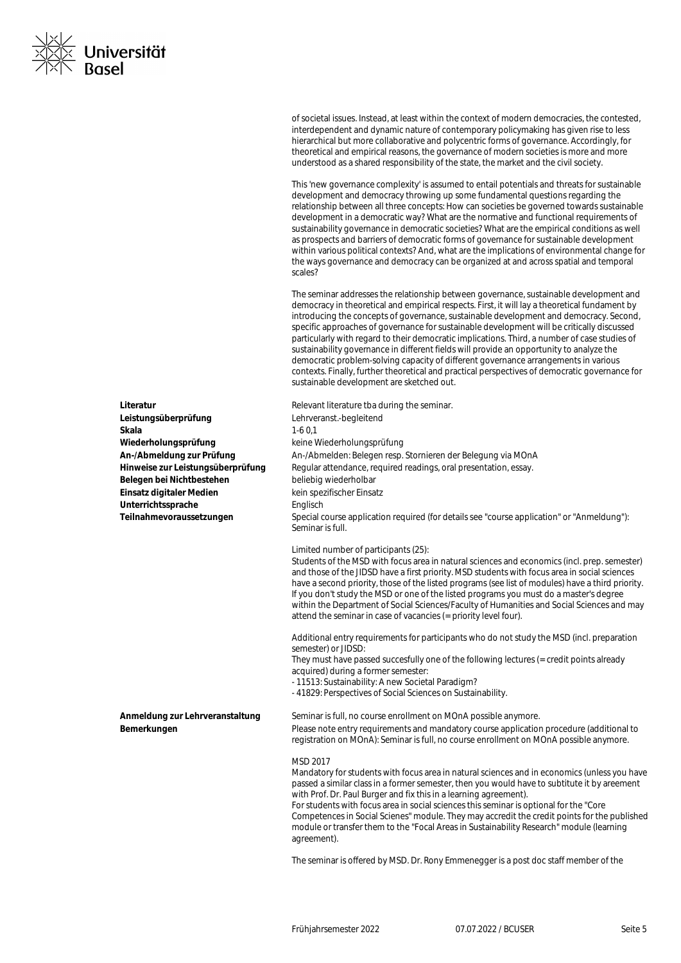

of societal issues. Instead, at least within the context of modern democracies, the contested, interdependent and dynamic nature of contemporary policymaking has given rise to less hierarchical but more collaborative and polycentric forms of governance. Accordingly, for theoretical and empirical reasons, the governance of modern societies is more and more understood as a shared responsibility of the state, the market and the civil society.

This 'new governance complexity' is assumed to entail potentials and threats for sustainable development and democracy throwing up some fundamental questions regarding the relationship between all three concepts: How can societies be governed towards sustainable development in a democratic way? What are the normative and functional requirements of sustainability governance in democratic societies? What are the empirical conditions as well as prospects and barriers of democratic forms of governance for sustainable development within various political contexts? And, what are the implications of environmental change for the ways governance and democracy can be organized at and across spatial and temporal scales?

The seminar addresses the relationship between governance, sustainable development and democracy in theoretical and empirical respects. First, it will lay a theoretical fundament by introducing the concepts of governance, sustainable development and democracy. Second, specific approaches of governance for sustainable development will be critically discussed particularly with regard to their democratic implications. Third, a number of case studies of sustainability governance in different fields will provide an opportunity to analyze the democratic problem-solving capacity of different governance arrangements in various contexts. Finally, further theoretical and practical perspectives of democratic governance for sustainable development are sketched out.

**Literatur Literatur** Relevant literature tba during the seminar. Lehrveranst.-begleitend **Skala** 1-6 0,1 **Wiederholungsprüfung** keine Wiederholungsprüfung An-/Abmelden: Belegen resp. Stornieren der Belegung via MOnA Regular attendance, required readings, oral presentation, essay. beliebig wiederholbar **Einsatz digitaler Medien** kein spezifischer Einsatz **Englisch** Special course application required (for details see "course application" or "Anmeldung"): Seminar is full. Limited number of participants (25): Students of the MSD with focus area in natural sciences and economics (incl. prep. semester) and those of the JIDSD have a first priority. MSD students with focus area in social sciences have a second priority, those of the listed programs (see list of modules) have a third priority. If you don't study the MSD or one of the listed programs you must do a master's degree within the Department of Social Sciences/Faculty of Humanities and Social Sciences and may attend the seminar in case of vacancies (= priority level four). Additional entry requirements for participants who do not study the MSD (incl. preparation semester) or JIDSD: They must have passed succesfully one of the following lectures (= credit points already acquired) during a former semester: - 11513: Sustainability: A new Societal Paradigm? - 41829: Perspectives of Social Sciences on Sustainability. **Anmeldung zur Lehrveranstaltung** Seminar is full, no course enrollment on MOnA possible anymore. **Bemerkungen** Please note entry requirements and mandatory course application procedure (additional to registration on MOnA): Seminar is full, no course enrollment on MOnA possible anymore. MSD 2017 Mandatory for students with focus area in natural sciences and in economics (unless you have passed a similar class in a former semester, then you would have to subtitute it by areement with Prof. Dr. Paul Burger and fix this in a learning agreement). For students with focus area in social sciences this seminar is optional for the "Core

Competences in Social Scienes" module. They may accredit the credit points for the published module or transfer them to the "Focal Areas in Sustainability Research" module (learning agreement).

The seminar is offered by MSD. Dr. Rony Emmenegger is a post doc staff member of the

| Leistungsüberprüfung              |
|-----------------------------------|
| Skala                             |
| Wiederholungsprüfung              |
| An-/Abmeldung zur Prüfung         |
| Hinweise zur Leistungsüberprüfung |
| Belegen bei Nichtbestehen         |
| Einsatz digitaler Medien          |
| Unterrichtssprache                |
| Teilnahmevoraussetzungen          |
|                                   |
|                                   |
|                                   |
|                                   |
|                                   |
|                                   |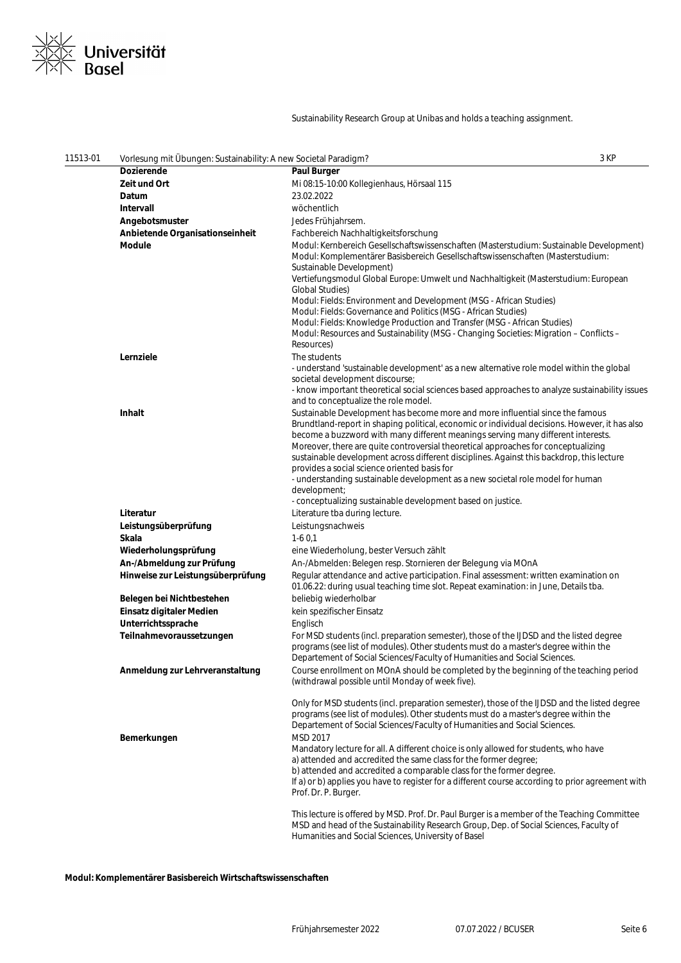

## Sustainability Research Group at Unibas and holds a teaching assignment.

| 11513-01 | Vorlesung mit Übungen: Sustainability: A new Societal Paradigm? |                                                                                                                                                                                                                                                                                                                                                                                                                                                        | 3 KP |
|----------|-----------------------------------------------------------------|--------------------------------------------------------------------------------------------------------------------------------------------------------------------------------------------------------------------------------------------------------------------------------------------------------------------------------------------------------------------------------------------------------------------------------------------------------|------|
|          | <b>Dozierende</b>                                               | <b>Paul Burger</b>                                                                                                                                                                                                                                                                                                                                                                                                                                     |      |
|          | Zeit und Ort                                                    | Mi 08:15-10:00 Kollegienhaus, Hörsaal 115                                                                                                                                                                                                                                                                                                                                                                                                              |      |
|          | Datum                                                           | 23.02.2022                                                                                                                                                                                                                                                                                                                                                                                                                                             |      |
|          | Intervall                                                       | wöchentlich                                                                                                                                                                                                                                                                                                                                                                                                                                            |      |
|          | Angebotsmuster                                                  | Jedes Frühjahrsem.                                                                                                                                                                                                                                                                                                                                                                                                                                     |      |
|          | Anbietende Organisationseinheit                                 | Fachbereich Nachhaltigkeitsforschung                                                                                                                                                                                                                                                                                                                                                                                                                   |      |
|          | <b>Module</b>                                                   | Modul: Kernbereich Gesellschaftswissenschaften (Masterstudium: Sustainable Development)<br>Modul: Komplementärer Basisbereich Gesellschaftswissenschaften (Masterstudium:<br>Sustainable Development)                                                                                                                                                                                                                                                  |      |
|          |                                                                 | Vertiefungsmodul Global Europe: Umwelt und Nachhaltigkeit (Masterstudium: European<br>Global Studies)<br>Modul: Fields: Environment and Development (MSG - African Studies)                                                                                                                                                                                                                                                                            |      |
|          |                                                                 | Modul: Fields: Governance and Politics (MSG - African Studies)                                                                                                                                                                                                                                                                                                                                                                                         |      |
|          |                                                                 | Modul: Fields: Knowledge Production and Transfer (MSG - African Studies)                                                                                                                                                                                                                                                                                                                                                                               |      |
|          |                                                                 | Modul: Resources and Sustainability (MSG - Changing Societies: Migration - Conflicts -<br>Resources)                                                                                                                                                                                                                                                                                                                                                   |      |
|          | Lernziele                                                       | The students                                                                                                                                                                                                                                                                                                                                                                                                                                           |      |
|          |                                                                 | - understand 'sustainable development' as a new alternative role model within the global<br>societal development discourse;                                                                                                                                                                                                                                                                                                                            |      |
|          |                                                                 | - know important theoretical social sciences based approaches to analyze sustainability issues<br>and to conceptualize the role model.                                                                                                                                                                                                                                                                                                                 |      |
|          | <b>Inhalt</b>                                                   | Sustainable Development has become more and more influential since the famous<br>Brundtland-report in shaping political, economic or individual decisions. However, it has also<br>become a buzzword with many different meanings serving many different interests.<br>Moreover, there are quite controversial theoretical approaches for conceptualizing<br>sustainable development across different disciplines. Against this backdrop, this lecture |      |
|          |                                                                 | provides a social science oriented basis for<br>- understanding sustainable development as a new societal role model for human                                                                                                                                                                                                                                                                                                                         |      |
|          |                                                                 | development;<br>- conceptualizing sustainable development based on justice.                                                                                                                                                                                                                                                                                                                                                                            |      |
|          | Literatur                                                       | Literature tba during lecture.                                                                                                                                                                                                                                                                                                                                                                                                                         |      |
|          | Leistungsüberprüfung                                            | Leistungsnachweis                                                                                                                                                                                                                                                                                                                                                                                                                                      |      |
|          | Skala                                                           | $1-60.1$                                                                                                                                                                                                                                                                                                                                                                                                                                               |      |
|          | Wiederholungsprüfung                                            | eine Wiederholung, bester Versuch zählt                                                                                                                                                                                                                                                                                                                                                                                                                |      |
|          | An-/Abmeldung zur Prüfung                                       | An-/Abmelden: Belegen resp. Stornieren der Belegung via MOnA                                                                                                                                                                                                                                                                                                                                                                                           |      |
|          | Hinweise zur Leistungsüberprüfung                               | Regular attendance and active participation. Final assessment: written examination on<br>01.06.22: during usual teaching time slot. Repeat examination: in June, Details tba.                                                                                                                                                                                                                                                                          |      |
|          | Belegen bei Nichtbestehen                                       | beliebig wiederholbar                                                                                                                                                                                                                                                                                                                                                                                                                                  |      |
|          | Einsatz digitaler Medien                                        | kein spezifischer Einsatz                                                                                                                                                                                                                                                                                                                                                                                                                              |      |
|          | Unterrichtssprache                                              | Englisch                                                                                                                                                                                                                                                                                                                                                                                                                                               |      |
|          | Teilnahmevoraussetzungen                                        | For MSD students (incl. preparation semester), those of the IJDSD and the listed degree<br>programs (see list of modules). Other students must do a master's degree within the<br>Departement of Social Sciences/Faculty of Humanities and Social Sciences.                                                                                                                                                                                            |      |
|          | Anmeldung zur Lehrveranstaltung                                 | Course enrollment on MOnA should be completed by the beginning of the teaching period<br>(withdrawal possible until Monday of week five).                                                                                                                                                                                                                                                                                                              |      |
|          | Bemerkungen                                                     | Only for MSD students (incl. preparation semester), those of the IJDSD and the listed degree<br>programs (see list of modules). Other students must do a master's degree within the<br>Departement of Social Sciences/Faculty of Humanities and Social Sciences.<br>MSD 2017                                                                                                                                                                           |      |
|          |                                                                 | Mandatory lecture for all. A different choice is only allowed for students, who have<br>a) attended and accredited the same class for the former degree;<br>b) attended and accredited a comparable class for the former degree.                                                                                                                                                                                                                       |      |
|          |                                                                 | If a) or b) applies you have to register for a different course according to prior agreement with<br>Prof. Dr. P. Burger.                                                                                                                                                                                                                                                                                                                              |      |
|          |                                                                 | This lecture is offered by MSD. Prof. Dr. Paul Burger is a member of the Teaching Committee<br>MSD and head of the Sustainability Research Group, Dep. of Social Sciences, Faculty of<br>Humanities and Social Sciences, University of Basel                                                                                                                                                                                                           |      |

**Modul: Komplementärer Basisbereich Wirtschaftswissenschaften**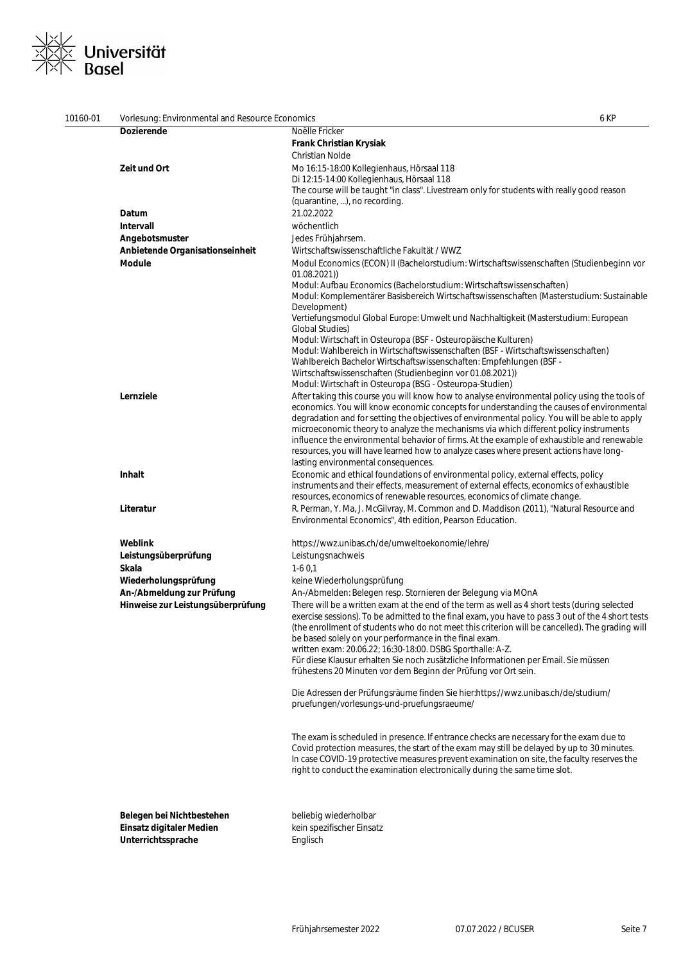# <u>×∨</u><br>⊠≍ Universität<br>×∖ Basel  $\frac{1}{2}$

| 10160-01 | Vorlesung: Environmental and Resource Economics | 6 KP                                                                                              |
|----------|-------------------------------------------------|---------------------------------------------------------------------------------------------------|
|          | Dozierende                                      | Noëlle Fricker                                                                                    |
|          |                                                 | <b>Frank Christian Krysiak</b>                                                                    |
|          |                                                 | Christian Nolde                                                                                   |
|          | Zeit und Ort                                    | Mo 16:15-18:00 Kollegienhaus, Hörsaal 118                                                         |
|          |                                                 | Di 12:15-14:00 Kollegienhaus, Hörsaal 118                                                         |
|          |                                                 | The course will be taught "in class". Livestream only for students with really good reason        |
|          |                                                 | (quarantine, ), no recording.                                                                     |
|          | Datum                                           | 21.02.2022                                                                                        |
|          | Intervall                                       |                                                                                                   |
|          |                                                 | wöchentlich                                                                                       |
|          | Angebotsmuster                                  | Jedes Frühjahrsem.                                                                                |
|          | Anbietende Organisationseinheit                 | Wirtschaftswissenschaftliche Fakultät / WWZ                                                       |
|          | Module                                          | Modul Economics (ECON) II (Bachelorstudium: Wirtschaftswissenschaften (Studienbeginn vor          |
|          |                                                 | 01.08.2021)                                                                                       |
|          |                                                 | Modul: Aufbau Economics (Bachelorstudium: Wirtschaftswissenschaften)                              |
|          |                                                 | Modul: Komplementärer Basisbereich Wirtschaftswissenschaften (Masterstudium: Sustainable          |
|          |                                                 | Development)                                                                                      |
|          |                                                 | Vertiefungsmodul Global Europe: Umwelt und Nachhaltigkeit (Masterstudium: European                |
|          |                                                 | <b>Global Studies)</b>                                                                            |
|          |                                                 | Modul: Wirtschaft in Osteuropa (BSF - Osteuropäische Kulturen)                                    |
|          |                                                 | Modul: Wahlbereich in Wirtschaftswissenschaften (BSF - Wirtschaftswissenschaften)                 |
|          |                                                 | Wahlbereich Bachelor Wirtschaftswissenschaften: Empfehlungen (BSF -                               |
|          |                                                 | Wirtschaftswissenschaften (Studienbeginn vor 01.08.2021))                                         |
|          |                                                 | Modul: Wirtschaft in Osteuropa (BSG - Osteuropa-Studien)                                          |
|          | Lernziele                                       | After taking this course you will know how to analyse environmental policy using the tools of     |
|          |                                                 | economics. You will know economic concepts for understanding the causes of environmental          |
|          |                                                 | degradation and for setting the objectives of environmental policy. You will be able to apply     |
|          |                                                 | microeconomic theory to analyze the mechanisms via which different policy instruments             |
|          |                                                 | influence the environmental behavior of firms. At the example of exhaustible and renewable        |
|          |                                                 | resources, you will have learned how to analyze cases where present actions have long-            |
|          |                                                 | lasting environmental consequences.                                                               |
|          | Inhalt                                          | Economic and ethical foundations of environmental policy, external effects, policy                |
|          |                                                 | instruments and their effects, measurement of external effects, economics of exhaustible          |
|          |                                                 | resources, economics of renewable resources, economics of climate change.                         |
|          | Literatur                                       | R. Perman, Y. Ma, J. McGilvray, M. Common and D. Maddison (2011), "Natural Resource and           |
|          |                                                 | Environmental Economics", 4th edition, Pearson Education.                                         |
|          |                                                 |                                                                                                   |
|          | Weblink                                         | https://wwz.unibas.ch/de/umweltoekonomie/lehre/                                                   |
|          | Leistungsüberprüfung                            | Leistungsnachweis                                                                                 |
|          | Skala                                           | $1-60,1$                                                                                          |
|          | Wiederholungsprüfung                            | keine Wiederholungsprüfung                                                                        |
|          | An-/Abmeldung zur Prüfung                       | An-/Abmelden: Belegen resp. Stornieren der Belegung via MOnA                                      |
|          | Hinweise zur Leistungsüberprüfung               | There will be a written exam at the end of the term as well as 4 short tests (during selected     |
|          |                                                 | exercise sessions). To be admitted to the final exam, you have to pass 3 out of the 4 short tests |
|          |                                                 | (the enrollment of students who do not meet this criterion will be cancelled). The grading will   |
|          |                                                 | be based solely on your performance in the final exam.                                            |
|          |                                                 | written exam: 20.06.22; 16:30-18:00. DSBG Sporthalle: A-Z.                                        |
|          |                                                 | Für diese Klausur erhalten Sie noch zusätzliche Informationen per Email. Sie müssen               |
|          |                                                 | frühestens 20 Minuten vor dem Beginn der Prüfung vor Ort sein.                                    |
|          |                                                 |                                                                                                   |
|          |                                                 | Die Adressen der Prüfungsräume finden Sie hier:https://wwz.unibas.ch/de/studium/                  |
|          |                                                 | pruefungen/vorlesungs-und-pruefungsraeume/                                                        |
|          |                                                 |                                                                                                   |
|          |                                                 |                                                                                                   |
|          |                                                 | The exam is scheduled in presence. If entrance checks are necessary for the exam due to           |
|          |                                                 | Covid protection measures, the start of the exam may still be delayed by up to 30 minutes.        |
|          |                                                 | In case COVID-19 protective measures prevent examination on site, the faculty reserves the        |
|          |                                                 | right to conduct the examination electronically during the same time slot.                        |
|          |                                                 |                                                                                                   |
|          |                                                 |                                                                                                   |
|          |                                                 |                                                                                                   |
|          | Belegen bei Nichtbestehen                       | beliebig wiederholbar                                                                             |
|          | Einsatz digitaler Medien                        | kein spezifischer Einsatz                                                                         |
|          | Unterrichtssprache                              | Englisch                                                                                          |
|          |                                                 |                                                                                                   |
|          |                                                 |                                                                                                   |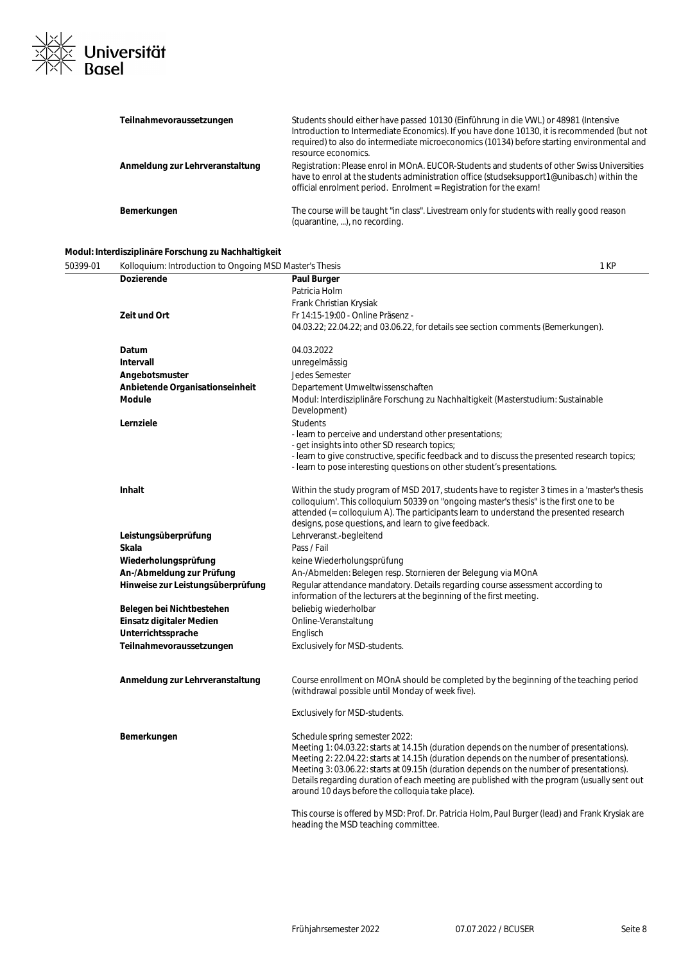

| Teilnahmevoraussetzungen        | Students should either have passed 10130 (Einführung in die VWL) or 48981 (Intensive<br>Introduction to Intermediate Economics). If you have done 10130, it is recommended (but not<br>required) to also do intermediate microeconomics (10134) before starting environmental and<br>resource economics. |
|---------------------------------|----------------------------------------------------------------------------------------------------------------------------------------------------------------------------------------------------------------------------------------------------------------------------------------------------------|
| Anmeldung zur Lehrveranstaltung | Registration: Please enrol in MOnA. EUCOR-Students and students of other Swiss Universities<br>have to enrol at the students administration office (studseksupport1@unibas.ch) within the<br>official enrolment period. Enrolment = Registration for the exam!                                           |
| Bemerkungen                     | The course will be taught "in class". Livestream only for students with really good reason<br>(quarantine, ), no recording.                                                                                                                                                                              |

# **Modul: Interdisziplinäre Forschung zu Nachhaltigkeit**

| 50399-01 | Kolloquium: Introduction to Ongoing MSD Master's Thesis |                                                                                                                                                                                      | 1 KP |
|----------|---------------------------------------------------------|--------------------------------------------------------------------------------------------------------------------------------------------------------------------------------------|------|
|          | <b>Dozierende</b>                                       | Paul Burger                                                                                                                                                                          |      |
|          |                                                         | Patricia Holm                                                                                                                                                                        |      |
|          |                                                         | Frank Christian Krysiak                                                                                                                                                              |      |
|          | Zeit und Ort                                            | Fr 14:15-19:00 - Online Präsenz -                                                                                                                                                    |      |
|          |                                                         | 04.03.22; 22.04.22; and 03.06.22, for details see section comments (Bemerkungen).                                                                                                    |      |
|          | Datum                                                   | 04.03.2022                                                                                                                                                                           |      |
|          | <b>Intervall</b>                                        | unregelmässig                                                                                                                                                                        |      |
|          | Angebotsmuster                                          | Jedes Semester                                                                                                                                                                       |      |
|          | Anbietende Organisationseinheit                         | Departement Umweltwissenschaften                                                                                                                                                     |      |
|          | Module                                                  | Modul: Interdisziplinäre Forschung zu Nachhaltigkeit (Masterstudium: Sustainable<br>Development)                                                                                     |      |
|          | Lernziele                                               | <b>Students</b>                                                                                                                                                                      |      |
|          |                                                         | - learn to perceive and understand other presentations;<br>- get insights into other SD research topics;                                                                             |      |
|          |                                                         | - learn to give constructive, specific feedback and to discuss the presented research topics;<br>- learn to pose interesting questions on other student's presentations.             |      |
|          | Inhalt                                                  | Within the study program of MSD 2017, students have to register 3 times in a 'master's thesis                                                                                        |      |
|          |                                                         | colloquium'. This colloquium 50339 on "ongoing master's thesis" is the first one to be                                                                                               |      |
|          |                                                         | attended (= colloquium A). The participants learn to understand the presented research<br>designs, pose questions, and learn to give feedback.                                       |      |
|          | Leistungsüberprüfung                                    | Lehrveranst.-begleitend                                                                                                                                                              |      |
|          | Skala                                                   | Pass / Fail                                                                                                                                                                          |      |
|          | Wiederholungsprüfung                                    | keine Wiederholungsprüfung                                                                                                                                                           |      |
|          | An-/Abmeldung zur Prüfung                               | An-/Abmelden: Belegen resp. Stornieren der Belegung via MOnA                                                                                                                         |      |
|          | Hinweise zur Leistungsüberprüfung                       | Regular attendance mandatory. Details regarding course assessment according to                                                                                                       |      |
|          |                                                         | information of the lecturers at the beginning of the first meeting.                                                                                                                  |      |
|          | Belegen bei Nichtbestehen                               | beliebig wiederholbar                                                                                                                                                                |      |
|          | Einsatz digitaler Medien                                | Online-Veranstaltung                                                                                                                                                                 |      |
|          | Unterrichtssprache                                      | Englisch                                                                                                                                                                             |      |
|          | Teilnahmevoraussetzungen                                | Exclusively for MSD-students.                                                                                                                                                        |      |
|          | Anmeldung zur Lehrveranstaltung                         | Course enrollment on MOnA should be completed by the beginning of the teaching period                                                                                                |      |
|          |                                                         | (withdrawal possible until Monday of week five).                                                                                                                                     |      |
|          |                                                         | Exclusively for MSD-students.                                                                                                                                                        |      |
|          | Bemerkungen                                             | Schedule spring semester 2022:                                                                                                                                                       |      |
|          |                                                         | Meeting 1: 04.03.22: starts at 14.15h (duration depends on the number of presentations).<br>Meeting 2: 22.04.22: starts at 14.15h (duration depends on the number of presentations). |      |
|          |                                                         | Meeting 3: 03.06.22: starts at 09.15h (duration depends on the number of presentations).                                                                                             |      |
|          |                                                         | Details regarding duration of each meeting are published with the program (usually sent out                                                                                          |      |
|          |                                                         | around 10 days before the colloquia take place).                                                                                                                                     |      |
|          |                                                         | This course is offered by MSD: Prof. Dr. Patricia Holm, Paul Burger (lead) and Frank Krysiak are<br>heading the MSD teaching committee.                                              |      |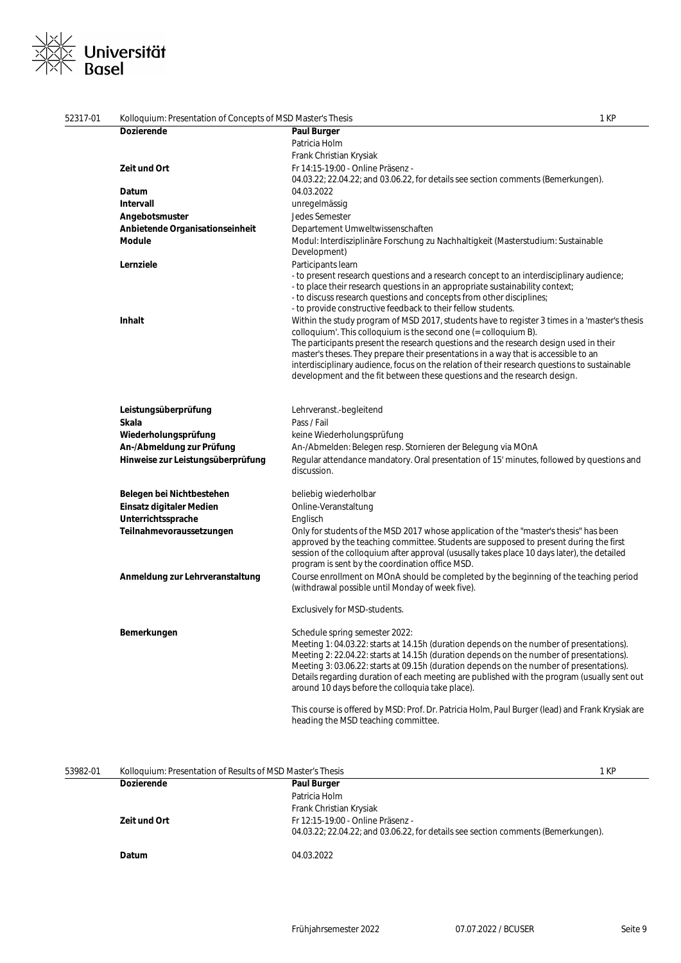# ※∠<br>※≪ Universität<br>※ Basel  $\overline{\phantom{a}}$

| 52317-01 | Kolloquium: Presentation of Concepts of MSD Master's Thesis |                                                                                                                                                                                                                                                                                                                                                                                                                                                                                                                                 | 1 KP |
|----------|-------------------------------------------------------------|---------------------------------------------------------------------------------------------------------------------------------------------------------------------------------------------------------------------------------------------------------------------------------------------------------------------------------------------------------------------------------------------------------------------------------------------------------------------------------------------------------------------------------|------|
|          | <b>Dozierende</b>                                           | <b>Paul Burger</b>                                                                                                                                                                                                                                                                                                                                                                                                                                                                                                              |      |
|          |                                                             | Patricia Holm                                                                                                                                                                                                                                                                                                                                                                                                                                                                                                                   |      |
|          |                                                             | Frank Christian Krysiak                                                                                                                                                                                                                                                                                                                                                                                                                                                                                                         |      |
|          | Zeit und Ort                                                | Fr 14:15-19:00 - Online Präsenz -                                                                                                                                                                                                                                                                                                                                                                                                                                                                                               |      |
|          |                                                             | 04.03.22; 22.04.22; and 03.06.22, for details see section comments (Bemerkungen).                                                                                                                                                                                                                                                                                                                                                                                                                                               |      |
|          | Datum                                                       | 04.03.2022                                                                                                                                                                                                                                                                                                                                                                                                                                                                                                                      |      |
|          | Intervall                                                   | unregelmässig                                                                                                                                                                                                                                                                                                                                                                                                                                                                                                                   |      |
|          | Angebotsmuster                                              | <b>Jedes Semester</b>                                                                                                                                                                                                                                                                                                                                                                                                                                                                                                           |      |
|          | Anbietende Organisationseinheit                             | Departement Umweltwissenschaften                                                                                                                                                                                                                                                                                                                                                                                                                                                                                                |      |
|          | <b>Module</b>                                               | Modul: Interdisziplinäre Forschung zu Nachhaltigkeit (Masterstudium: Sustainable<br>Development)                                                                                                                                                                                                                                                                                                                                                                                                                                |      |
|          | Lernziele                                                   | Participants learn                                                                                                                                                                                                                                                                                                                                                                                                                                                                                                              |      |
|          |                                                             | - to present research questions and a research concept to an interdisciplinary audience;<br>- to place their research questions in an appropriate sustainability context;<br>- to discuss research questions and concepts from other disciplines;<br>- to provide constructive feedback to their fellow students.                                                                                                                                                                                                               |      |
|          | <b>Inhalt</b>                                               | Within the study program of MSD 2017, students have to register 3 times in a 'master's thesis<br>colloquium'. This colloquium is the second one $(=$ colloquium B).<br>The participants present the research questions and the research design used in their<br>master's theses. They prepare their presentations in a way that is accessible to an<br>interdisciplinary audience, focus on the relation of their research questions to sustainable<br>development and the fit between these questions and the research design. |      |
|          | Leistungsüberprüfung                                        | Lehrveranst.-begleitend                                                                                                                                                                                                                                                                                                                                                                                                                                                                                                         |      |
|          | Skala                                                       | Pass / Fail                                                                                                                                                                                                                                                                                                                                                                                                                                                                                                                     |      |
|          | Wiederholungsprüfung                                        | keine Wiederholungsprüfung                                                                                                                                                                                                                                                                                                                                                                                                                                                                                                      |      |
|          | An-/Abmeldung zur Prüfung                                   | An-/Abmelden: Belegen resp. Stornieren der Belegung via MOnA                                                                                                                                                                                                                                                                                                                                                                                                                                                                    |      |
|          | Hinweise zur Leistungsüberprüfung                           | Regular attendance mandatory. Oral presentation of 15' minutes, followed by questions and<br>discussion.                                                                                                                                                                                                                                                                                                                                                                                                                        |      |
|          | Belegen bei Nichtbestehen                                   | beliebig wiederholbar                                                                                                                                                                                                                                                                                                                                                                                                                                                                                                           |      |
|          | Einsatz digitaler Medien                                    | Online-Veranstaltung                                                                                                                                                                                                                                                                                                                                                                                                                                                                                                            |      |
|          | Unterrichtssprache                                          | Englisch                                                                                                                                                                                                                                                                                                                                                                                                                                                                                                                        |      |
|          | Teilnahmevoraussetzungen                                    | Only for students of the MSD 2017 whose application of the "master's thesis" has been<br>approved by the teaching committee. Students are supposed to present during the first<br>session of the colloquium after approval (ususally takes place 10 days later), the detailed<br>program is sent by the coordination office MSD.                                                                                                                                                                                                |      |
|          | Anmeldung zur Lehrveranstaltung                             | Course enrollment on MOnA should be completed by the beginning of the teaching period<br>(withdrawal possible until Monday of week five).                                                                                                                                                                                                                                                                                                                                                                                       |      |
|          |                                                             | Exclusively for MSD-students.                                                                                                                                                                                                                                                                                                                                                                                                                                                                                                   |      |
|          | Bemerkungen                                                 | Schedule spring semester 2022:<br>Meeting 1: 04.03.22: starts at 14.15h (duration depends on the number of presentations).<br>Meeting 2: 22.04.22: starts at 14.15h (duration depends on the number of presentations).<br>Meeting 3: 03.06.22: starts at 09.15h (duration depends on the number of presentations).<br>Details regarding duration of each meeting are published with the program (usually sent out<br>around 10 days before the colloquia take place).                                                           |      |
|          |                                                             | This course is offered by MSD: Prof. Dr. Patricia Holm, Paul Burger (lead) and Frank Krysiak are<br>heading the MSD teaching committee.                                                                                                                                                                                                                                                                                                                                                                                         |      |

| 53982-01 | Kolloquium: Presentation of Results of MSD Master's Thesis |                                                                                   | 1 KP |
|----------|------------------------------------------------------------|-----------------------------------------------------------------------------------|------|
|          | <b>Dozierende</b>                                          | <b>Paul Burger</b>                                                                |      |
|          |                                                            | Patricia Holm                                                                     |      |
|          |                                                            | Frank Christian Krysiak                                                           |      |
|          | Zeit und Ort                                               | Fr 12:15-19:00 - Online Präsenz -                                                 |      |
|          |                                                            | 04.03.22; 22.04.22; and 03.06.22, for details see section comments (Bemerkungen). |      |
|          | Datum                                                      | 04.03.2022                                                                        |      |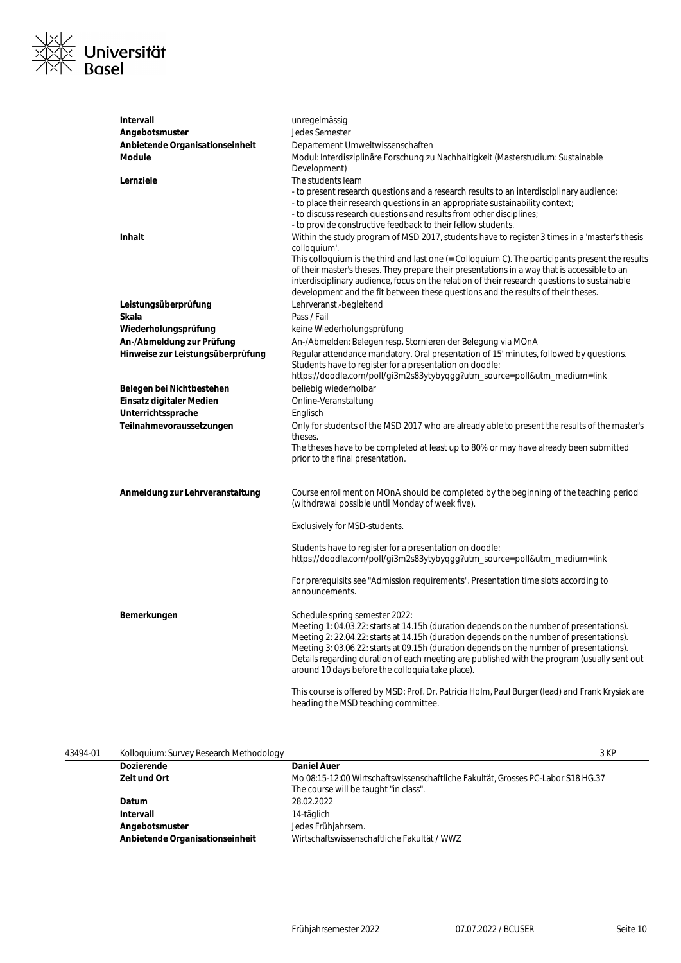

| Intervall                         | unregelmässig                                                                                                                           |
|-----------------------------------|-----------------------------------------------------------------------------------------------------------------------------------------|
| Angebotsmuster                    | Jedes Semester                                                                                                                          |
| Anbietende Organisationseinheit   | Departement Umweltwissenschaften                                                                                                        |
| Module                            | Modul: Interdisziplinäre Forschung zu Nachhaltigkeit (Masterstudium: Sustainable                                                        |
|                                   | Development)                                                                                                                            |
| Lernziele                         | The students learn                                                                                                                      |
|                                   | - to present research questions and a research results to an interdisciplinary audience;                                                |
|                                   | - to place their research questions in an appropriate sustainability context;                                                           |
|                                   | - to discuss research questions and results from other disciplines;                                                                     |
|                                   | - to provide constructive feedback to their fellow students.                                                                            |
| <b>Inhalt</b>                     | Within the study program of MSD 2017, students have to register 3 times in a 'master's thesis                                           |
|                                   | colloquium'.                                                                                                                            |
|                                   | This colloquium is the third and last one (= Colloquium C). The participants present the results                                        |
|                                   | of their master's theses. They prepare their presentations in a way that is accessible to an                                            |
|                                   | interdisciplinary audience, focus on the relation of their research questions to sustainable                                            |
|                                   | development and the fit between these questions and the results of their theses.                                                        |
| Leistungsüberprüfung              | Lehrveranst.-begleitend                                                                                                                 |
| Skala                             | Pass / Fail                                                                                                                             |
| Wiederholungsprüfung              | keine Wiederholungsprüfung                                                                                                              |
| An-/Abmeldung zur Prüfung         | An-/Abmelden: Belegen resp. Stornieren der Belegung via MOnA                                                                            |
| Hinweise zur Leistungsüberprüfung | Regular attendance mandatory. Oral presentation of 15' minutes, followed by questions.                                                  |
|                                   | Students have to register for a presentation on doodle:                                                                                 |
|                                   | https://doodle.com/poll/gi3m2s83ytybyqgg?utm_source=poll&utm_medium=link                                                                |
| Belegen bei Nichtbestehen         | beliebig wiederholbar                                                                                                                   |
| Einsatz digitaler Medien          | Online-Veranstaltung                                                                                                                    |
| Unterrichtssprache                | Englisch                                                                                                                                |
| Teilnahmevoraussetzungen          | Only for students of the MSD 2017 who are already able to present the results of the master's                                           |
|                                   | theses.                                                                                                                                 |
|                                   | The theses have to be completed at least up to 80% or may have already been submitted<br>prior to the final presentation.               |
|                                   |                                                                                                                                         |
|                                   |                                                                                                                                         |
| Anmeldung zur Lehrveranstaltung   | Course enrollment on MOnA should be completed by the beginning of the teaching period                                                   |
|                                   | (withdrawal possible until Monday of week five).                                                                                        |
|                                   |                                                                                                                                         |
|                                   | Exclusively for MSD-students.                                                                                                           |
|                                   |                                                                                                                                         |
|                                   | Students have to register for a presentation on doodle:                                                                                 |
|                                   | https://doodle.com/poll/gi3m2s83ytybyqgg?utm_source=poll&utm_medium=link                                                                |
|                                   | For prerequisits see "Admission requirements". Presentation time slots according to                                                     |
|                                   | announcements.                                                                                                                          |
|                                   |                                                                                                                                         |
| Bemerkungen                       | Schedule spring semester 2022:                                                                                                          |
|                                   | Meeting 1: 04.03.22: starts at 14.15h (duration depends on the number of presentations).                                                |
|                                   | Meeting 2: 22.04.22: starts at 14.15h (duration depends on the number of presentations).                                                |
|                                   | Meeting 3: 03.06.22: starts at 09.15h (duration depends on the number of presentations).                                                |
|                                   | Details regarding duration of each meeting are published with the program (usually sent out                                             |
|                                   | around 10 days before the colloquia take place).                                                                                        |
|                                   |                                                                                                                                         |
|                                   | This course is offered by MSD: Prof. Dr. Patricia Holm, Paul Burger (lead) and Frank Krysiak are<br>heading the MSD teaching committee. |
|                                   |                                                                                                                                         |

| Kolloquium: Survey Research Methodology |                                                                                                                           | 3 KP |
|-----------------------------------------|---------------------------------------------------------------------------------------------------------------------------|------|
| <b>Dozierende</b>                       | <b>Daniel Auer</b>                                                                                                        |      |
| Zeit und Ort                            | Mo 08:15-12:00 Wirtschaftswissenschaftliche Fakultät, Grosses PC-Labor S18 HG.37<br>The course will be taught "in class". |      |
| Datum                                   | 28.02.2022                                                                                                                |      |
| Intervall                               | 14-täglich                                                                                                                |      |
| Angebotsmuster                          | Jedes Frühjahrsem.                                                                                                        |      |
| Anbietende Organisationseinheit         | Wirtschaftswissenschaftliche Fakultät / WWZ                                                                               |      |
|                                         |                                                                                                                           |      |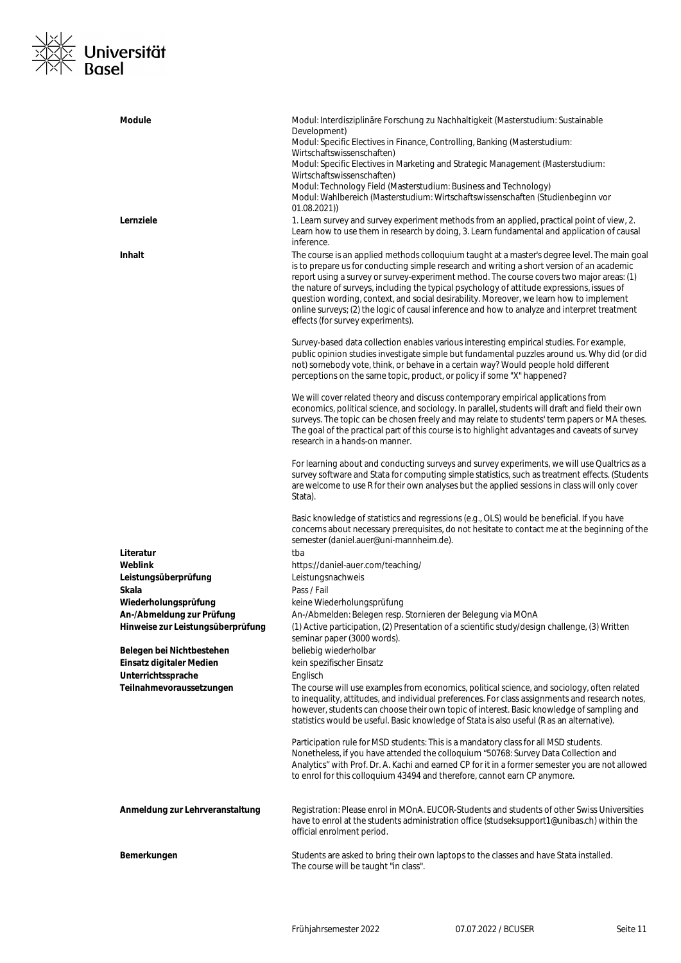# ※∠<br>※≫ Universität<br>×∧ Basel  $\frac{1}{x}$

| <b>Module</b><br>Lernziele                     | Modul: Interdisziplinäre Forschung zu Nachhaltigkeit (Masterstudium: Sustainable<br>Development)<br>Modul: Specific Electives in Finance, Controlling, Banking (Masterstudium:<br>Wirtschaftswissenschaften)<br>Modul: Specific Electives in Marketing and Strategic Management (Masterstudium:<br>Wirtschaftswissenschaften)<br>Modul: Technology Field (Masterstudium: Business and Technology)<br>Modul: Wahlbereich (Masterstudium: Wirtschaftswissenschaften (Studienbeginn vor<br>(01.08.2021)<br>1. Learn survey and survey experiment methods from an applied, practical point of view, 2. |
|------------------------------------------------|----------------------------------------------------------------------------------------------------------------------------------------------------------------------------------------------------------------------------------------------------------------------------------------------------------------------------------------------------------------------------------------------------------------------------------------------------------------------------------------------------------------------------------------------------------------------------------------------------|
| Inhalt                                         | Learn how to use them in research by doing, 3. Learn fundamental and application of causal<br>inference.<br>The course is an applied methods colloquium taught at a master's degree level. The main goal                                                                                                                                                                                                                                                                                                                                                                                           |
|                                                | is to prepare us for conducting simple research and writing a short version of an academic<br>report using a survey or survey-experiment method. The course covers two major areas: (1)<br>the nature of surveys, including the typical psychology of attitude expressions, issues of<br>question wording, context, and social desirability. Moreover, we learn how to implement<br>online surveys; (2) the logic of causal inference and how to analyze and interpret treatment<br>effects (for survey experiments).                                                                              |
|                                                | Survey-based data collection enables various interesting empirical studies. For example,<br>public opinion studies investigate simple but fundamental puzzles around us. Why did (or did<br>not) somebody vote, think, or behave in a certain way? Would people hold different<br>perceptions on the same topic, product, or policy if some "X" happened?                                                                                                                                                                                                                                          |
|                                                | We will cover related theory and discuss contemporary empirical applications from<br>economics, political science, and sociology. In parallel, students will draft and field their own<br>surveys. The topic can be chosen freely and may relate to students' term papers or MA theses.<br>The goal of the practical part of this course is to highlight advantages and caveats of survey<br>research in a hands-on manner.                                                                                                                                                                        |
|                                                | For learning about and conducting surveys and survey experiments, we will use Qualtrics as a<br>survey software and Stata for computing simple statistics, such as treatment effects. (Students<br>are welcome to use R for their own analyses but the applied sessions in class will only cover<br>Stata).                                                                                                                                                                                                                                                                                        |
|                                                | Basic knowledge of statistics and regressions (e.g., OLS) would be beneficial. If you have<br>concerns about necessary prerequisites, do not hesitate to contact me at the beginning of the<br>semester (daniel.auer@uni-mannheim.de).                                                                                                                                                                                                                                                                                                                                                             |
| Literatur                                      | tba                                                                                                                                                                                                                                                                                                                                                                                                                                                                                                                                                                                                |
| Weblink                                        | https://daniel-auer.com/teaching/                                                                                                                                                                                                                                                                                                                                                                                                                                                                                                                                                                  |
| Leistungsüberprüfung<br>Skala                  | Leistungsnachweis<br>Pass / Fail                                                                                                                                                                                                                                                                                                                                                                                                                                                                                                                                                                   |
| Wiederholungsprüfung                           | keine Wiederholungsprüfung                                                                                                                                                                                                                                                                                                                                                                                                                                                                                                                                                                         |
| An-/Abmeldung zur Prüfung                      | An-/Abmelden: Belegen resp. Stornieren der Belegung via MOnA                                                                                                                                                                                                                                                                                                                                                                                                                                                                                                                                       |
| Hinweise zur Leistungsüberprüfung              | (1) Active participation, (2) Presentation of a scientific study/design challenge, (3) Written<br>seminar paper (3000 words).                                                                                                                                                                                                                                                                                                                                                                                                                                                                      |
| Belegen bei Nichtbestehen                      | beliebig wiederholbar                                                                                                                                                                                                                                                                                                                                                                                                                                                                                                                                                                              |
| Einsatz digitaler Medien                       | kein spezifischer Einsatz                                                                                                                                                                                                                                                                                                                                                                                                                                                                                                                                                                          |
| Unterrichtssprache<br>Teilnahmevoraussetzungen | Englisch<br>The course will use examples from economics, political science, and sociology, often related<br>to inequality, attitudes, and individual preferences. For class assignments and research notes,<br>however, students can choose their own topic of interest. Basic knowledge of sampling and<br>statistics would be useful. Basic knowledge of Stata is also useful (R as an alternative).                                                                                                                                                                                             |
|                                                | Participation rule for MSD students: This is a mandatory class for all MSD students.<br>Nonetheless, if you have attended the colloquium "50768: Survey Data Collection and<br>Analytics" with Prof. Dr. A. Kachi and earned CP for it in a former semester you are not allowed<br>to enrol for this colloquium 43494 and therefore, cannot earn CP anymore.                                                                                                                                                                                                                                       |
| Anmeldung zur Lehrveranstaltung                | Registration: Please enrol in MOnA. EUCOR-Students and students of other Swiss Universities<br>have to enrol at the students administration office (studseksupport1@unibas.ch) within the<br>official enrolment period.                                                                                                                                                                                                                                                                                                                                                                            |
| Bemerkungen                                    | Students are asked to bring their own laptops to the classes and have Stata installed.<br>The course will be taught "in class".                                                                                                                                                                                                                                                                                                                                                                                                                                                                    |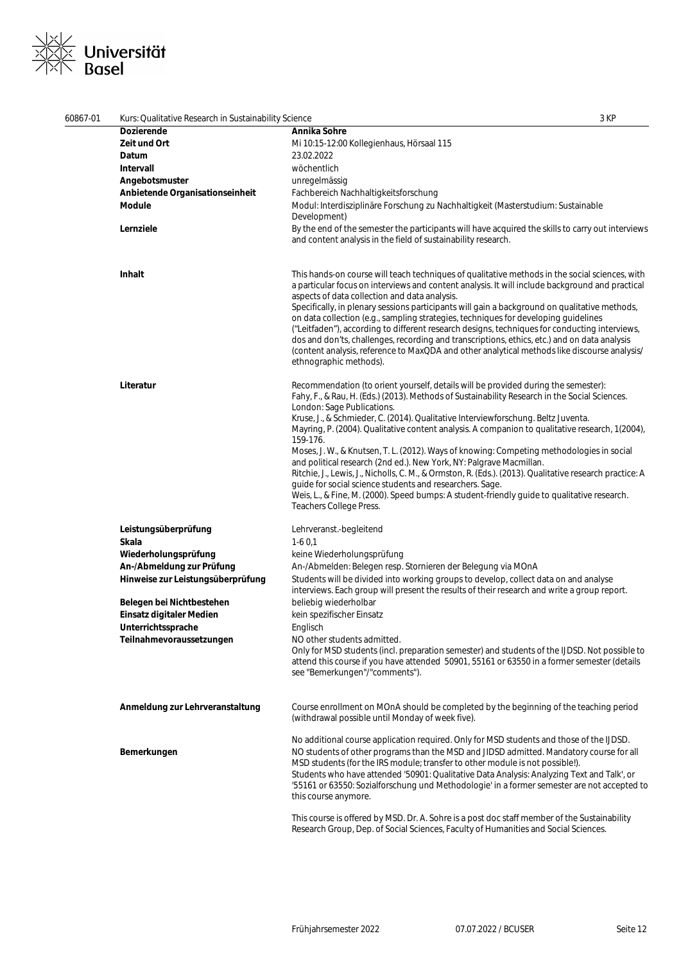# ⊠∠<br>⊠≍ Universität<br>⊠N Basel  $\frac{1}{x}$

| 60867-01 | Kurs: Qualitative Research in Sustainability Science | 3 KP                                                                                                                                                                                                                                                                                                                                                                                                                                                                                                                                                                                                                                        |
|----------|------------------------------------------------------|---------------------------------------------------------------------------------------------------------------------------------------------------------------------------------------------------------------------------------------------------------------------------------------------------------------------------------------------------------------------------------------------------------------------------------------------------------------------------------------------------------------------------------------------------------------------------------------------------------------------------------------------|
|          | Dozierende                                           | Annika Sohre                                                                                                                                                                                                                                                                                                                                                                                                                                                                                                                                                                                                                                |
|          | Zeit und Ort                                         | Mi 10:15-12:00 Kollegienhaus, Hörsaal 115                                                                                                                                                                                                                                                                                                                                                                                                                                                                                                                                                                                                   |
|          | Datum                                                | 23.02.2022                                                                                                                                                                                                                                                                                                                                                                                                                                                                                                                                                                                                                                  |
|          | Intervall                                            | wöchentlich                                                                                                                                                                                                                                                                                                                                                                                                                                                                                                                                                                                                                                 |
|          | Angebotsmuster                                       | unregelmässig                                                                                                                                                                                                                                                                                                                                                                                                                                                                                                                                                                                                                               |
|          | Anbietende Organisationseinheit                      | Fachbereich Nachhaltigkeitsforschung                                                                                                                                                                                                                                                                                                                                                                                                                                                                                                                                                                                                        |
|          | <b>Module</b>                                        | Modul: Interdisziplinäre Forschung zu Nachhaltigkeit (Masterstudium: Sustainable                                                                                                                                                                                                                                                                                                                                                                                                                                                                                                                                                            |
|          |                                                      | Development)                                                                                                                                                                                                                                                                                                                                                                                                                                                                                                                                                                                                                                |
|          | Lernziele                                            | By the end of the semester the participants will have acquired the skills to carry out interviews<br>and content analysis in the field of sustainability research.                                                                                                                                                                                                                                                                                                                                                                                                                                                                          |
|          | Inhalt                                               | This hands-on course will teach techniques of qualitative methods in the social sciences, with<br>a particular focus on interviews and content analysis. It will include background and practical<br>aspects of data collection and data analysis.<br>Specifically, in plenary sessions participants will gain a background on qualitative methods,<br>on data collection (e.g., sampling strategies, techniques for developing guidelines<br>("Leitfaden"), according to different research designs, techniques for conducting interviews,<br>dos and don'ts, challenges, recording and transcriptions, ethics, etc.) and on data analysis |
|          |                                                      | (content analysis, reference to MaxQDA and other analytical methods like discourse analysis/<br>ethnographic methods).                                                                                                                                                                                                                                                                                                                                                                                                                                                                                                                      |
|          | Literatur                                            | Recommendation (to orient yourself, details will be provided during the semester):<br>Fahy, F., & Rau, H. (Eds.) (2013). Methods of Sustainability Research in the Social Sciences.<br>London: Sage Publications.<br>Kruse, J., & Schmieder, C. (2014). Qualitative Interviewforschung. Beltz Juventa.<br>Mayring, P. (2004). Qualitative content analysis. A companion to qualitative research, 1(2004),<br>159-176.                                                                                                                                                                                                                       |
|          |                                                      | Moses, J. W., & Knutsen, T. L. (2012). Ways of knowing: Competing methodologies in social<br>and political research (2nd ed.). New York, NY: Palgrave Macmillan.<br>Ritchie, J., Lewis, J., Nicholls, C. M., & Ormston, R. (Eds.). (2013). Qualitative research practice: A<br>guide for social science students and researchers. Sage.<br>Weis, L., & Fine, M. (2000). Speed bumps: A student-friendly guide to qualitative research.<br><b>Teachers College Press.</b>                                                                                                                                                                    |
|          | Leistungsüberprüfung                                 | Lehrveranst.-begleitend                                                                                                                                                                                                                                                                                                                                                                                                                                                                                                                                                                                                                     |
|          | Skala                                                | $1-60,1$                                                                                                                                                                                                                                                                                                                                                                                                                                                                                                                                                                                                                                    |
|          | Wiederholungsprüfung                                 | keine Wiederholungsprüfung                                                                                                                                                                                                                                                                                                                                                                                                                                                                                                                                                                                                                  |
|          | An-/Abmeldung zur Prüfung                            | An-/Abmelden: Belegen resp. Stornieren der Belegung via MOnA                                                                                                                                                                                                                                                                                                                                                                                                                                                                                                                                                                                |
|          | Hinweise zur Leistungsüberprüfung                    | Students will be divided into working groups to develop, collect data on and analyse<br>interviews. Each group will present the results of their research and write a group report.                                                                                                                                                                                                                                                                                                                                                                                                                                                         |
|          | Belegen bei Nichtbestehen                            | beliebig wiederholbar                                                                                                                                                                                                                                                                                                                                                                                                                                                                                                                                                                                                                       |
|          | Einsatz digitaler Medien                             | kein spezifischer Einsatz                                                                                                                                                                                                                                                                                                                                                                                                                                                                                                                                                                                                                   |
|          | Unterrichtssprache                                   | Englisch                                                                                                                                                                                                                                                                                                                                                                                                                                                                                                                                                                                                                                    |
|          | Teilnahmevoraussetzungen                             | NO other students admitted.<br>Only for MSD students (incl. preparation semester) and students of the IJDSD. Not possible to<br>attend this course if you have attended 50901, 55161 or 63550 in a former semester (details<br>see "Bemerkungen"/"comments").                                                                                                                                                                                                                                                                                                                                                                               |
|          | Anmeldung zur Lehrveranstaltung                      | Course enrollment on MOnA should be completed by the beginning of the teaching period<br>(withdrawal possible until Monday of week five).                                                                                                                                                                                                                                                                                                                                                                                                                                                                                                   |
|          | Bemerkungen                                          | No additional course application required. Only for MSD students and those of the IJDSD.<br>NO students of other programs than the MSD and JIDSD admitted. Mandatory course for all<br>MSD students (for the IRS module; transfer to other module is not possible!).<br>Students who have attended '50901: Qualitative Data Analysis: Analyzing Text and Talk', or<br>'55161 or 63550: Sozialforschung und Methodologie' in a former semester are not accepted to<br>this course anymore.                                                                                                                                                   |
|          |                                                      | This course is offered by MSD. Dr. A. Sohre is a post doc staff member of the Sustainability<br>Research Group, Dep. of Social Sciences, Faculty of Humanities and Social Sciences.                                                                                                                                                                                                                                                                                                                                                                                                                                                         |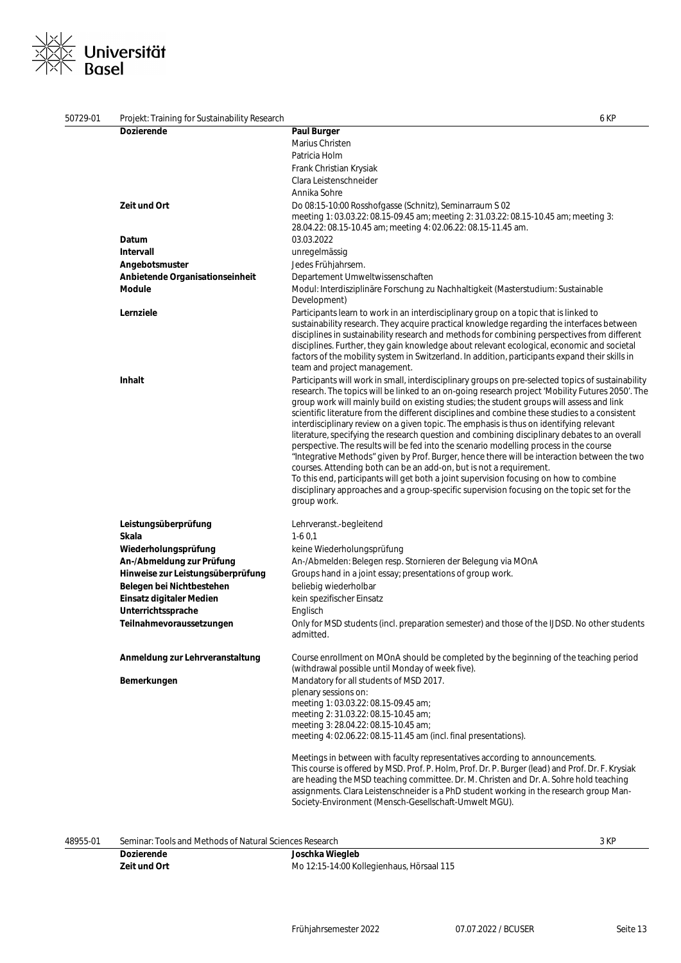# ∠<br>≤ Universität<br>√ Basel  $\overline{\phantom{a}}$  $\searrow$

| 50729-01 | Projekt: Training for Sustainability Research |                                                                                                                                                                                                                                                                                                                                                                                                                                                                                                                                                                                                                                                                                                                                                                                                                                                                                                                                                                                                                                                                           | 6 KP |
|----------|-----------------------------------------------|---------------------------------------------------------------------------------------------------------------------------------------------------------------------------------------------------------------------------------------------------------------------------------------------------------------------------------------------------------------------------------------------------------------------------------------------------------------------------------------------------------------------------------------------------------------------------------------------------------------------------------------------------------------------------------------------------------------------------------------------------------------------------------------------------------------------------------------------------------------------------------------------------------------------------------------------------------------------------------------------------------------------------------------------------------------------------|------|
|          | <b>Dozierende</b>                             | <b>Paul Burger</b>                                                                                                                                                                                                                                                                                                                                                                                                                                                                                                                                                                                                                                                                                                                                                                                                                                                                                                                                                                                                                                                        |      |
|          |                                               | Marius Christen                                                                                                                                                                                                                                                                                                                                                                                                                                                                                                                                                                                                                                                                                                                                                                                                                                                                                                                                                                                                                                                           |      |
|          |                                               | Patricia Holm                                                                                                                                                                                                                                                                                                                                                                                                                                                                                                                                                                                                                                                                                                                                                                                                                                                                                                                                                                                                                                                             |      |
|          |                                               | Frank Christian Krysiak                                                                                                                                                                                                                                                                                                                                                                                                                                                                                                                                                                                                                                                                                                                                                                                                                                                                                                                                                                                                                                                   |      |
|          |                                               | Clara Leistenschneider                                                                                                                                                                                                                                                                                                                                                                                                                                                                                                                                                                                                                                                                                                                                                                                                                                                                                                                                                                                                                                                    |      |
|          |                                               | Annika Sohre                                                                                                                                                                                                                                                                                                                                                                                                                                                                                                                                                                                                                                                                                                                                                                                                                                                                                                                                                                                                                                                              |      |
|          | Zeit und Ort                                  | Do 08:15-10:00 Rosshofgasse (Schnitz), Seminarraum S 02<br>meeting 1: 03.03.22: 08.15-09.45 am; meeting 2: 31.03.22: 08.15-10.45 am; meeting 3:<br>28.04.22: 08.15-10.45 am; meeting 4: 02.06.22: 08.15-11.45 am.                                                                                                                                                                                                                                                                                                                                                                                                                                                                                                                                                                                                                                                                                                                                                                                                                                                         |      |
|          | Datum                                         | 03.03.2022                                                                                                                                                                                                                                                                                                                                                                                                                                                                                                                                                                                                                                                                                                                                                                                                                                                                                                                                                                                                                                                                |      |
|          | <b>Intervall</b>                              | unregelmässig                                                                                                                                                                                                                                                                                                                                                                                                                                                                                                                                                                                                                                                                                                                                                                                                                                                                                                                                                                                                                                                             |      |
|          | Angebotsmuster                                | Jedes Frühjahrsem.                                                                                                                                                                                                                                                                                                                                                                                                                                                                                                                                                                                                                                                                                                                                                                                                                                                                                                                                                                                                                                                        |      |
|          | Anbietende Organisationseinheit               | Departement Umweltwissenschaften                                                                                                                                                                                                                                                                                                                                                                                                                                                                                                                                                                                                                                                                                                                                                                                                                                                                                                                                                                                                                                          |      |
|          | Module                                        | Modul: Interdisziplinäre Forschung zu Nachhaltigkeit (Masterstudium: Sustainable<br>Development)                                                                                                                                                                                                                                                                                                                                                                                                                                                                                                                                                                                                                                                                                                                                                                                                                                                                                                                                                                          |      |
|          | Lernziele                                     | Participants learn to work in an interdisciplinary group on a topic that is linked to<br>sustainability research. They acquire practical knowledge regarding the interfaces between<br>disciplines in sustainability research and methods for combining perspectives from different<br>disciplines. Further, they gain knowledge about relevant ecological, economic and societal<br>factors of the mobility system in Switzerland. In addition, participants expand their skills in<br>team and project management.                                                                                                                                                                                                                                                                                                                                                                                                                                                                                                                                                      |      |
|          | Inhalt                                        | Participants will work in small, interdisciplinary groups on pre-selected topics of sustainability<br>research. The topics will be linked to an on-going research project 'Mobility Futures 2050'. The<br>group work will mainly build on existing studies; the student groups will assess and link<br>scientific literature from the different disciplines and combine these studies to a consistent<br>interdisciplinary review on a given topic. The emphasis is thus on identifying relevant<br>literature, specifying the research question and combining disciplinary debates to an overall<br>perspective. The results will be fed into the scenario modelling process in the course<br>"Integrative Methods" given by Prof. Burger, hence there will be interaction between the two<br>courses. Attending both can be an add-on, but is not a requirement.<br>To this end, participants will get both a joint supervision focusing on how to combine<br>disciplinary approaches and a group-specific supervision focusing on the topic set for the<br>group work. |      |
|          | Leistungsüberprüfung<br>Skala                 | Lehrveranst.-begleitend<br>$1-60.1$                                                                                                                                                                                                                                                                                                                                                                                                                                                                                                                                                                                                                                                                                                                                                                                                                                                                                                                                                                                                                                       |      |
|          | Wiederholungsprüfung                          | keine Wiederholungsprüfung                                                                                                                                                                                                                                                                                                                                                                                                                                                                                                                                                                                                                                                                                                                                                                                                                                                                                                                                                                                                                                                |      |
|          | An-/Abmeldung zur Prüfung                     | An-/Abmelden: Belegen resp. Stornieren der Belegung via MOnA                                                                                                                                                                                                                                                                                                                                                                                                                                                                                                                                                                                                                                                                                                                                                                                                                                                                                                                                                                                                              |      |
|          | Hinweise zur Leistungsüberprüfung             | Groups hand in a joint essay; presentations of group work.                                                                                                                                                                                                                                                                                                                                                                                                                                                                                                                                                                                                                                                                                                                                                                                                                                                                                                                                                                                                                |      |
|          | Belegen bei Nichtbestehen                     | beliebig wiederholbar                                                                                                                                                                                                                                                                                                                                                                                                                                                                                                                                                                                                                                                                                                                                                                                                                                                                                                                                                                                                                                                     |      |
|          | Einsatz digitaler Medien                      | kein spezifischer Einsatz                                                                                                                                                                                                                                                                                                                                                                                                                                                                                                                                                                                                                                                                                                                                                                                                                                                                                                                                                                                                                                                 |      |
|          | Unterrichtssprache                            | Englisch                                                                                                                                                                                                                                                                                                                                                                                                                                                                                                                                                                                                                                                                                                                                                                                                                                                                                                                                                                                                                                                                  |      |
|          | Teilnahmevoraussetzungen                      | Only for MSD students (incl. preparation semester) and those of the IJDSD. No other students<br>admitted.                                                                                                                                                                                                                                                                                                                                                                                                                                                                                                                                                                                                                                                                                                                                                                                                                                                                                                                                                                 |      |
|          | Anmeldung zur Lehrveranstaltung               | Course enrollment on MOnA should be completed by the beginning of the teaching period<br>(withdrawal possible until Monday of week five).                                                                                                                                                                                                                                                                                                                                                                                                                                                                                                                                                                                                                                                                                                                                                                                                                                                                                                                                 |      |
|          | Bemerkungen                                   | Mandatory for all students of MSD 2017.<br>plenary sessions on:<br>meeting 1: 03.03.22: 08.15-09.45 am;<br>meeting 2: 31.03.22: 08.15-10.45 am;<br>meeting 3: 28.04.22: 08.15-10.45 am;<br>meeting 4: 02.06.22: 08.15-11.45 am (incl. final presentations).                                                                                                                                                                                                                                                                                                                                                                                                                                                                                                                                                                                                                                                                                                                                                                                                               |      |
|          |                                               | Meetings in between with faculty representatives according to announcements.<br>This course is offered by MSD. Prof. P. Holm, Prof. Dr. P. Burger (lead) and Prof. Dr. F. Krysiak<br>are heading the MSD teaching committee. Dr. M. Christen and Dr. A. Sohre hold teaching<br>assignments. Clara Leistenschneider is a PhD student working in the research group Man-<br>Society-Environment (Mensch-Gesellschaft-Umwelt MGU).                                                                                                                                                                                                                                                                                                                                                                                                                                                                                                                                                                                                                                           |      |

48955-01 Seminar: Tools and Methods of Natural Sciences Research 3 KP

| <b>Dozierende</b> | Joschka Wiegleb                           |
|-------------------|-------------------------------------------|
| Zeit und Ort      | Mo 12:15-14:00 Kollegienhaus, Hörsaal 115 |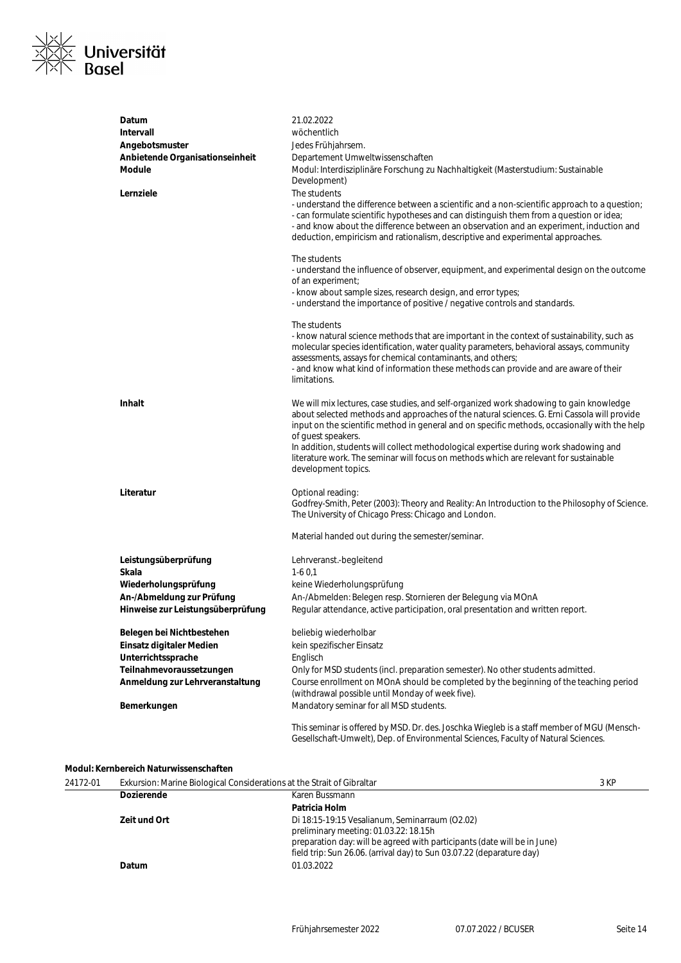

| Datum                                                                                                   | 21.02.2022                                                                                                                                                                                                                                                                                                                                                                                                                                                                                                             |
|---------------------------------------------------------------------------------------------------------|------------------------------------------------------------------------------------------------------------------------------------------------------------------------------------------------------------------------------------------------------------------------------------------------------------------------------------------------------------------------------------------------------------------------------------------------------------------------------------------------------------------------|
| <b>Intervall</b>                                                                                        | wöchentlich                                                                                                                                                                                                                                                                                                                                                                                                                                                                                                            |
| Angebotsmuster                                                                                          | Jedes Frühjahrsem.                                                                                                                                                                                                                                                                                                                                                                                                                                                                                                     |
| Anbietende Organisationseinheit<br>Module                                                               | Departement Umweltwissenschaften<br>Modul: Interdisziplinäre Forschung zu Nachhaltigkeit (Masterstudium: Sustainable                                                                                                                                                                                                                                                                                                                                                                                                   |
|                                                                                                         | Development)                                                                                                                                                                                                                                                                                                                                                                                                                                                                                                           |
| Lernziele                                                                                               | The students<br>- understand the difference between a scientific and a non-scientific approach to a question;<br>- can formulate scientific hypotheses and can distinguish them from a question or idea;<br>- and know about the difference between an observation and an experiment, induction and<br>deduction, empiricism and rationalism, descriptive and experimental approaches.                                                                                                                                 |
|                                                                                                         | The students<br>- understand the influence of observer, equipment, and experimental design on the outcome<br>of an experiment;<br>- know about sample sizes, research design, and error types;<br>- understand the importance of positive / negative controls and standards.                                                                                                                                                                                                                                           |
|                                                                                                         | The students<br>- know natural science methods that are important in the context of sustainability, such as<br>molecular species identification, water quality parameters, behavioral assays, community<br>assessments, assays for chemical contaminants, and others;<br>- and know what kind of information these methods can provide and are aware of their<br>limitations.                                                                                                                                          |
| <b>Inhalt</b>                                                                                           | We will mix lectures, case studies, and self-organized work shadowing to gain knowledge<br>about selected methods and approaches of the natural sciences. G. Erni Cassola will provide<br>input on the scientific method in general and on specific methods, occasionally with the help<br>of guest speakers.<br>In addition, students will collect methodological expertise during work shadowing and<br>literature work. The seminar will focus on methods which are relevant for sustainable<br>development topics. |
| Literatur                                                                                               | Optional reading:<br>Godfrey-Smith, Peter (2003): Theory and Reality: An Introduction to the Philosophy of Science.<br>The University of Chicago Press: Chicago and London.                                                                                                                                                                                                                                                                                                                                            |
|                                                                                                         | Material handed out during the semester/seminar.                                                                                                                                                                                                                                                                                                                                                                                                                                                                       |
| Leistungsüberprüfung                                                                                    | Lehrveranst.-begleitend                                                                                                                                                                                                                                                                                                                                                                                                                                                                                                |
| Skala                                                                                                   | $1-60,1$                                                                                                                                                                                                                                                                                                                                                                                                                                                                                                               |
| Wiederholungsprüfung                                                                                    | keine Wiederholungsprüfung                                                                                                                                                                                                                                                                                                                                                                                                                                                                                             |
| An-/Abmeldung zur Prüfung<br>Hinweise zur Leistungsüberprüfung                                          | An-/Abmelden: Belegen resp. Stornieren der Belegung via MOnA<br>Regular attendance, active participation, oral presentation and written report.                                                                                                                                                                                                                                                                                                                                                                        |
| Belegen bei Nichtbestehen<br>Einsatz digitaler Medien<br>Unterrichtssprache<br>Teilnahmevoraussetzungen | beliebig wiederholbar<br>kein spezifischer Einsatz<br>Englisch<br>Only for MSD students (incl. preparation semester). No other students admitted.                                                                                                                                                                                                                                                                                                                                                                      |
| Anmeldung zur Lehrveranstaltung<br>Bemerkungen                                                          | Course enrollment on MOnA should be completed by the beginning of the teaching period<br>(withdrawal possible until Monday of week five).<br>Mandatory seminar for all MSD students.                                                                                                                                                                                                                                                                                                                                   |
|                                                                                                         |                                                                                                                                                                                                                                                                                                                                                                                                                                                                                                                        |
|                                                                                                         | This seminar is offered by MSD. Dr. des. Joschka Wiegleb is a staff member of MGU (Mensch-<br>Gesellschaft-Umwelt), Dep. of Environmental Sciences, Faculty of Natural Sciences.                                                                                                                                                                                                                                                                                                                                       |

### **Modul: Kernbereich Naturwissenschaften**

| 24172-01 | Exkursion: Marine Biological Considerations at the Strait of Gibraltar |                                                                                                                                                                                                                                              | 3 KP |
|----------|------------------------------------------------------------------------|----------------------------------------------------------------------------------------------------------------------------------------------------------------------------------------------------------------------------------------------|------|
|          | <b>Dozierende</b>                                                      | Karen Bussmann                                                                                                                                                                                                                               |      |
|          |                                                                        | Patricia Holm                                                                                                                                                                                                                                |      |
|          | Zeit und Ort                                                           | Di 18:15-19:15 Vesalianum, Seminarraum (O2.02)<br>preliminary meeting: 01.03.22: 18.15h<br>preparation day: will be agreed with participants (date will be in June)<br>field trip: Sun 26.06. (arrival day) to Sun 03.07.22 (deparature day) |      |
|          | <b>Datum</b>                                                           | 01.03.2022                                                                                                                                                                                                                                   |      |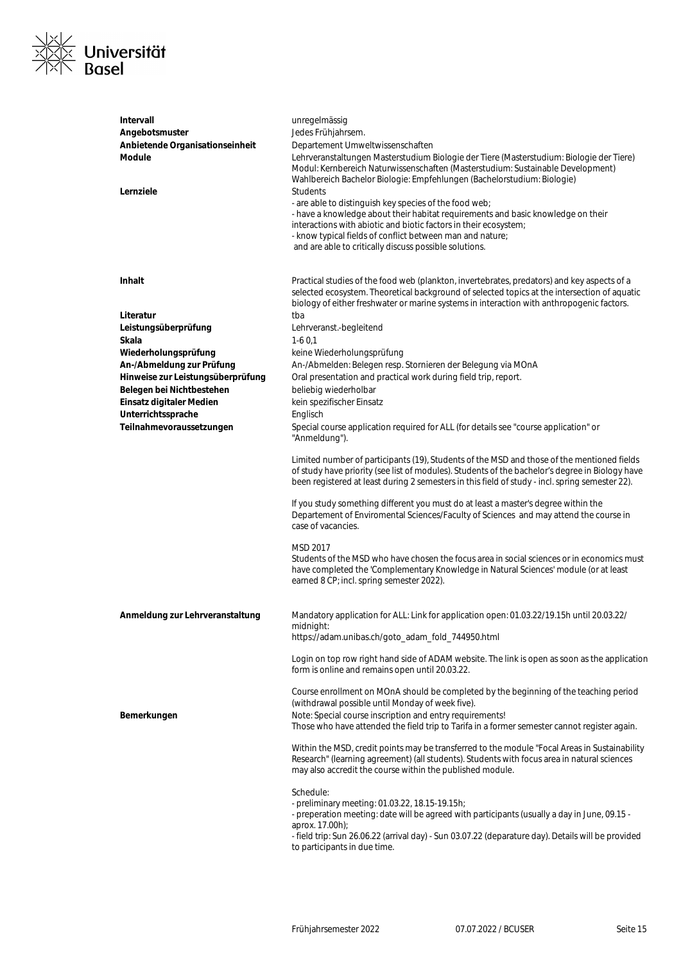

| Intervall<br>Angebotsmuster<br>Anbietende Organisationseinheit<br><b>Module</b><br>Lernziele | unregelmässig<br>Jedes Frühjahrsem.<br>Departement Umweltwissenschaften<br>Lehrveranstaltungen Masterstudium Biologie der Tiere (Masterstudium: Biologie der Tiere)<br>Modul: Kernbereich Naturwissenschaften (Masterstudium: Sustainable Development)<br>Wahlbereich Bachelor Biologie: Empfehlungen (Bachelorstudium: Biologie)<br><b>Students</b> |
|----------------------------------------------------------------------------------------------|------------------------------------------------------------------------------------------------------------------------------------------------------------------------------------------------------------------------------------------------------------------------------------------------------------------------------------------------------|
|                                                                                              | - are able to distinguish key species of the food web;<br>- have a knowledge about their habitat requirements and basic knowledge on their<br>interactions with abiotic and biotic factors in their ecosystem;<br>- know typical fields of conflict between man and nature;<br>and are able to critically discuss possible solutions.                |
| Inhalt                                                                                       | Practical studies of the food web (plankton, invertebrates, predators) and key aspects of a<br>selected ecosystem. Theoretical background of selected topics at the intersection of aquatic<br>biology of either freshwater or marine systems in interaction with anthropogenic factors.                                                             |
| Literatur                                                                                    | tba                                                                                                                                                                                                                                                                                                                                                  |
| Leistungsüberprüfung                                                                         | Lehrveranst.-begleitend                                                                                                                                                                                                                                                                                                                              |
| Skala                                                                                        | $1-60.1$                                                                                                                                                                                                                                                                                                                                             |
| Wiederholungsprüfung                                                                         | keine Wiederholungsprüfung                                                                                                                                                                                                                                                                                                                           |
| An-/Abmeldung zur Prüfung                                                                    | An-/Abmelden: Belegen resp. Stornieren der Belegung via MOnA                                                                                                                                                                                                                                                                                         |
| Hinweise zur Leistungsüberprüfung                                                            | Oral presentation and practical work during field trip, report.                                                                                                                                                                                                                                                                                      |
| Belegen bei Nichtbestehen                                                                    | beliebig wiederholbar                                                                                                                                                                                                                                                                                                                                |
| Einsatz digitaler Medien                                                                     | kein spezifischer Einsatz                                                                                                                                                                                                                                                                                                                            |
| Unterrichtssprache                                                                           | Englisch                                                                                                                                                                                                                                                                                                                                             |
| Teilnahmevoraussetzungen                                                                     | Special course application required for ALL (for details see "course application" or<br>"Anmeldung").                                                                                                                                                                                                                                                |
|                                                                                              | Limited number of participants (19), Students of the MSD and those of the mentioned fields<br>of study have priority (see list of modules). Students of the bachelor's degree in Biology have<br>been registered at least during 2 semesters in this field of study - incl. spring semester 22).                                                     |
|                                                                                              | If you study something different you must do at least a master's degree within the<br>Departement of Enviromental Sciences/Faculty of Sciences and may attend the course in<br>case of vacancies.                                                                                                                                                    |
|                                                                                              | MSD 2017<br>Students of the MSD who have chosen the focus area in social sciences or in economics must<br>have completed the 'Complementary Knowledge in Natural Sciences' module (or at least<br>earned 8 CP; incl. spring semester 2022).                                                                                                          |
| Anmeldung zur Lehrveranstaltung                                                              | Mandatory application for ALL: Link for application open: 01.03.22/19.15h until 20.03.22/                                                                                                                                                                                                                                                            |
|                                                                                              | midnight:<br>https://adam.unibas.ch/goto_adam_fold_744950.html                                                                                                                                                                                                                                                                                       |
|                                                                                              | Login on top row right hand side of ADAM website. The link is open as soon as the application<br>form is online and remains open until 20.03.22.                                                                                                                                                                                                     |
|                                                                                              | Course enrollment on MOnA should be completed by the beginning of the teaching period<br>(withdrawal possible until Monday of week five).                                                                                                                                                                                                            |
| Bemerkungen                                                                                  | Note: Special course inscription and entry requirements!<br>Those who have attended the field trip to Tarifa in a former semester cannot register again.                                                                                                                                                                                             |
|                                                                                              | Within the MSD, credit points may be transferred to the module "Focal Areas in Sustainability<br>Research" (learning agreement) (all students). Students with focus area in natural sciences<br>may also accredit the course within the published module.                                                                                            |
|                                                                                              | Schedule:<br>- preliminary meeting: 01.03.22, 18.15-19.15h;<br>- preperation meeting: date will be agreed with participants (usually a day in June, 09.15 -<br>aprox. 17.00h);<br>- field trip: Sun 26.06.22 (arrival day) - Sun 03.07.22 (deparature day). Details will be provided                                                                 |
|                                                                                              | to participants in due time.                                                                                                                                                                                                                                                                                                                         |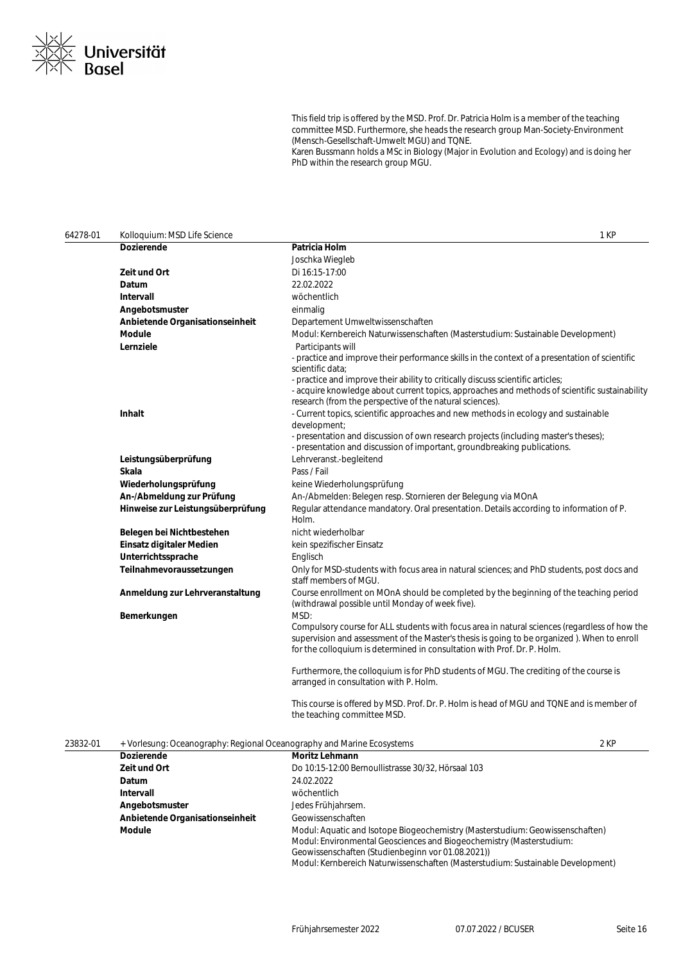

This field trip is offered by the MSD. Prof. Dr. Patricia Holm is a member of the teaching committee MSD. Furthermore, she heads the research group Man-Society-Environment (Mensch-Gesellschaft-Umwelt MGU) and TQNE. Karen Bussmann holds a MSc in Biology (Major in Evolution and Ecology) and is doing her PhD within the research group MGU.

| 64278-01 | Kolloquium: MSD Life Science                                           |                                                                                                                                                                                                                                                                          | 1 KP |
|----------|------------------------------------------------------------------------|--------------------------------------------------------------------------------------------------------------------------------------------------------------------------------------------------------------------------------------------------------------------------|------|
|          | <b>Dozierende</b>                                                      | Patricia Holm                                                                                                                                                                                                                                                            |      |
|          |                                                                        | Joschka Wiegleb                                                                                                                                                                                                                                                          |      |
|          | <b>Zeit und Ort</b>                                                    | Di 16:15-17:00                                                                                                                                                                                                                                                           |      |
|          | Datum                                                                  | 22.02.2022                                                                                                                                                                                                                                                               |      |
|          | <b>Intervall</b>                                                       | wöchentlich                                                                                                                                                                                                                                                              |      |
|          | Angebotsmuster                                                         | einmalig                                                                                                                                                                                                                                                                 |      |
|          | Anbietende Organisationseinheit                                        | Departement Umweltwissenschaften                                                                                                                                                                                                                                         |      |
|          | <b>Module</b>                                                          | Modul: Kernbereich Naturwissenschaften (Masterstudium: Sustainable Development)                                                                                                                                                                                          |      |
|          | Lernziele                                                              | Participants will<br>- practice and improve their performance skills in the context of a presentation of scientific<br>scientific data;                                                                                                                                  |      |
|          |                                                                        | - practice and improve their ability to critically discuss scientific articles;<br>- acquire knowledge about current topics, approaches and methods of scientific sustainability<br>research (from the perspective of the natural sciences).                             |      |
|          | Inhalt                                                                 | - Current topics, scientific approaches and new methods in ecology and sustainable<br>development;                                                                                                                                                                       |      |
|          |                                                                        | - presentation and discussion of own research projects (including master's theses);<br>- presentation and discussion of important, groundbreaking publications.                                                                                                          |      |
|          | Leistungsüberprüfung                                                   | Lehrveranst.-begleitend                                                                                                                                                                                                                                                  |      |
|          | Skala                                                                  | Pass / Fail                                                                                                                                                                                                                                                              |      |
|          | Wiederholungsprüfung                                                   | keine Wiederholungsprüfung                                                                                                                                                                                                                                               |      |
|          | An-/Abmeldung zur Prüfung                                              | An-/Abmelden: Belegen resp. Stornieren der Belegung via MOnA                                                                                                                                                                                                             |      |
|          | Hinweise zur Leistungsüberprüfung                                      | Regular attendance mandatory. Oral presentation. Details according to information of P.<br>Holm.                                                                                                                                                                         |      |
|          | Belegen bei Nichtbestehen                                              | nicht wiederholbar                                                                                                                                                                                                                                                       |      |
|          | Einsatz digitaler Medien                                               | kein spezifischer Einsatz                                                                                                                                                                                                                                                |      |
|          | Unterrichtssprache                                                     | Englisch                                                                                                                                                                                                                                                                 |      |
|          | Teilnahmevoraussetzungen                                               | Only for MSD-students with focus area in natural sciences; and PhD students, post docs and<br>staff members of MGU.                                                                                                                                                      |      |
|          | Anmeldung zur Lehrveranstaltung                                        | Course enrollment on MOnA should be completed by the beginning of the teaching period<br>(withdrawal possible until Monday of week five).                                                                                                                                |      |
|          | Bemerkungen                                                            | MSD:                                                                                                                                                                                                                                                                     |      |
|          |                                                                        | Compulsory course for ALL students with focus area in natural sciences (regardless of how the<br>supervision and assessment of the Master's thesis is going to be organized). When to enroll<br>for the colloquium is determined in consultation with Prof. Dr. P. Holm. |      |
|          |                                                                        | Furthermore, the colloquium is for PhD students of MGU. The crediting of the course is<br>arranged in consultation with P. Holm.                                                                                                                                         |      |
|          |                                                                        | This course is offered by MSD. Prof. Dr. P. Holm is head of MGU and TQNE and is member of<br>the teaching committee MSD.                                                                                                                                                 |      |
| 23832-01 | + Vorlesung: Oceanography: Regional Oceanography and Marine Ecosystems |                                                                                                                                                                                                                                                                          | 2 KP |
|          | <b>Dozierende</b>                                                      | Moritz Lehmann                                                                                                                                                                                                                                                           |      |
|          | Zeit und Ort                                                           | Do 10:15-12:00 Bernoullistrasse 30/32, Hörsaal 103                                                                                                                                                                                                                       |      |
|          | Datum                                                                  | 24.02.2022                                                                                                                                                                                                                                                               |      |
|          | Intervall                                                              | wöchentlich                                                                                                                                                                                                                                                              |      |
|          | Angebotsmuster                                                         | Jedes Frühjahrsem.                                                                                                                                                                                                                                                       |      |
|          | Anbietende Organisationseinheit                                        | Geowissenschaften                                                                                                                                                                                                                                                        |      |

Modul: Kernbereich Naturwissenschaften (Masterstudium: Sustainable Development)

**Module** Modul: Aquatic and Isotope Biogeochemistry (Masterstudium: Geowissenschaften)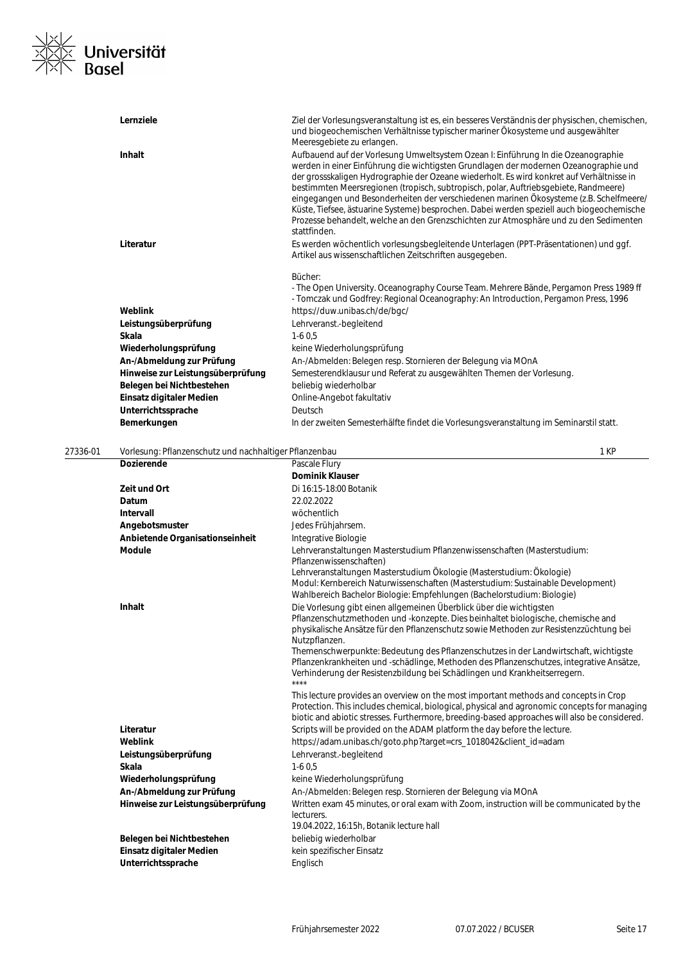

|          | Lernziele                                              | Ziel der Vorlesungsveranstaltung ist es, ein besseres Verständnis der physischen, chemischen,<br>und biogeochemischen Verhältnisse typischer mariner Ökosysteme und ausgewählter<br>Meeresgebiete zu erlangen.                                                                                                                                                                                                                                                                                                                                                                                                                                                 |      |
|----------|--------------------------------------------------------|----------------------------------------------------------------------------------------------------------------------------------------------------------------------------------------------------------------------------------------------------------------------------------------------------------------------------------------------------------------------------------------------------------------------------------------------------------------------------------------------------------------------------------------------------------------------------------------------------------------------------------------------------------------|------|
|          | <b>Inhalt</b>                                          | Aufbauend auf der Vorlesung Umweltsystem Ozean I: Einführung In die Ozeanographie<br>werden in einer Einführung die wichtigsten Grundlagen der modernen Ozeanographie und<br>der grossskaligen Hydrographie der Ozeane wiederholt. Es wird konkret auf Verhältnisse in<br>bestimmten Meersregionen (tropisch, subtropisch, polar, Auftriebsgebiete, Randmeere)<br>eingegangen und Besonderheiten der verschiedenen marinen Ökosysteme (z.B. Schelfmeere/<br>Küste, Tiefsee, ästuarine Systeme) besprochen. Dabei werden speziell auch biogeochemische<br>Prozesse behandelt, welche an den Grenzschichten zur Atmosphäre und zu den Sedimenten<br>stattfinden. |      |
|          | Literatur                                              | Es werden wöchentlich vorlesungsbegleitende Unterlagen (PPT-Präsentationen) und ggf.<br>Artikel aus wissenschaftlichen Zeitschriften ausgegeben.                                                                                                                                                                                                                                                                                                                                                                                                                                                                                                               |      |
|          |                                                        | Bücher:<br>- The Open University. Oceanography Course Team. Mehrere Bände, Pergamon Press 1989 ff<br>- Tomczak und Godfrey: Regional Oceanography: An Introduction, Pergamon Press, 1996                                                                                                                                                                                                                                                                                                                                                                                                                                                                       |      |
|          | Weblink                                                | https://duw.unibas.ch/de/bgc/                                                                                                                                                                                                                                                                                                                                                                                                                                                                                                                                                                                                                                  |      |
|          | Leistungsüberprüfung                                   | Lehrveranst.-begleitend                                                                                                                                                                                                                                                                                                                                                                                                                                                                                                                                                                                                                                        |      |
|          | Skala                                                  | $1-60.5$                                                                                                                                                                                                                                                                                                                                                                                                                                                                                                                                                                                                                                                       |      |
|          | Wiederholungsprüfung                                   | keine Wiederholungsprüfung                                                                                                                                                                                                                                                                                                                                                                                                                                                                                                                                                                                                                                     |      |
|          | An-/Abmeldung zur Prüfung                              | An-/Abmelden: Belegen resp. Stornieren der Belegung via MOnA                                                                                                                                                                                                                                                                                                                                                                                                                                                                                                                                                                                                   |      |
|          | Hinweise zur Leistungsüberprüfung                      | Semesterendklausur und Referat zu ausgewählten Themen der Vorlesung.                                                                                                                                                                                                                                                                                                                                                                                                                                                                                                                                                                                           |      |
|          | Belegen bei Nichtbestehen                              | beliebig wiederholbar                                                                                                                                                                                                                                                                                                                                                                                                                                                                                                                                                                                                                                          |      |
|          | Einsatz digitaler Medien                               | Online-Angebot fakultativ                                                                                                                                                                                                                                                                                                                                                                                                                                                                                                                                                                                                                                      |      |
|          | Unterrichtssprache                                     | Deutsch                                                                                                                                                                                                                                                                                                                                                                                                                                                                                                                                                                                                                                                        |      |
|          | Bemerkungen                                            | In der zweiten Semesterhälfte findet die Vorlesungsveranstaltung im Seminarstil statt.                                                                                                                                                                                                                                                                                                                                                                                                                                                                                                                                                                         |      |
| 27336-01 | Vorlesung: Pflanzenschutz und nachhaltiger Pflanzenbau |                                                                                                                                                                                                                                                                                                                                                                                                                                                                                                                                                                                                                                                                | 1 KP |

| ו ט־י | <u>VOLIGSUNG. FIRALIZGI ISCHULZ UNU HACHITAHUGH FIRALIZGI IDAU</u> | 1 IN                                                                                                                                                                                                                                                                                                                                                                                                                                                                                                                                                                                                          |
|-------|--------------------------------------------------------------------|---------------------------------------------------------------------------------------------------------------------------------------------------------------------------------------------------------------------------------------------------------------------------------------------------------------------------------------------------------------------------------------------------------------------------------------------------------------------------------------------------------------------------------------------------------------------------------------------------------------|
|       | <b>Dozierende</b>                                                  | Pascale Flury                                                                                                                                                                                                                                                                                                                                                                                                                                                                                                                                                                                                 |
|       |                                                                    | <b>Dominik Klauser</b>                                                                                                                                                                                                                                                                                                                                                                                                                                                                                                                                                                                        |
|       | Zeit und Ort                                                       | Di 16:15-18:00 Botanik                                                                                                                                                                                                                                                                                                                                                                                                                                                                                                                                                                                        |
|       | Datum                                                              | 22.02.2022                                                                                                                                                                                                                                                                                                                                                                                                                                                                                                                                                                                                    |
|       | Intervall                                                          | wöchentlich                                                                                                                                                                                                                                                                                                                                                                                                                                                                                                                                                                                                   |
|       | Angebotsmuster                                                     | Jedes Frühjahrsem.                                                                                                                                                                                                                                                                                                                                                                                                                                                                                                                                                                                            |
|       | Anbietende Organisationseinheit                                    | Integrative Biologie                                                                                                                                                                                                                                                                                                                                                                                                                                                                                                                                                                                          |
|       | <b>Module</b>                                                      | Lehrveranstaltungen Masterstudium Pflanzenwissenschaften (Masterstudium:<br>Pflanzenwissenschaften)<br>Lehrveranstaltungen Masterstudium Ökologie (Masterstudium: Ökologie)<br>Modul: Kernbereich Naturwissenschaften (Masterstudium: Sustainable Development)                                                                                                                                                                                                                                                                                                                                                |
|       | Inhalt                                                             | Wahlbereich Bachelor Biologie: Empfehlungen (Bachelorstudium: Biologie)<br>Die Vorlesung gibt einen allgemeinen Überblick über die wichtigsten<br>Pflanzenschutzmethoden und -konzepte. Dies beinhaltet biologische, chemische and<br>physikalische Ansätze für den Pflanzenschutz sowie Methoden zur Resistenzzüchtung bei<br>Nutzpflanzen.<br>Themenschwerpunkte: Bedeutung des Pflanzenschutzes in der Landwirtschaft, wichtigste<br>Pflanzenkrankheiten und -schädlinge, Methoden des Pflanzenschutzes, integrative Ansätze,<br>Verhinderung der Resistenzbildung bei Schädlingen und Krankheitserregern. |
|       | Literatur                                                          | ****<br>This lecture provides an overview on the most important methods and concepts in Crop<br>Protection. This includes chemical, biological, physical and agronomic concepts for managing<br>biotic and abiotic stresses. Furthermore, breeding-based approaches will also be considered.<br>Scripts will be provided on the ADAM platform the day before the lecture.                                                                                                                                                                                                                                     |
|       | Weblink                                                            | https://adam.unibas.ch/goto.php?target=crs_1018042&client_id=adam                                                                                                                                                                                                                                                                                                                                                                                                                                                                                                                                             |
|       | Leistungsüberprüfung                                               | Lehrveranst.-begleitend                                                                                                                                                                                                                                                                                                                                                                                                                                                                                                                                                                                       |
|       | <b>Skala</b>                                                       | $1-60,5$                                                                                                                                                                                                                                                                                                                                                                                                                                                                                                                                                                                                      |
|       | Wiederholungsprüfung                                               | keine Wiederholungsprüfung                                                                                                                                                                                                                                                                                                                                                                                                                                                                                                                                                                                    |
|       | An-/Abmeldung zur Prüfung                                          | An-/Abmelden: Belegen resp. Stornieren der Belegung via MOnA                                                                                                                                                                                                                                                                                                                                                                                                                                                                                                                                                  |
|       | Hinweise zur Leistungsüberprüfung                                  | Written exam 45 minutes, or oral exam with Zoom, instruction will be communicated by the<br>lecturers.<br>19.04.2022, 16:15h, Botanik lecture hall                                                                                                                                                                                                                                                                                                                                                                                                                                                            |
|       | Belegen bei Nichtbestehen                                          | beliebig wiederholbar                                                                                                                                                                                                                                                                                                                                                                                                                                                                                                                                                                                         |
|       | Einsatz digitaler Medien                                           | kein spezifischer Einsatz                                                                                                                                                                                                                                                                                                                                                                                                                                                                                                                                                                                     |
|       | Unterrichtssprache                                                 | Englisch                                                                                                                                                                                                                                                                                                                                                                                                                                                                                                                                                                                                      |
|       |                                                                    |                                                                                                                                                                                                                                                                                                                                                                                                                                                                                                                                                                                                               |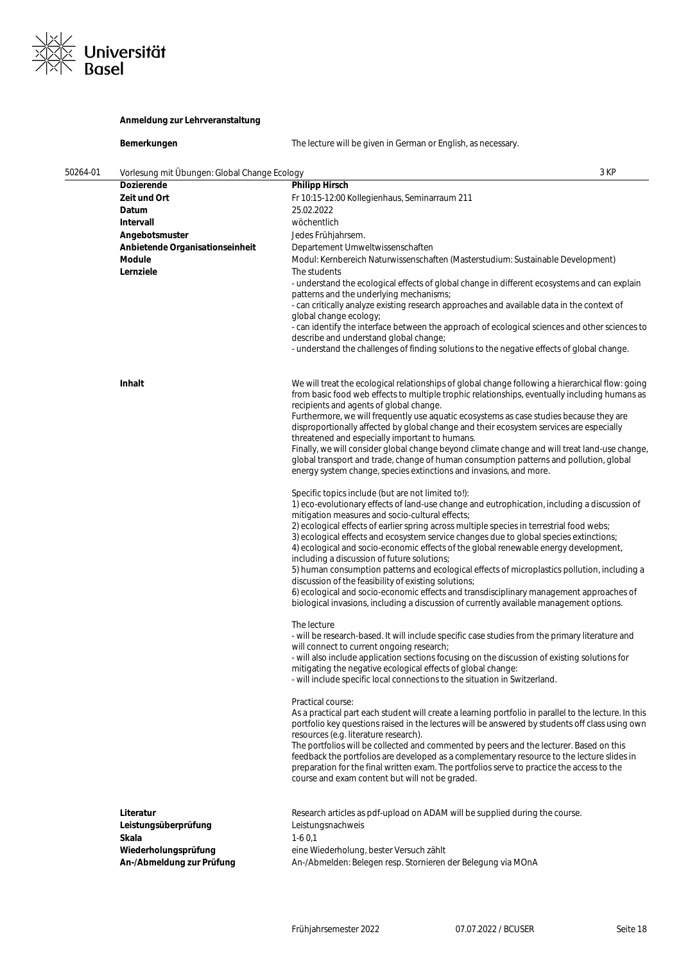

### **Anmeldung zur Lehrveranstaltung**

| 50264-01 | Vorlesung mit Übungen: Global Change Ecology |                                                                                                                                                                                                                                                               | 3 KP |
|----------|----------------------------------------------|---------------------------------------------------------------------------------------------------------------------------------------------------------------------------------------------------------------------------------------------------------------|------|
|          | <b>Dozierende</b>                            | <b>Philipp Hirsch</b>                                                                                                                                                                                                                                         |      |
|          | Zeit und Ort                                 | Fr 10:15-12:00 Kollegienhaus, Seminarraum 211                                                                                                                                                                                                                 |      |
|          | Datum                                        | 25.02.2022                                                                                                                                                                                                                                                    |      |
|          | Intervall                                    | wöchentlich                                                                                                                                                                                                                                                   |      |
|          | Angebotsmuster                               | Jedes Frühjahrsem.                                                                                                                                                                                                                                            |      |
|          | Anbietende Organisationseinheit              | Departement Umweltwissenschaften                                                                                                                                                                                                                              |      |
|          | Module<br>Lernziele                          | Modul: Kernbereich Naturwissenschaften (Masterstudium: Sustainable Development)<br>The students                                                                                                                                                               |      |
|          |                                              | - understand the ecological effects of global change in different ecosystems and can explain<br>patterns and the underlying mechanisms;                                                                                                                       |      |
|          |                                              | - can critically analyze existing research approaches and available data in the context of<br>global change ecology;                                                                                                                                          |      |
|          |                                              | - can identify the interface between the approach of ecological sciences and other sciences to<br>describe and understand global change;                                                                                                                      |      |
|          |                                              | - understand the challenges of finding solutions to the negative effects of global change.                                                                                                                                                                    |      |
|          | Inhalt                                       | We will treat the ecological relationships of global change following a hierarchical flow: going<br>from basic food web effects to multiple trophic relationships, eventually including humans as                                                             |      |
|          |                                              | recipients and agents of global change.                                                                                                                                                                                                                       |      |
|          |                                              | Furthermore, we will frequently use aquatic ecosystems as case studies because they are                                                                                                                                                                       |      |
|          |                                              | disproportionally affected by global change and their ecosystem services are especially<br>threatened and especially important to humans.                                                                                                                     |      |
|          |                                              | Finally, we will consider global change beyond climate change and will treat land-use change,<br>global transport and trade, change of human consumption patterns and pollution, global<br>energy system change, species extinctions and invasions, and more. |      |

**Bemerkungen** The lecture will be given in German or English, as necessary.

Specific topics include (but are not limited to!): 1) eco-evolutionary effects of land-use change and eutrophication, including a discussion of mitigation measures and socio-cultural effects; 2) ecological effects of earlier spring across multiple species in terrestrial food webs; 3) ecological effects and ecosystem service changes due to global species extinctions; 4) ecological and socio-economic effects of the global renewable energy development, including a discussion of future solutions; 5) human consumption patterns and ecological effects of microplastics pollution, including a discussion of the feasibility of existing solutions; 6) ecological and socio-economic effects and transdisciplinary management approaches of biological invasions, including a discussion of currently available management options. The lecture - will be research-based. It will include specific case studies from the primary literature and will connect to current ongoing research; - will also include application sections focusing on the discussion of existing solutions for

mitigating the negative ecological effects of global change: - will include specific local connections to the situation in Switzerland.

#### Practical course:

As a practical part each student will create a learning portfolio in parallel to the lecture. In this portfolio key questions raised in the lectures will be answered by students off class using own resources (e.g. literature research).

The portfolios will be collected and commented by peers and the lecturer. Based on this feedback the portfolios are developed as a complementary resource to the lecture slides in preparation for the final written exam. The portfolios serve to practice the access to the course and exam content but will not be graded.

| Literatur                 |  |
|---------------------------|--|
| Leistungsüberprüfung      |  |
| Skala                     |  |
| Wiederholungsprüfung      |  |
| An-/Abmeldung zur Prüfung |  |
|                           |  |

Research articles as pdf-upload on ADAM will be supplied during the course. Leistungsnachweis **Skala** 1-6 0,1 eine Wiederholung, bester Versuch zählt

An-/Abmelden: Belegen resp. Stornieren der Belegung via MOnA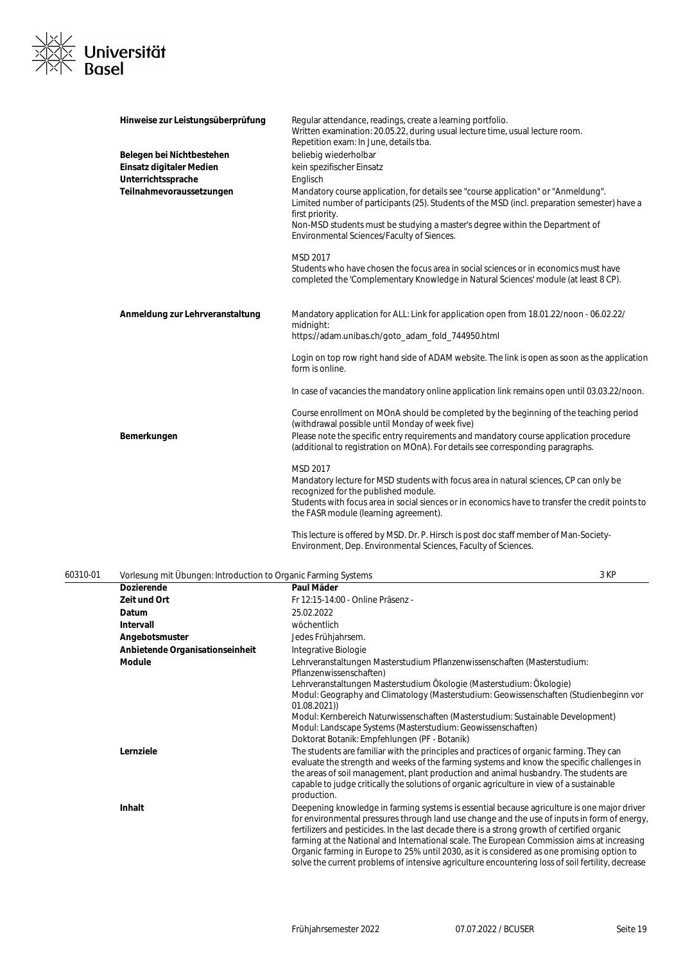

| Hinweise zur Leistungsüberprüfung | Regular attendance, readings, create a learning portfolio.<br>Written examination: 20.05.22, during usual lecture time, usual lecture room.<br>Repetition exam: In June, details tba.                                                                                                                                               |
|-----------------------------------|-------------------------------------------------------------------------------------------------------------------------------------------------------------------------------------------------------------------------------------------------------------------------------------------------------------------------------------|
| Belegen bei Nichtbestehen         | beliebig wiederholbar                                                                                                                                                                                                                                                                                                               |
| Einsatz digitaler Medien          | kein spezifischer Einsatz                                                                                                                                                                                                                                                                                                           |
| Unterrichtssprache                | Englisch                                                                                                                                                                                                                                                                                                                            |
| Teilnahmevoraussetzungen          | Mandatory course application, for details see "course application" or "Anmeldung".<br>Limited number of participants (25). Students of the MSD (incl. preparation semester) have a<br>first priority.<br>Non-MSD students must be studying a master's degree within the Department of<br>Environmental Sciences/Faculty of Siences. |
|                                   | MSD 2017<br>Students who have chosen the focus area in social sciences or in economics must have<br>completed the 'Complementary Knowledge in Natural Sciences' module (at least 8 CP).                                                                                                                                             |
| Anmeldung zur Lehrveranstaltung   | Mandatory application for ALL: Link for application open from 18.01.22/noon - 06.02.22/<br>midnight:<br>https://adam.unibas.ch/goto_adam_fold_744950.html                                                                                                                                                                           |
|                                   | Login on top row right hand side of ADAM website. The link is open as soon as the application<br>form is online.                                                                                                                                                                                                                    |
|                                   | In case of vacancies the mandatory online application link remains open until 03.03.22/noon.                                                                                                                                                                                                                                        |
|                                   | Course enrollment on MOnA should be completed by the beginning of the teaching period<br>(withdrawal possible until Monday of week five)                                                                                                                                                                                            |
| Bemerkungen                       | Please note the specific entry requirements and mandatory course application procedure<br>(additional to registration on MOnA). For details see corresponding paragraphs.                                                                                                                                                           |
|                                   | <b>MSD 2017</b><br>Mandatory lecture for MSD students with focus area in natural sciences, CP can only be<br>recognized for the published module.<br>Students with focus area in social siences or in economics have to transfer the credit points to<br>the FASR module (learning agreement).                                      |
|                                   | This lecture is offered by MSD. Dr. P. Hirsch is post doc staff member of Man-Society-<br>Environment, Dep. Environmental Sciences, Faculty of Sciences.                                                                                                                                                                            |

| 60310-01 | Vorlesung mit Übungen: Introduction to Organic Farming Systems |                                                                                                                                                                                                                                                                                                                                                                                                                                                                                                                                                                                                | 3 KP |
|----------|----------------------------------------------------------------|------------------------------------------------------------------------------------------------------------------------------------------------------------------------------------------------------------------------------------------------------------------------------------------------------------------------------------------------------------------------------------------------------------------------------------------------------------------------------------------------------------------------------------------------------------------------------------------------|------|
|          | <b>Dozierende</b>                                              | Paul Mäder                                                                                                                                                                                                                                                                                                                                                                                                                                                                                                                                                                                     |      |
|          | Zeit und Ort                                                   | Fr 12:15-14:00 - Online Präsenz -                                                                                                                                                                                                                                                                                                                                                                                                                                                                                                                                                              |      |
|          | Datum                                                          | 25.02.2022                                                                                                                                                                                                                                                                                                                                                                                                                                                                                                                                                                                     |      |
|          | <b>Intervall</b>                                               | wöchentlich                                                                                                                                                                                                                                                                                                                                                                                                                                                                                                                                                                                    |      |
|          | Angebotsmuster                                                 | Jedes Frühjahrsem.                                                                                                                                                                                                                                                                                                                                                                                                                                                                                                                                                                             |      |
|          | Anbietende Organisationseinheit                                | Integrative Biologie                                                                                                                                                                                                                                                                                                                                                                                                                                                                                                                                                                           |      |
|          | Module                                                         | Lehrveranstaltungen Masterstudium Pflanzenwissenschaften (Masterstudium:<br>Pflanzenwissenschaften)                                                                                                                                                                                                                                                                                                                                                                                                                                                                                            |      |
|          |                                                                | Lehrveranstaltungen Masterstudium Ökologie (Masterstudium: Ökologie)<br>Modul: Geography and Climatology (Masterstudium: Geowissenschaften (Studienbeginn vor<br>01.08.2021)                                                                                                                                                                                                                                                                                                                                                                                                                   |      |
|          |                                                                | Modul: Kernbereich Naturwissenschaften (Masterstudium: Sustainable Development)<br>Modul: Landscape Systems (Masterstudium: Geowissenschaften)<br>Doktorat Botanik: Empfehlungen (PF - Botanik)                                                                                                                                                                                                                                                                                                                                                                                                |      |
|          | Lernziele                                                      | The students are familiar with the principles and practices of organic farming. They can<br>evaluate the strength and weeks of the farming systems and know the specific challenges in<br>the areas of soil management, plant production and animal husbandry. The students are<br>capable to judge critically the solutions of organic agriculture in view of a sustainable<br>production.                                                                                                                                                                                                    |      |
|          | Inhalt                                                         | Deepening knowledge in farming systems is essential because agriculture is one major driver<br>for environmental pressures through land use change and the use of inputs in form of energy,<br>fertilizers and pesticides. In the last decade there is a strong growth of certified organic<br>farming at the National and International scale. The European Commission aims at increasing<br>Organic farming in Europe to 25% until 2030, as it is considered as one promising option to<br>solve the current problems of intensive agriculture encountering loss of soil fertility, decrease |      |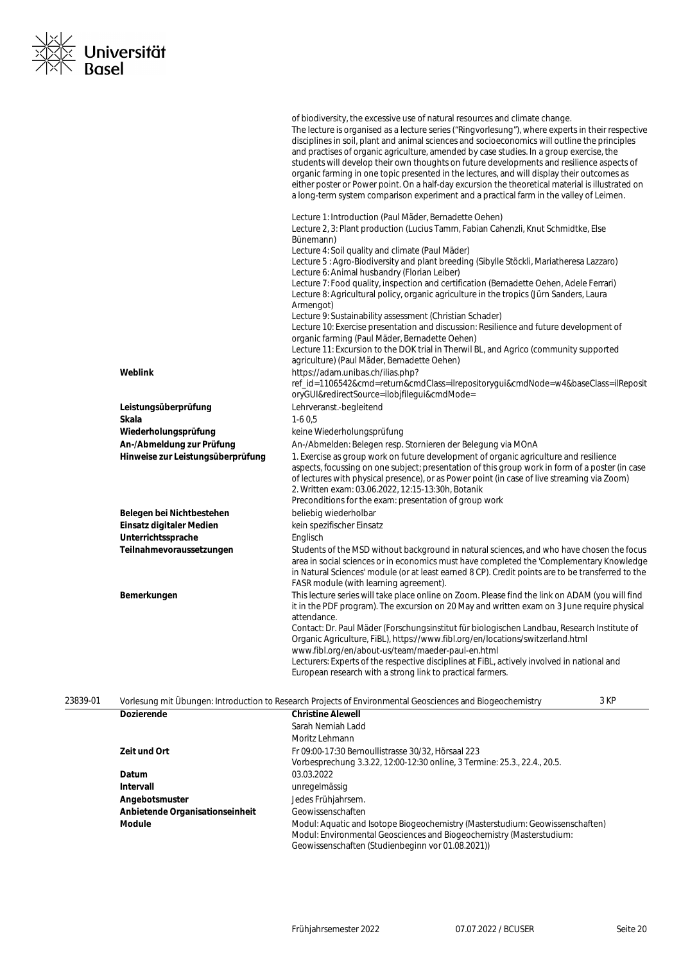

|          |                                   | of biodiversity, the excessive use of natural resources and climate change.<br>The lecture is organised as a lecture series ("Ringvorlesung"), where experts in their respective<br>disciplines in soil, plant and animal sciences and socioeconomics will outline the principles<br>and practises of organic agriculture, amended by case studies. In a group exercise, the<br>students will develop their own thoughts on future developments and resilience aspects of<br>organic farming in one topic presented in the lectures, and will display their outcomes as<br>either poster or Power point. On a half-day excursion the theoretical material is illustrated on<br>a long-term system comparison experiment and a practical farm in the valley of Leimen.                                                                                                                                        |
|----------|-----------------------------------|--------------------------------------------------------------------------------------------------------------------------------------------------------------------------------------------------------------------------------------------------------------------------------------------------------------------------------------------------------------------------------------------------------------------------------------------------------------------------------------------------------------------------------------------------------------------------------------------------------------------------------------------------------------------------------------------------------------------------------------------------------------------------------------------------------------------------------------------------------------------------------------------------------------|
|          |                                   | Lecture 1: Introduction (Paul Mäder, Bernadette Oehen)<br>Lecture 2, 3: Plant production (Lucius Tamm, Fabian Cahenzli, Knut Schmidtke, Else<br>Bünemann)<br>Lecture 4: Soil quality and climate (Paul Mäder)<br>Lecture 5 : Agro-Biodiversity and plant breeding (Sibylle Stöckli, Mariatheresa Lazzaro)<br>Lecture 6: Animal husbandry (Florian Leiber)<br>Lecture 7: Food quality, inspection and certification (Bernadette Oehen, Adele Ferrari)<br>Lecture 8: Agricultural policy, organic agriculture in the tropics (Jürn Sanders, Laura<br>Armengot)<br>Lecture 9: Sustainability assessment (Christian Schader)<br>Lecture 10: Exercise presentation and discussion: Resilience and future development of<br>organic farming (Paul Mäder, Bernadette Oehen)<br>Lecture 11: Excursion to the DOK trial in Therwil BL, and Agrico (community supported<br>agriculture) (Paul Mäder, Bernadette Oehen) |
|          | Weblink                           | https://adam.unibas.ch/ilias.php?<br>ref_id=1106542&cmd=return&cmdClass=ilrepositorygui&cmdNode=w4&baseClass=ilReposit<br>oryGUI&redirectSource=ilobjfilegui&cmdMode=                                                                                                                                                                                                                                                                                                                                                                                                                                                                                                                                                                                                                                                                                                                                        |
|          | Leistungsüberprüfung              | Lehrveranst.-begleitend                                                                                                                                                                                                                                                                                                                                                                                                                                                                                                                                                                                                                                                                                                                                                                                                                                                                                      |
|          | Skala                             | $1-60,5$                                                                                                                                                                                                                                                                                                                                                                                                                                                                                                                                                                                                                                                                                                                                                                                                                                                                                                     |
|          | Wiederholungsprüfung              | keine Wiederholungsprüfung                                                                                                                                                                                                                                                                                                                                                                                                                                                                                                                                                                                                                                                                                                                                                                                                                                                                                   |
|          | An-/Abmeldung zur Prüfung         | An-/Abmelden: Belegen resp. Stornieren der Belegung via MOnA                                                                                                                                                                                                                                                                                                                                                                                                                                                                                                                                                                                                                                                                                                                                                                                                                                                 |
|          | Hinweise zur Leistungsüberprüfung | 1. Exercise as group work on future development of organic agriculture and resilience<br>aspects, focussing on one subject; presentation of this group work in form of a poster (in case<br>of lectures with physical presence), or as Power point (in case of live streaming via Zoom)<br>2. Written exam: 03.06.2022, 12:15-13:30h, Botanik<br>Preconditions for the exam: presentation of group work                                                                                                                                                                                                                                                                                                                                                                                                                                                                                                      |
|          | Belegen bei Nichtbestehen         | beliebig wiederholbar                                                                                                                                                                                                                                                                                                                                                                                                                                                                                                                                                                                                                                                                                                                                                                                                                                                                                        |
|          | Einsatz digitaler Medien          | kein spezifischer Einsatz                                                                                                                                                                                                                                                                                                                                                                                                                                                                                                                                                                                                                                                                                                                                                                                                                                                                                    |
|          | Unterrichtssprache                | Englisch                                                                                                                                                                                                                                                                                                                                                                                                                                                                                                                                                                                                                                                                                                                                                                                                                                                                                                     |
|          | Teilnahmevoraussetzungen          | Students of the MSD without background in natural sciences, and who have chosen the focus<br>area in social sciences or in economics must have completed the 'Complementary Knowledge<br>in Natural Sciences' module (or at least earned 8 CP). Credit points are to be transferred to the<br>FASR module (with learning agreement).                                                                                                                                                                                                                                                                                                                                                                                                                                                                                                                                                                         |
|          | Bemerkungen                       | This lecture series will take place online on Zoom. Please find the link on ADAM (you will find<br>it in the PDF program). The excursion on 20 May and written exam on 3 June require physical<br>attendance.<br>Contact: Dr. Paul Mäder (Forschungsinstitut für biologischen Landbau, Research Institute of                                                                                                                                                                                                                                                                                                                                                                                                                                                                                                                                                                                                 |
|          |                                   | Organic Agriculture, FiBL), https://www.fibl.org/en/locations/switzerland.html<br>www.fibl.org/en/about-us/team/maeder-paul-en.html<br>Lecturers: Experts of the respective disciplines at FiBL, actively involved in national and<br>European research with a strong link to practical farmers.                                                                                                                                                                                                                                                                                                                                                                                                                                                                                                                                                                                                             |
| 23839-01 | <b>Dozierende</b>                 | 3 KP<br>Vorlesung mit Übungen: Introduction to Research Projects of Environmental Geosciences and Biogeochemistry<br><b>Christine Alewell</b>                                                                                                                                                                                                                                                                                                                                                                                                                                                                                                                                                                                                                                                                                                                                                                |
|          |                                   | Sarah Nemiah Ladd                                                                                                                                                                                                                                                                                                                                                                                                                                                                                                                                                                                                                                                                                                                                                                                                                                                                                            |
|          |                                   | Moritz Lehmann                                                                                                                                                                                                                                                                                                                                                                                                                                                                                                                                                                                                                                                                                                                                                                                                                                                                                               |
|          | Zeit und Ort                      | Fr 09:00-17:30 Bernoullistrasse 30/32, Hörsaal 223<br>Vorbesprechung 3.3.22, 12:00-12:30 online, 3 Termine: 25.3., 22.4., 20.5.                                                                                                                                                                                                                                                                                                                                                                                                                                                                                                                                                                                                                                                                                                                                                                              |
|          | Datum                             | 03.03.2022                                                                                                                                                                                                                                                                                                                                                                                                                                                                                                                                                                                                                                                                                                                                                                                                                                                                                                   |
|          | Intervall                         | unregelmässig                                                                                                                                                                                                                                                                                                                                                                                                                                                                                                                                                                                                                                                                                                                                                                                                                                                                                                |
|          | Angebotsmuster                    | Jedes Frühjahrsem.                                                                                                                                                                                                                                                                                                                                                                                                                                                                                                                                                                                                                                                                                                                                                                                                                                                                                           |
|          | Anbietende Organisationseinheit   | Geowissenschaften                                                                                                                                                                                                                                                                                                                                                                                                                                                                                                                                                                                                                                                                                                                                                                                                                                                                                            |
|          | Module                            | Modul: Aquatic and Isotope Biogeochemistry (Masterstudium: Geowissenschaften)                                                                                                                                                                                                                                                                                                                                                                                                                                                                                                                                                                                                                                                                                                                                                                                                                                |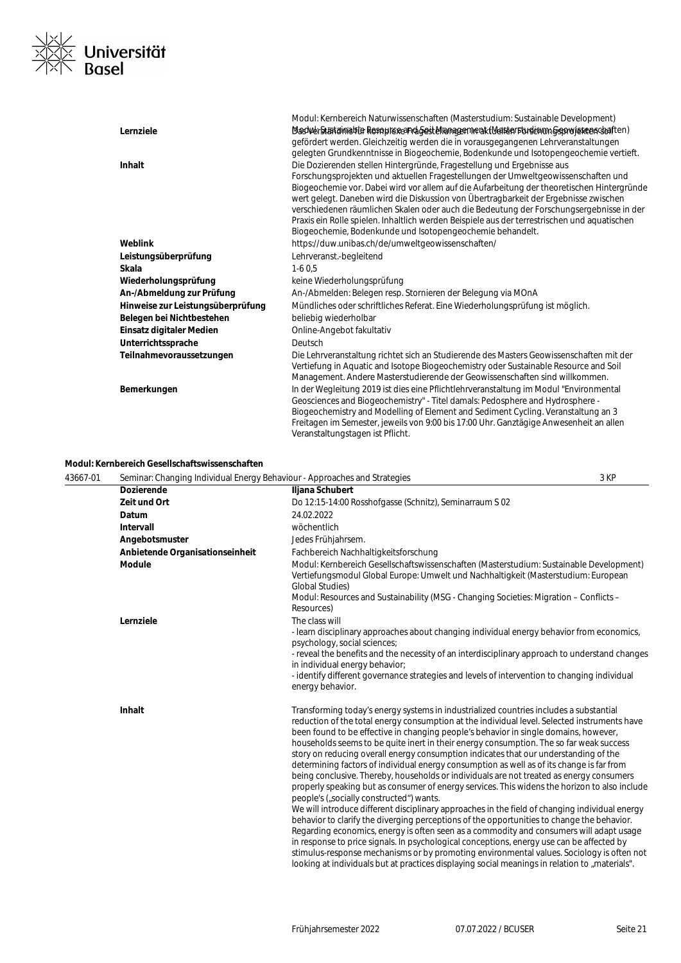

|                                   | Modul: Kernbereich Naturwissenschaften (Masterstudium: Sustainable Development)                                                                           |
|-----------------------------------|-----------------------------------------------------------------------------------------------------------------------------------------------------------|
| Lernziele                         | Dlashverstætelmistella Resinplickeand Gost Managenmeak (Walten Forstumm Geororjskeenstaften)                                                              |
|                                   | gefördert werden. Gleichzeitig werden die in vorausgegangenen Lehrveranstaltungen                                                                         |
|                                   | gelegten Grundkenntnisse in Biogeochemie, Bodenkunde und Isotopengeochemie vertieft.                                                                      |
| <b>Inhalt</b>                     | Die Dozierenden stellen Hintergründe, Fragestellung und Ergebnisse aus                                                                                    |
|                                   | Forschungsprojekten und aktuellen Fragestellungen der Umweltgeowissenschaften und                                                                         |
|                                   | Biogeochemie vor. Dabei wird vor allem auf die Aufarbeitung der theoretischen Hintergründe                                                                |
|                                   | wert gelegt. Daneben wird die Diskussion von Übertragbarkeit der Ergebnisse zwischen                                                                      |
|                                   | verschiedenen räumlichen Skalen oder auch die Bedeutung der Forschungsergebnisse in der                                                                   |
|                                   | Praxis ein Rolle spielen. Inhaltlich werden Beispiele aus der terrestrischen und aquatischen<br>Biogeochemie, Bodenkunde und Isotopengeochemie behandelt. |
| Weblink                           | https://duw.unibas.ch/de/umweltgeowissenschaften/                                                                                                         |
|                                   | Lehrveranst.-begleitend                                                                                                                                   |
| Leistungsüberprüfung              |                                                                                                                                                           |
| Skala                             | $1-60.5$                                                                                                                                                  |
| Wiederholungsprüfung              | keine Wiederholungsprüfung                                                                                                                                |
| An-/Abmeldung zur Prüfung         | An-/Abmelden: Belegen resp. Stornieren der Belegung via MOnA                                                                                              |
| Hinweise zur Leistungsüberprüfung | Mündliches oder schriftliches Referat. Eine Wiederholungsprüfung ist möglich.                                                                             |
| Belegen bei Nichtbestehen         | beliebig wiederholbar                                                                                                                                     |
| Einsatz digitaler Medien          | Online-Angebot fakultativ                                                                                                                                 |
| Unterrichtssprache                | Deutsch                                                                                                                                                   |
| Teilnahmevoraussetzungen          | Die Lehrveranstaltung richtet sich an Studierende des Masters Geowissenschaften mit der                                                                   |
|                                   | Vertiefung in Aquatic and Isotope Biogeochemistry oder Sustainable Resource and Soil                                                                      |
|                                   | Management. Andere Masterstudierende der Geowissenschaften sind willkommen.                                                                               |
| Bemerkungen                       | In der Wegleitung 2019 ist dies eine Pflichtlehrveranstaltung im Modul "Environmental                                                                     |
|                                   | Geosciences and Biogeochemistry" - Titel damals: Pedosphere and Hydrosphere -                                                                             |
|                                   | Biogeochemistry and Modelling of Element and Sediment Cycling. Veranstaltung an 3                                                                         |
|                                   | Freitagen im Semester, jeweils von 9:00 bis 17:00 Uhr. Ganztägige Anwesenheit an allen                                                                    |
|                                   | Veranstaltungstagen ist Pflicht.                                                                                                                          |

# **Modul: Kernbereich Gesellschaftswissenschaften**

| 43667-01 | Seminar: Changing Individual Energy Behaviour - Approaches and Strategies |                                                                                                                                                                                                                                                                                                                                                                                                                                                                                                                                                                                                                                                                                                                                                                                                                                                                                                                                                                                                                                                                                                                                                                                                                                                                                                                                                                                                | 3 KP |
|----------|---------------------------------------------------------------------------|------------------------------------------------------------------------------------------------------------------------------------------------------------------------------------------------------------------------------------------------------------------------------------------------------------------------------------------------------------------------------------------------------------------------------------------------------------------------------------------------------------------------------------------------------------------------------------------------------------------------------------------------------------------------------------------------------------------------------------------------------------------------------------------------------------------------------------------------------------------------------------------------------------------------------------------------------------------------------------------------------------------------------------------------------------------------------------------------------------------------------------------------------------------------------------------------------------------------------------------------------------------------------------------------------------------------------------------------------------------------------------------------|------|
|          | <b>Dozierende</b>                                                         | Iljana Schubert                                                                                                                                                                                                                                                                                                                                                                                                                                                                                                                                                                                                                                                                                                                                                                                                                                                                                                                                                                                                                                                                                                                                                                                                                                                                                                                                                                                |      |
|          | Zeit und Ort                                                              | Do 12:15-14:00 Rosshofgasse (Schnitz), Seminarraum S 02                                                                                                                                                                                                                                                                                                                                                                                                                                                                                                                                                                                                                                                                                                                                                                                                                                                                                                                                                                                                                                                                                                                                                                                                                                                                                                                                        |      |
|          | Datum                                                                     | 24.02.2022                                                                                                                                                                                                                                                                                                                                                                                                                                                                                                                                                                                                                                                                                                                                                                                                                                                                                                                                                                                                                                                                                                                                                                                                                                                                                                                                                                                     |      |
|          | Intervall                                                                 | wöchentlich                                                                                                                                                                                                                                                                                                                                                                                                                                                                                                                                                                                                                                                                                                                                                                                                                                                                                                                                                                                                                                                                                                                                                                                                                                                                                                                                                                                    |      |
|          | Angebotsmuster                                                            | Jedes Frühjahrsem.                                                                                                                                                                                                                                                                                                                                                                                                                                                                                                                                                                                                                                                                                                                                                                                                                                                                                                                                                                                                                                                                                                                                                                                                                                                                                                                                                                             |      |
|          | Anbietende Organisationseinheit                                           | Fachbereich Nachhaltigkeitsforschung                                                                                                                                                                                                                                                                                                                                                                                                                                                                                                                                                                                                                                                                                                                                                                                                                                                                                                                                                                                                                                                                                                                                                                                                                                                                                                                                                           |      |
|          | <b>Module</b>                                                             | Modul: Kernbereich Gesellschaftswissenschaften (Masterstudium: Sustainable Development)<br>Vertiefungsmodul Global Europe: Umwelt und Nachhaltigkeit (Masterstudium: European<br><b>Global Studies)</b><br>Modul: Resources and Sustainability (MSG - Changing Societies: Migration - Conflicts -<br>Resources)                                                                                                                                                                                                                                                                                                                                                                                                                                                                                                                                                                                                                                                                                                                                                                                                                                                                                                                                                                                                                                                                                |      |
|          | Lernziele                                                                 | The class will<br>- learn disciplinary approaches about changing individual energy behavior from economics,<br>psychology, social sciences;<br>- reveal the benefits and the necessity of an interdisciplinary approach to understand changes<br>in individual energy behavior:<br>- identify different governance strategies and levels of intervention to changing individual<br>energy behavior.                                                                                                                                                                                                                                                                                                                                                                                                                                                                                                                                                                                                                                                                                                                                                                                                                                                                                                                                                                                            |      |
|          | Inhalt                                                                    | Transforming today's energy systems in industrialized countries includes a substantial<br>reduction of the total energy consumption at the individual level. Selected instruments have<br>been found to be effective in changing people's behavior in single domains, however,<br>households seems to be quite inert in their energy consumption. The so far weak success<br>story on reducing overall energy consumption indicates that our understanding of the<br>determining factors of individual energy consumption as well as of its change is far from<br>being conclusive. Thereby, households or individuals are not treated as energy consumers<br>properly speaking but as consumer of energy services. This widens the horizon to also include<br>people's ("socially constructed") wants.<br>We will introduce different disciplinary approaches in the field of changing individual energy<br>behavior to clarify the diverging perceptions of the opportunities to change the behavior.<br>Regarding economics, energy is often seen as a commodity and consumers will adapt usage<br>in response to price signals. In psychological conceptions, energy use can be affected by<br>stimulus-response mechanisms or by promoting environmental values. Sociology is often not<br>looking at individuals but at practices displaying social meanings in relation to "materials". |      |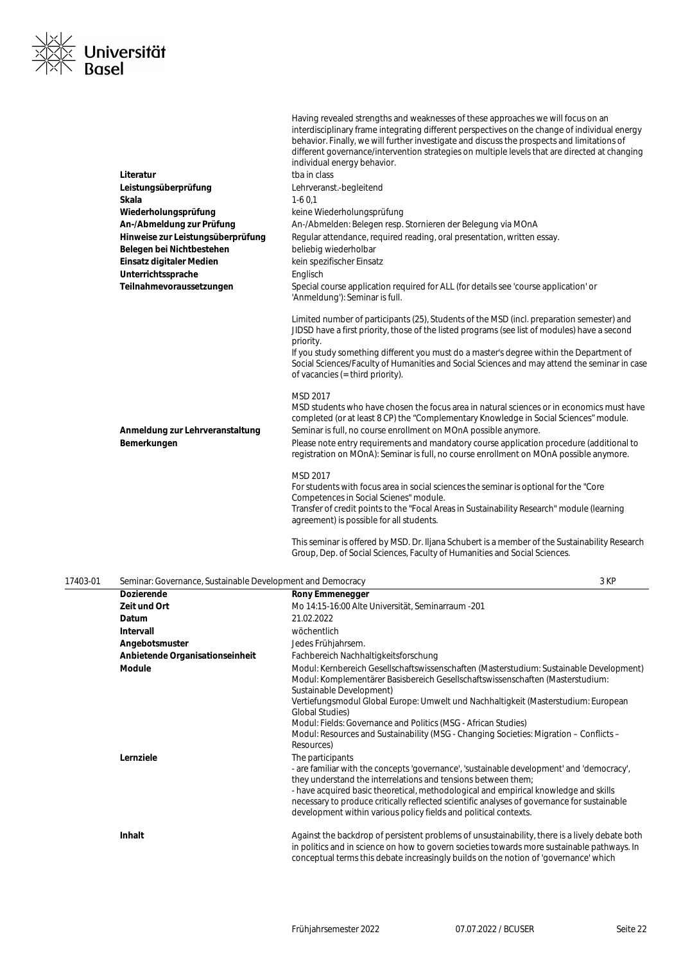

|                                                | Having revealed strengths and weaknesses of these approaches we will focus on an<br>interdisciplinary frame integrating different perspectives on the change of individual energy<br>behavior. Finally, we will further investigate and discuss the prospects and limitations of<br>different governance/intervention strategies on multiple levels that are directed at changing<br>individual energy behavior.                                        |
|------------------------------------------------|---------------------------------------------------------------------------------------------------------------------------------------------------------------------------------------------------------------------------------------------------------------------------------------------------------------------------------------------------------------------------------------------------------------------------------------------------------|
| Literatur                                      | tba in class                                                                                                                                                                                                                                                                                                                                                                                                                                            |
| Leistungsüberprüfung                           | Lehrveranst.-begleitend                                                                                                                                                                                                                                                                                                                                                                                                                                 |
| Skala                                          | $1-60.1$                                                                                                                                                                                                                                                                                                                                                                                                                                                |
| Wiederholungsprüfung                           | keine Wiederholungsprüfung                                                                                                                                                                                                                                                                                                                                                                                                                              |
| An-/Abmeldung zur Prüfung                      | An-/Abmelden: Belegen resp. Stornieren der Belegung via MOnA                                                                                                                                                                                                                                                                                                                                                                                            |
| Hinweise zur Leistungsüberprüfung              | Regular attendance, required reading, oral presentation, written essay.                                                                                                                                                                                                                                                                                                                                                                                 |
| Belegen bei Nichtbestehen                      | beliebig wiederholbar                                                                                                                                                                                                                                                                                                                                                                                                                                   |
| Einsatz digitaler Medien                       | kein spezifischer Einsatz                                                                                                                                                                                                                                                                                                                                                                                                                               |
| Unterrichtssprache                             | Englisch                                                                                                                                                                                                                                                                                                                                                                                                                                                |
| Teilnahmevoraussetzungen                       | Special course application required for ALL (for details see 'course application' or<br>'Anmeldung'): Seminar is full.                                                                                                                                                                                                                                                                                                                                  |
|                                                | Limited number of participants (25), Students of the MSD (incl. preparation semester) and<br>JIDSD have a first priority, those of the listed programs (see list of modules) have a second<br>priority.<br>If you study something different you must do a master's degree within the Department of<br>Social Sciences/Faculty of Humanities and Social Sciences and may attend the seminar in case<br>of vacancies (= third priority).                  |
| Anmeldung zur Lehrveranstaltung<br>Bemerkungen | MSD 2017<br>MSD students who have chosen the focus area in natural sciences or in economics must have<br>completed (or at least 8 CP) the "Complementary Knowledge in Social Sciences" module.<br>Seminar is full, no course enrollment on MOnA possible anymore.<br>Please note entry requirements and mandatory course application procedure (additional to<br>registration on MOnA): Seminar is full, no course enrollment on MOnA possible anymore. |
|                                                | MSD 2017<br>For students with focus area in social sciences the seminar is optional for the "Core"<br>Competences in Social Scienes" module.<br>Transfer of credit points to the "Focal Areas in Sustainability Research" module (learning<br>agreement) is possible for all students.                                                                                                                                                                  |
|                                                | This seminar is offered by MSD. Dr. Iljana Schubert is a member of the Sustainability Research<br>Group, Dep. of Social Sciences, Faculty of Humanities and Social Sciences.                                                                                                                                                                                                                                                                            |

| 17403-01 | Seminar: Governance, Sustainable Development and Democracy |                                                                                                                                                                                                                                                                                                                                                                                                                                           | 3 KP |
|----------|------------------------------------------------------------|-------------------------------------------------------------------------------------------------------------------------------------------------------------------------------------------------------------------------------------------------------------------------------------------------------------------------------------------------------------------------------------------------------------------------------------------|------|
|          | <b>Dozierende</b>                                          | <b>Rony Emmenegger</b>                                                                                                                                                                                                                                                                                                                                                                                                                    |      |
|          | Zeit und Ort                                               | Mo 14:15-16:00 Alte Universität, Seminarraum -201                                                                                                                                                                                                                                                                                                                                                                                         |      |
|          | Datum                                                      | 21.02.2022                                                                                                                                                                                                                                                                                                                                                                                                                                |      |
|          | Intervall                                                  | wöchentlich                                                                                                                                                                                                                                                                                                                                                                                                                               |      |
|          | Angebotsmuster                                             | Jedes Frühjahrsem.                                                                                                                                                                                                                                                                                                                                                                                                                        |      |
|          | Anbietende Organisationseinheit                            | Fachbereich Nachhaltigkeitsforschung                                                                                                                                                                                                                                                                                                                                                                                                      |      |
|          | <b>Module</b>                                              | Modul: Kernbereich Gesellschaftswissenschaften (Masterstudium: Sustainable Development)<br>Modul: Komplementärer Basisbereich Gesellschaftswissenschaften (Masterstudium:<br>Sustainable Development)                                                                                                                                                                                                                                     |      |
|          |                                                            | Vertiefungsmodul Global Europe: Umwelt und Nachhaltigkeit (Masterstudium: European<br><b>Global Studies)</b>                                                                                                                                                                                                                                                                                                                              |      |
|          |                                                            | Modul: Fields: Governance and Politics (MSG - African Studies)<br>Modul: Resources and Sustainability (MSG - Changing Societies: Migration - Conflicts -<br>Resources)                                                                                                                                                                                                                                                                    |      |
|          | Lernziele                                                  | The participants<br>- are familiar with the concepts 'governance', 'sustainable development' and 'democracy',<br>they understand the interrelations and tensions between them;<br>- have acquired basic theoretical, methodological and empirical knowledge and skills<br>necessary to produce critically reflected scientific analyses of governance for sustainable<br>development within various policy fields and political contexts. |      |
|          | Inhalt                                                     | Against the backdrop of persistent problems of unsustainability, there is a lively debate both<br>in politics and in science on how to govern societies towards more sustainable pathways. In<br>conceptual terms this debate increasingly builds on the notion of 'governance' which                                                                                                                                                     |      |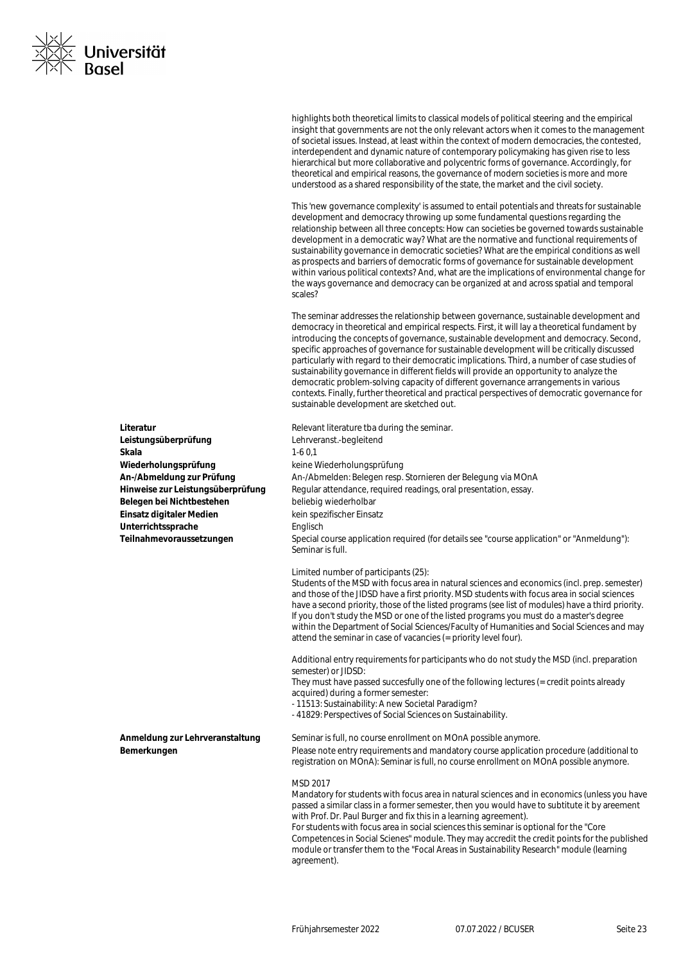

highlights both theoretical limits to classical models of political steering and the empirical insight that governments are not the only relevant actors when it comes to the management of societal issues. Instead, at least within the context of modern democracies, the contested, interdependent and dynamic nature of contemporary policymaking has given rise to less hierarchical but more collaborative and polycentric forms of governance. Accordingly, for theoretical and empirical reasons, the governance of modern societies is more and more understood as a shared responsibility of the state, the market and the civil society.

This 'new governance complexity' is assumed to entail potentials and threats for sustainable development and democracy throwing up some fundamental questions regarding the relationship between all three concepts: How can societies be governed towards sustainable development in a democratic way? What are the normative and functional requirements of sustainability governance in democratic societies? What are the empirical conditions as well as prospects and barriers of democratic forms of governance for sustainable development within various political contexts? And, what are the implications of environmental change for the ways governance and democracy can be organized at and across spatial and temporal scales?

The seminar addresses the relationship between governance, sustainable development and democracy in theoretical and empirical respects. First, it will lay a theoretical fundament by introducing the concepts of governance, sustainable development and democracy. Second, specific approaches of governance for sustainable development will be critically discussed particularly with regard to their democratic implications. Third, a number of case studies of sustainability governance in different fields will provide an opportunity to analyze the democratic problem-solving capacity of different governance arrangements in various contexts. Finally, further theoretical and practical perspectives of democratic governance for sustainable development are sketched out.

**Literatur Literatur** Relevant literature tha during the seminar. **An-/Abmeldung zur Prüfung** An-/Abmelden: Belegen resp. Stornieren der Belegung via MOnA Hinweise zur Leistungsüberprüfung Regular attendance, required readings, oral presentation, essay. **Teilnahmevoraussetzungen** Special course application required (for details see "course application" or "Anmeldung"): Seminar is full.

Limited number of participants (25):

Students of the MSD with focus area in natural sciences and economics (incl. prep. semester) and those of the JIDSD have a first priority. MSD students with focus area in social sciences have a second priority, those of the listed programs (see list of modules) have a third priority. If you don't study the MSD or one of the listed programs you must do a master's degree within the Department of Social Sciences/Faculty of Humanities and Social Sciences and may attend the seminar in case of vacancies (= priority level four).

Additional entry requirements for participants who do not study the MSD (incl. preparation semester) or JIDSD:

They must have passed succesfully one of the following lectures (= credit points already acquired) during a former semester:

- 11513: Sustainability: A new Societal Paradigm?
- 41829: Perspectives of Social Sciences on Sustainability.

**Anmeldung zur Lehrveranstaltung** Seminar is full, no course enrollment on MOnA possible anymore. **Bemerkungen** Please note entry requirements and mandatory course application procedure (additional to registration on MOnA): Seminar is full, no course enrollment on MOnA possible anymore.

#### MSD 2017

Mandatory for students with focus area in natural sciences and in economics (unless you have passed a similar class in a former semester, then you would have to subtitute it by areement with Prof. Dr. Paul Burger and fix this in a learning agreement). For students with focus area in social sciences this seminar is optional for the "Core Competences in Social Scienes" module. They may accredit the credit points for the published module or transfer them to the "Focal Areas in Sustainability Research" module (learning agreement).

**Leistungsüberprüfung** Lehrveranst.-begleitend **Skala** 1-6 0,1 **Wiederholungsprüfung** keine Wiederholungsprüfung Belegen bei Nichtbestehen beliebig wiederholbar Einsatz digitaler Medien **Kein spezifischer Einsatz** Unterrichtssprache **Englisch**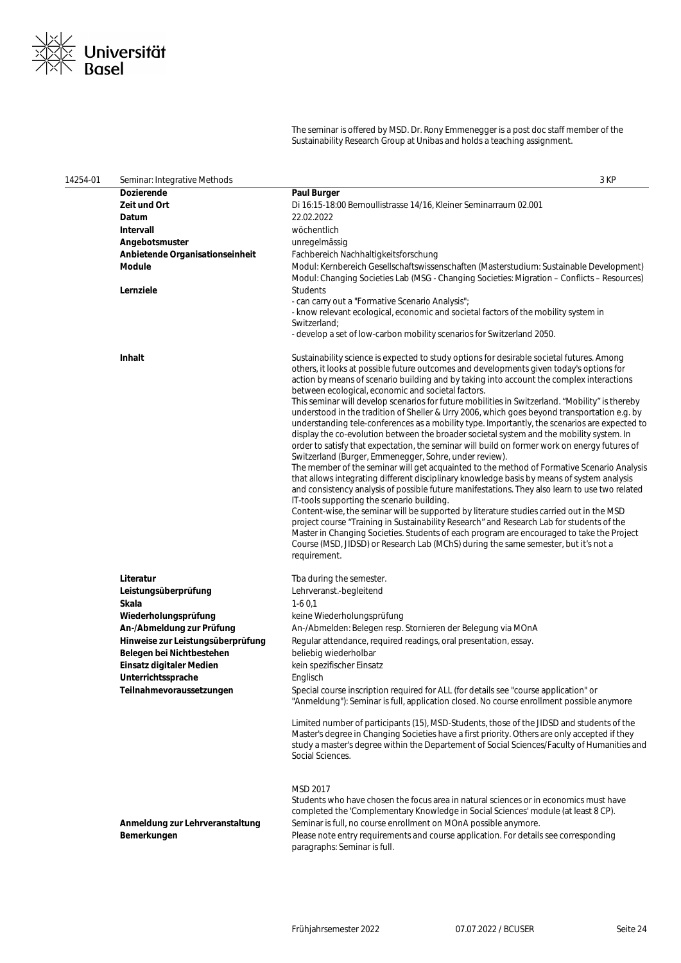

The seminar is offered by MSD. Dr. Rony Emmenegger is a post doc staff member of the Sustainability Research Group at Unibas and holds a teaching assignment.

| 14254-01 | Seminar: Integrative Methods                                                                                                                                                                                                                    | 3 KP                                                                                                                                                                                                                                                                                                                                                                                                                                                                                                                                                                                                                                                                                                                                                                                                                                                                                                                                                                                                                                                                                                                                                                                                                                                                                                                                                                                                                                                                                                                                                                                                                                       |
|----------|-------------------------------------------------------------------------------------------------------------------------------------------------------------------------------------------------------------------------------------------------|--------------------------------------------------------------------------------------------------------------------------------------------------------------------------------------------------------------------------------------------------------------------------------------------------------------------------------------------------------------------------------------------------------------------------------------------------------------------------------------------------------------------------------------------------------------------------------------------------------------------------------------------------------------------------------------------------------------------------------------------------------------------------------------------------------------------------------------------------------------------------------------------------------------------------------------------------------------------------------------------------------------------------------------------------------------------------------------------------------------------------------------------------------------------------------------------------------------------------------------------------------------------------------------------------------------------------------------------------------------------------------------------------------------------------------------------------------------------------------------------------------------------------------------------------------------------------------------------------------------------------------------------|
|          | <b>Dozierende</b>                                                                                                                                                                                                                               | <b>Paul Burger</b>                                                                                                                                                                                                                                                                                                                                                                                                                                                                                                                                                                                                                                                                                                                                                                                                                                                                                                                                                                                                                                                                                                                                                                                                                                                                                                                                                                                                                                                                                                                                                                                                                         |
|          | <b>Zeit und Ort</b>                                                                                                                                                                                                                             | Di 16:15-18:00 Bernoullistrasse 14/16, Kleiner Seminarraum 02.001                                                                                                                                                                                                                                                                                                                                                                                                                                                                                                                                                                                                                                                                                                                                                                                                                                                                                                                                                                                                                                                                                                                                                                                                                                                                                                                                                                                                                                                                                                                                                                          |
|          | Datum                                                                                                                                                                                                                                           | 22.02.2022                                                                                                                                                                                                                                                                                                                                                                                                                                                                                                                                                                                                                                                                                                                                                                                                                                                                                                                                                                                                                                                                                                                                                                                                                                                                                                                                                                                                                                                                                                                                                                                                                                 |
|          | Intervall                                                                                                                                                                                                                                       | wöchentlich                                                                                                                                                                                                                                                                                                                                                                                                                                                                                                                                                                                                                                                                                                                                                                                                                                                                                                                                                                                                                                                                                                                                                                                                                                                                                                                                                                                                                                                                                                                                                                                                                                |
|          | Angebotsmuster                                                                                                                                                                                                                                  | unregelmässig                                                                                                                                                                                                                                                                                                                                                                                                                                                                                                                                                                                                                                                                                                                                                                                                                                                                                                                                                                                                                                                                                                                                                                                                                                                                                                                                                                                                                                                                                                                                                                                                                              |
|          | Anbietende Organisationseinheit                                                                                                                                                                                                                 | Fachbereich Nachhaltigkeitsforschung                                                                                                                                                                                                                                                                                                                                                                                                                                                                                                                                                                                                                                                                                                                                                                                                                                                                                                                                                                                                                                                                                                                                                                                                                                                                                                                                                                                                                                                                                                                                                                                                       |
|          | <b>Module</b>                                                                                                                                                                                                                                   | Modul: Kernbereich Gesellschaftswissenschaften (Masterstudium: Sustainable Development)<br>Modul: Changing Societies Lab (MSG - Changing Societies: Migration - Conflicts - Resources)                                                                                                                                                                                                                                                                                                                                                                                                                                                                                                                                                                                                                                                                                                                                                                                                                                                                                                                                                                                                                                                                                                                                                                                                                                                                                                                                                                                                                                                     |
|          | Lernziele                                                                                                                                                                                                                                       | <b>Students</b>                                                                                                                                                                                                                                                                                                                                                                                                                                                                                                                                                                                                                                                                                                                                                                                                                                                                                                                                                                                                                                                                                                                                                                                                                                                                                                                                                                                                                                                                                                                                                                                                                            |
|          |                                                                                                                                                                                                                                                 | - can carry out a "Formative Scenario Analysis";                                                                                                                                                                                                                                                                                                                                                                                                                                                                                                                                                                                                                                                                                                                                                                                                                                                                                                                                                                                                                                                                                                                                                                                                                                                                                                                                                                                                                                                                                                                                                                                           |
|          |                                                                                                                                                                                                                                                 | - know relevant ecological, economic and societal factors of the mobility system in<br>Switzerland;                                                                                                                                                                                                                                                                                                                                                                                                                                                                                                                                                                                                                                                                                                                                                                                                                                                                                                                                                                                                                                                                                                                                                                                                                                                                                                                                                                                                                                                                                                                                        |
|          |                                                                                                                                                                                                                                                 | - develop a set of low-carbon mobility scenarios for Switzerland 2050.                                                                                                                                                                                                                                                                                                                                                                                                                                                                                                                                                                                                                                                                                                                                                                                                                                                                                                                                                                                                                                                                                                                                                                                                                                                                                                                                                                                                                                                                                                                                                                     |
|          |                                                                                                                                                                                                                                                 |                                                                                                                                                                                                                                                                                                                                                                                                                                                                                                                                                                                                                                                                                                                                                                                                                                                                                                                                                                                                                                                                                                                                                                                                                                                                                                                                                                                                                                                                                                                                                                                                                                            |
|          | <b>Inhalt</b>                                                                                                                                                                                                                                   | Sustainability science is expected to study options for desirable societal futures. Among<br>others, it looks at possible future outcomes and developments given today's options for<br>action by means of scenario building and by taking into account the complex interactions<br>between ecological, economic and societal factors.<br>This seminar will develop scenarios for future mobilities in Switzerland. "Mobility" is thereby<br>understood in the tradition of Sheller & Urry 2006, which goes beyond transportation e.g. by<br>understanding tele-conferences as a mobility type. Importantly, the scenarios are expected to<br>display the co-evolution between the broader societal system and the mobility system. In<br>order to satisfy that expectation, the seminar will build on former work on energy futures of<br>Switzerland (Burger, Emmenegger, Sohre, under review).<br>The member of the seminar will get acquainted to the method of Formative Scenario Analysis<br>that allows integrating different disciplinary knowledge basis by means of system analysis<br>and consistency analysis of possible future manifestations. They also learn to use two related<br>IT-tools supporting the scenario building.<br>Content-wise, the seminar will be supported by literature studies carried out in the MSD<br>project course "Training in Sustainability Research" and Research Lab for students of the<br>Master in Changing Societies. Students of each program are encouraged to take the Project<br>Course (MSD, JIDSD) or Research Lab (MChS) during the same semester, but it's not a<br>requirement. |
|          | Literatur<br>Leistungsüberprüfung<br>Skala<br>Wiederholungsprüfung<br>An-/Abmeldung zur Prüfung<br>Hinweise zur Leistungsüberprüfung<br>Belegen bei Nichtbestehen<br>Einsatz digitaler Medien<br>Unterrichtssprache<br>Teilnahmevoraussetzungen | Tba during the semester.<br>Lehrveranst.-begleitend<br>$1-60,1$<br>keine Wiederholungsprüfung<br>An-/Abmelden: Belegen resp. Stornieren der Belegung via MOnA<br>Regular attendance, required readings, oral presentation, essay.<br>beliebig wiederholbar<br>kein spezifischer Einsatz<br>Englisch<br>Special course inscription required for ALL (for details see "course application" or<br>"Anmeldung"): Seminar is full, application closed. No course enrollment possible anymore<br>Limited number of participants (15), MSD-Students, those of the JIDSD and students of the<br>Master's degree in Changing Societies have a first priority. Others are only accepted if they<br>study a master's degree within the Departement of Social Sciences/Faculty of Humanities and<br>Social Sciences.                                                                                                                                                                                                                                                                                                                                                                                                                                                                                                                                                                                                                                                                                                                                                                                                                                   |
|          | Anmeldung zur Lehrveranstaltung<br>Bemerkungen                                                                                                                                                                                                  | MSD 2017<br>Students who have chosen the focus area in natural sciences or in economics must have<br>completed the 'Complementary Knowledge in Social Sciences' module (at least 8 CP).<br>Seminar is full, no course enrollment on MOnA possible anymore.<br>Please note entry requirements and course application. For details see corresponding<br>paragraphs: Seminar is full.                                                                                                                                                                                                                                                                                                                                                                                                                                                                                                                                                                                                                                                                                                                                                                                                                                                                                                                                                                                                                                                                                                                                                                                                                                                         |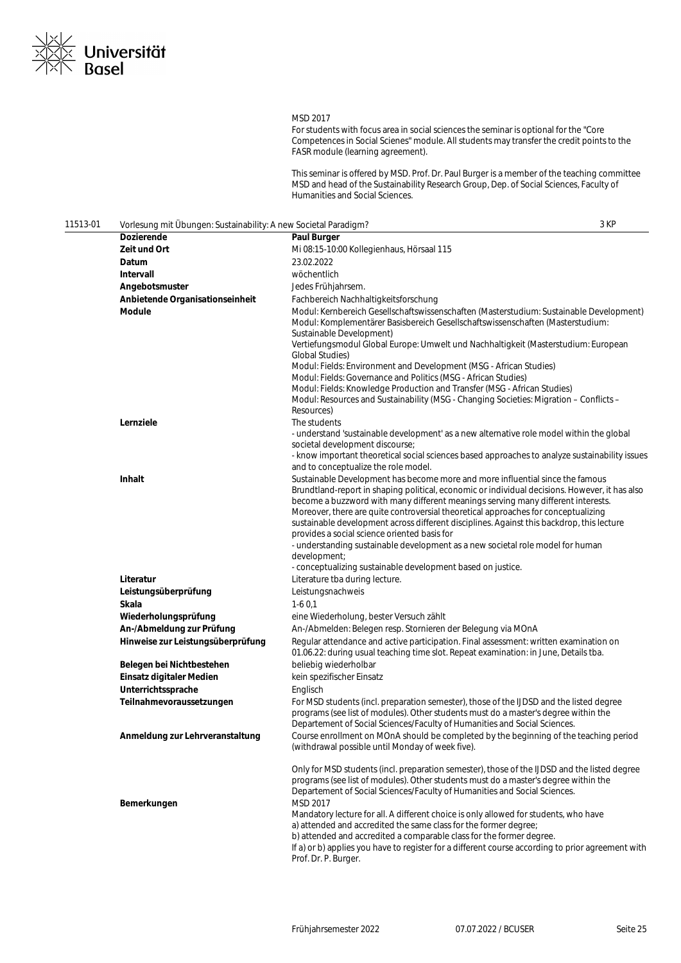

### MSD 2017

For students with focus area in social sciences the seminar is optional for the "Core Competences in Social Scienes" module. All students may transfer the credit points to the FASR module (learning agreement).

This seminar is offered by MSD. Prof. Dr. Paul Burger is a member of the teaching committee MSD and head of the Sustainability Research Group, Dep. of Social Sciences, Faculty of Humanities and Social Sciences.

| 11513-01 | Vorlesung mit Übungen: Sustainability: A new Societal Paradigm? |                                                                                                                                                                                                                                                                                                                                                                                                                                          | 3 KP |
|----------|-----------------------------------------------------------------|------------------------------------------------------------------------------------------------------------------------------------------------------------------------------------------------------------------------------------------------------------------------------------------------------------------------------------------------------------------------------------------------------------------------------------------|------|
|          | Dozierende                                                      | <b>Paul Burger</b>                                                                                                                                                                                                                                                                                                                                                                                                                       |      |
|          | Zeit und Ort                                                    | Mi 08:15-10:00 Kollegienhaus, Hörsaal 115                                                                                                                                                                                                                                                                                                                                                                                                |      |
|          | Datum                                                           | 23.02.2022                                                                                                                                                                                                                                                                                                                                                                                                                               |      |
|          | Intervall                                                       | wöchentlich                                                                                                                                                                                                                                                                                                                                                                                                                              |      |
|          | Angebotsmuster                                                  | Jedes Frühjahrsem.                                                                                                                                                                                                                                                                                                                                                                                                                       |      |
|          | Anbietende Organisationseinheit                                 | Fachbereich Nachhaltigkeitsforschung                                                                                                                                                                                                                                                                                                                                                                                                     |      |
|          | Module                                                          | Modul: Kernbereich Gesellschaftswissenschaften (Masterstudium: Sustainable Development)<br>Modul: Komplementärer Basisbereich Gesellschaftswissenschaften (Masterstudium:<br>Sustainable Development)<br>Vertiefungsmodul Global Europe: Umwelt und Nachhaltigkeit (Masterstudium: European                                                                                                                                              |      |
|          |                                                                 | Global Studies)<br>Modul: Fields: Environment and Development (MSG - African Studies)                                                                                                                                                                                                                                                                                                                                                    |      |
|          |                                                                 | Modul: Fields: Governance and Politics (MSG - African Studies)<br>Modul: Fields: Knowledge Production and Transfer (MSG - African Studies)<br>Modul: Resources and Sustainability (MSG - Changing Societies: Migration - Conflicts -<br>Resources)                                                                                                                                                                                       |      |
|          | Lernziele                                                       | The students<br>- understand 'sustainable development' as a new alternative role model within the global<br>societal development discourse;                                                                                                                                                                                                                                                                                              |      |
|          |                                                                 | - know important theoretical social sciences based approaches to analyze sustainability issues<br>and to conceptualize the role model.                                                                                                                                                                                                                                                                                                   |      |
|          | Inhalt                                                          | Sustainable Development has become more and more influential since the famous<br>Brundtland-report in shaping political, economic or individual decisions. However, it has also<br>become a buzzword with many different meanings serving many different interests.<br>Moreover, there are quite controversial theoretical approaches for conceptualizing                                                                                |      |
|          |                                                                 | sustainable development across different disciplines. Against this backdrop, this lecture<br>provides a social science oriented basis for                                                                                                                                                                                                                                                                                                |      |
|          |                                                                 | - understanding sustainable development as a new societal role model for human<br>development;<br>- conceptualizing sustainable development based on justice.                                                                                                                                                                                                                                                                            |      |
|          | Literatur                                                       | Literature tba during lecture.                                                                                                                                                                                                                                                                                                                                                                                                           |      |
|          | Leistungsüberprüfung                                            | Leistungsnachweis                                                                                                                                                                                                                                                                                                                                                                                                                        |      |
|          | Skala                                                           | $1-60,1$                                                                                                                                                                                                                                                                                                                                                                                                                                 |      |
|          | Wiederholungsprüfung                                            | eine Wiederholung, bester Versuch zählt                                                                                                                                                                                                                                                                                                                                                                                                  |      |
|          | An-/Abmeldung zur Prüfung                                       | An-/Abmelden: Belegen resp. Stornieren der Belegung via MOnA                                                                                                                                                                                                                                                                                                                                                                             |      |
|          | Hinweise zur Leistungsüberprüfung                               | Regular attendance and active participation. Final assessment: written examination on<br>01.06.22: during usual teaching time slot. Repeat examination: in June, Details tba.                                                                                                                                                                                                                                                            |      |
|          | Belegen bei Nichtbestehen                                       | beliebig wiederholbar                                                                                                                                                                                                                                                                                                                                                                                                                    |      |
|          | Einsatz digitaler Medien                                        | kein spezifischer Einsatz                                                                                                                                                                                                                                                                                                                                                                                                                |      |
|          | Unterrichtssprache                                              | Englisch                                                                                                                                                                                                                                                                                                                                                                                                                                 |      |
|          | Teilnahmevoraussetzungen                                        | For MSD students (incl. preparation semester), those of the IJDSD and the listed degree<br>programs (see list of modules). Other students must do a master's degree within the<br>Departement of Social Sciences/Faculty of Humanities and Social Sciences.                                                                                                                                                                              |      |
|          | Anmeldung zur Lehrveranstaltung                                 | Course enrollment on MOnA should be completed by the beginning of the teaching period<br>(withdrawal possible until Monday of week five).                                                                                                                                                                                                                                                                                                |      |
|          | Bemerkungen                                                     | Only for MSD students (incl. preparation semester), those of the IJDSD and the listed degree<br>programs (see list of modules). Other students must do a master's degree within the<br>Departement of Social Sciences/Faculty of Humanities and Social Sciences.<br>MSD 2017<br>Mandatory lecture for all. A different choice is only allowed for students, who have<br>a) attended and accredited the same class for the former degree; |      |
|          |                                                                 | b) attended and accredited a comparable class for the former degree.<br>If a) or b) applies you have to register for a different course according to prior agreement with<br>Prof. Dr. P. Burger.                                                                                                                                                                                                                                        |      |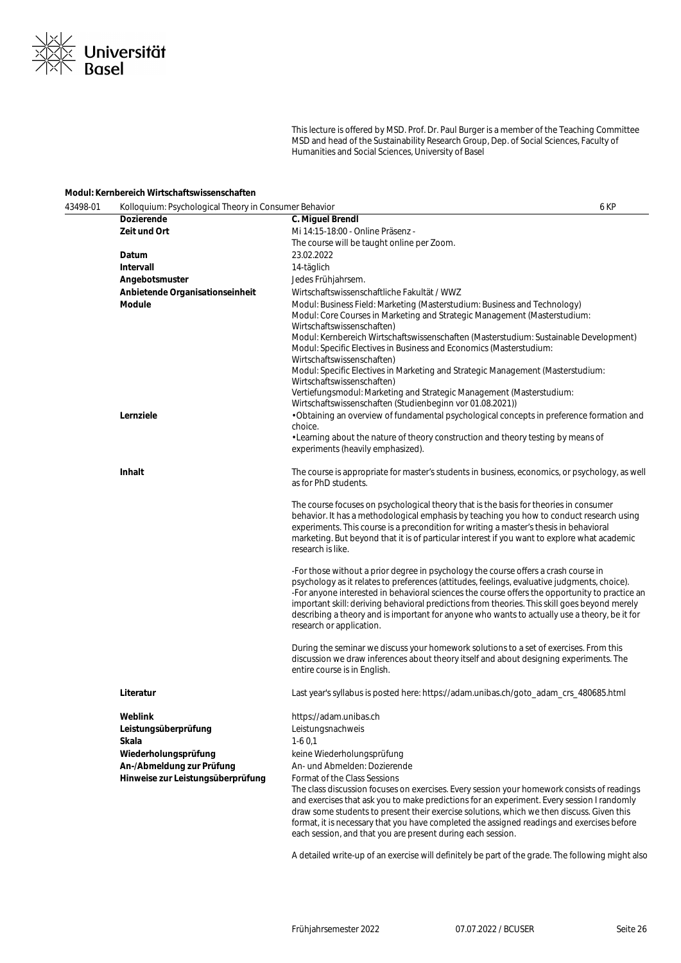

This lecture is offered by MSD. Prof. Dr. Paul Burger is a member of the Teaching Committee MSD and head of the Sustainability Research Group, Dep. of Social Sciences, Faculty of Humanities and Social Sciences, University of Basel

### **Modul: Kernbereich Wirtschaftswissenschaften**

| 43498-01 | Kolloquium: Psychological Theory in Consumer Behavior<br>6 KP |                                                                                                                                                                                                                                                                                                                                                                                                                                                                                                                     |  |
|----------|---------------------------------------------------------------|---------------------------------------------------------------------------------------------------------------------------------------------------------------------------------------------------------------------------------------------------------------------------------------------------------------------------------------------------------------------------------------------------------------------------------------------------------------------------------------------------------------------|--|
|          | <b>Dozierende</b>                                             | C. Miguel Brendl                                                                                                                                                                                                                                                                                                                                                                                                                                                                                                    |  |
|          | Zeit und Ort                                                  | Mi 14:15-18:00 - Online Präsenz -                                                                                                                                                                                                                                                                                                                                                                                                                                                                                   |  |
|          |                                                               | The course will be taught online per Zoom.                                                                                                                                                                                                                                                                                                                                                                                                                                                                          |  |
|          | Datum                                                         | 23.02.2022                                                                                                                                                                                                                                                                                                                                                                                                                                                                                                          |  |
|          | Intervall                                                     | 14-täglich                                                                                                                                                                                                                                                                                                                                                                                                                                                                                                          |  |
|          | Angebotsmuster                                                | Jedes Frühjahrsem.                                                                                                                                                                                                                                                                                                                                                                                                                                                                                                  |  |
|          | Anbietende Organisationseinheit                               | Wirtschaftswissenschaftliche Fakultät / WWZ                                                                                                                                                                                                                                                                                                                                                                                                                                                                         |  |
|          | <b>Module</b>                                                 | Modul: Business Field: Marketing (Masterstudium: Business and Technology)<br>Modul: Core Courses in Marketing and Strategic Management (Masterstudium:<br>Wirtschaftswissenschaften)<br>Modul: Kernbereich Wirtschaftswissenschaften (Masterstudium: Sustainable Development)<br>Modul: Specific Electives in Business and Economics (Masterstudium:<br>Wirtschaftswissenschaften)                                                                                                                                  |  |
|          |                                                               | Modul: Specific Electives in Marketing and Strategic Management (Masterstudium:<br>Wirtschaftswissenschaften)<br>Vertiefungsmodul: Marketing and Strategic Management (Masterstudium:                                                                                                                                                                                                                                                                                                                               |  |
|          | Lernziele                                                     | Wirtschaftswissenschaften (Studienbeginn vor 01.08.2021))<br>• Obtaining an overview of fundamental psychological concepts in preference formation and<br>choice.                                                                                                                                                                                                                                                                                                                                                   |  |
|          |                                                               | • Learning about the nature of theory construction and theory testing by means of<br>experiments (heavily emphasized).                                                                                                                                                                                                                                                                                                                                                                                              |  |
|          | Inhalt                                                        | The course is appropriate for master's students in business, economics, or psychology, as well<br>as for PhD students.                                                                                                                                                                                                                                                                                                                                                                                              |  |
|          |                                                               | The course focuses on psychological theory that is the basis for theories in consumer<br>behavior. It has a methodological emphasis by teaching you how to conduct research using<br>experiments. This course is a precondition for writing a master's thesis in behavioral<br>marketing. But beyond that it is of particular interest if you want to explore what academic<br>research is like.                                                                                                                    |  |
|          |                                                               | -For those without a prior degree in psychology the course offers a crash course in<br>psychology as it relates to preferences (attitudes, feelings, evaluative judgments, choice).<br>-For anyone interested in behavioral sciences the course offers the opportunity to practice an<br>important skill: deriving behavioral predictions from theories. This skill goes beyond merely<br>describing a theory and is important for anyone who wants to actually use a theory, be it for<br>research or application. |  |
|          |                                                               | During the seminar we discuss your homework solutions to a set of exercises. From this<br>discussion we draw inferences about theory itself and about designing experiments. The<br>entire course is in English.                                                                                                                                                                                                                                                                                                    |  |
|          | Literatur                                                     | Last year's syllabus is posted here: https://adam.unibas.ch/goto_adam_crs_480685.html                                                                                                                                                                                                                                                                                                                                                                                                                               |  |
|          | Weblink                                                       | https://adam.unibas.ch                                                                                                                                                                                                                                                                                                                                                                                                                                                                                              |  |
|          | Leistungsüberprüfung                                          | Leistungsnachweis                                                                                                                                                                                                                                                                                                                                                                                                                                                                                                   |  |
|          | Skala                                                         | $1-60,1$                                                                                                                                                                                                                                                                                                                                                                                                                                                                                                            |  |
|          | Wiederholungsprüfung                                          | keine Wiederholungsprüfung                                                                                                                                                                                                                                                                                                                                                                                                                                                                                          |  |
|          | An-/Abmeldung zur Prüfung                                     | An- und Abmelden: Dozierende                                                                                                                                                                                                                                                                                                                                                                                                                                                                                        |  |
|          | Hinweise zur Leistungsüberprüfung                             | Format of the Class Sessions<br>The class discussion focuses on exercises. Every session your homework consists of readings<br>and exercises that ask you to make predictions for an experiment. Every session I randomly<br>draw some students to present their exercise solutions, which we then discuss. Given this<br>format, it is necessary that you have completed the assigned readings and exercises before<br>each session, and that you are present during each session.                                 |  |
|          |                                                               |                                                                                                                                                                                                                                                                                                                                                                                                                                                                                                                     |  |

A detailed write-up of an exercise will definitely be part of the grade. The following might also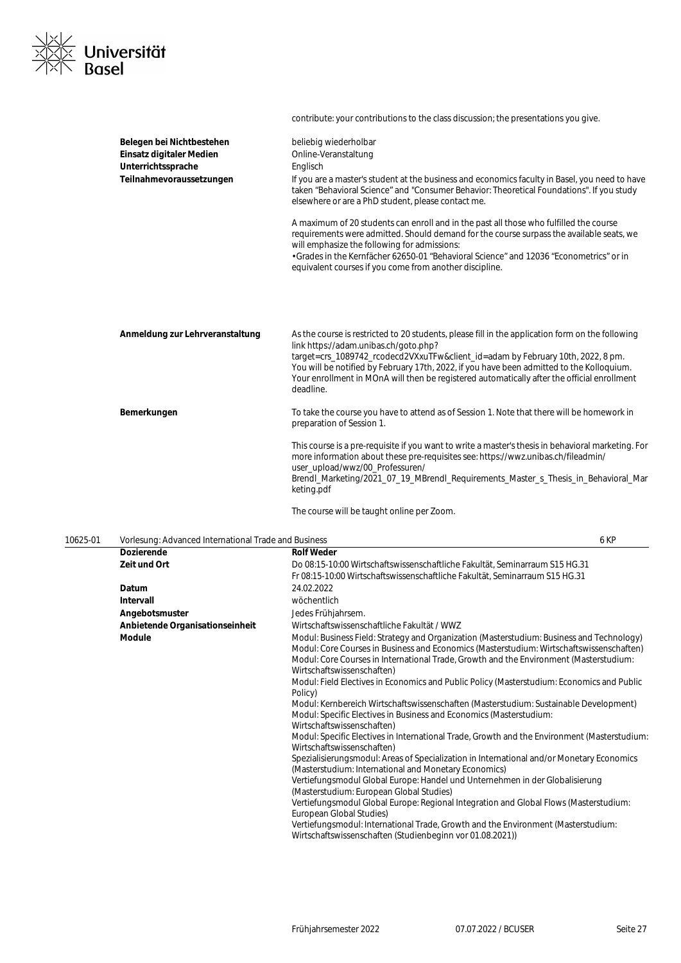

Belegen bei Nichtbestehen beliebig wiederholbar **Einsatz digitaler Medien** Online-Veranstaltung Unterrichtssprache **Englisch Teilnahmevoraussetzungen** If you are a master's student at the business and economics faculty in Basel, you need to have taken "Behavioral Science" and "Consumer Behavior: Theoretical Foundations". If you study elsewhere or are a PhD student, please contact me. A maximum of 20 students can enroll and in the past all those who fulfilled the course requirements were admitted. Should demand for the course surpass the available seats, we will emphasize the following for admissions: • Grades in the Kernfächer 62650-01 "Behavioral Science" and 12036 "Econometrics" or in equivalent courses if you come from another discipline. **Anmeldung zur Lehrveranstaltung** As the course is restricted to 20 students, please fill in the application form on the following link https://adam.unibas.ch/goto.php? target=crs\_1089742\_rcodecd2VXxuTFw&client\_id=adam by February 10th, 2022, 8 pm. You will be notified by February 17th, 2022, if you have been admitted to the Kolloquium. Your enrollment in MOnA will then be registered automatically after the official enrollment deadline. **Bemerkungen** To take the course you have to attend as of Session 1. Note that there will be homework in preparation of Session 1. This course is a pre-requisite if you want to write a master's thesis in behavioral marketing. For more information about these pre-requisites see: https://wwz.unibas.ch/fileadmin/ user\_upload/wwz/00\_Professuren/ Brendl\_Marketing/2021\_07\_19\_MBrendl\_Requirements\_Master\_s\_Thesis\_in\_Behavioral\_Mar keting.pdf

contribute: your contributions to the class discussion; the presentations you give.

The course will be taught online per Zoom.

| 10625-01 | Vorlesung: Advanced International Trade and Business |                                                                                                                                                                                                                                                                                                                                                                                                                                                                                                                                                                                                                                                                                                                                                                                                                                                                                                                                                                                                                                                                                                                                                                                                                                                                                                             | 6 KP |
|----------|------------------------------------------------------|-------------------------------------------------------------------------------------------------------------------------------------------------------------------------------------------------------------------------------------------------------------------------------------------------------------------------------------------------------------------------------------------------------------------------------------------------------------------------------------------------------------------------------------------------------------------------------------------------------------------------------------------------------------------------------------------------------------------------------------------------------------------------------------------------------------------------------------------------------------------------------------------------------------------------------------------------------------------------------------------------------------------------------------------------------------------------------------------------------------------------------------------------------------------------------------------------------------------------------------------------------------------------------------------------------------|------|
|          | <b>Dozierende</b>                                    | <b>Rolf Weder</b>                                                                                                                                                                                                                                                                                                                                                                                                                                                                                                                                                                                                                                                                                                                                                                                                                                                                                                                                                                                                                                                                                                                                                                                                                                                                                           |      |
|          | Zeit und Ort                                         | Do 08:15-10:00 Wirtschaftswissenschaftliche Fakultät, Seminarraum S15 HG.31                                                                                                                                                                                                                                                                                                                                                                                                                                                                                                                                                                                                                                                                                                                                                                                                                                                                                                                                                                                                                                                                                                                                                                                                                                 |      |
|          |                                                      | Fr 08:15-10:00 Wirtschaftswissenschaftliche Fakultät, Seminarraum S15 HG.31                                                                                                                                                                                                                                                                                                                                                                                                                                                                                                                                                                                                                                                                                                                                                                                                                                                                                                                                                                                                                                                                                                                                                                                                                                 |      |
|          | Datum                                                | 24.02.2022                                                                                                                                                                                                                                                                                                                                                                                                                                                                                                                                                                                                                                                                                                                                                                                                                                                                                                                                                                                                                                                                                                                                                                                                                                                                                                  |      |
|          | Intervall                                            | wöchentlich                                                                                                                                                                                                                                                                                                                                                                                                                                                                                                                                                                                                                                                                                                                                                                                                                                                                                                                                                                                                                                                                                                                                                                                                                                                                                                 |      |
|          | Angebotsmuster                                       | Jedes Frühjahrsem.                                                                                                                                                                                                                                                                                                                                                                                                                                                                                                                                                                                                                                                                                                                                                                                                                                                                                                                                                                                                                                                                                                                                                                                                                                                                                          |      |
|          | Anbietende Organisationseinheit                      | Wirtschaftswissenschaftliche Fakultät / WWZ                                                                                                                                                                                                                                                                                                                                                                                                                                                                                                                                                                                                                                                                                                                                                                                                                                                                                                                                                                                                                                                                                                                                                                                                                                                                 |      |
|          | <b>Module</b>                                        | Modul: Business Field: Strategy and Organization (Masterstudium: Business and Technology)<br>Modul: Core Courses in Business and Economics (Masterstudium: Wirtschaftswissenschaften)<br>Modul: Core Courses in International Trade, Growth and the Environment (Masterstudium:<br>Wirtschaftswissenschaften)<br>Modul: Field Electives in Economics and Public Policy (Masterstudium: Economics and Public<br>Policy)<br>Modul: Kernbereich Wirtschaftswissenschaften (Masterstudium: Sustainable Development)<br>Modul: Specific Electives in Business and Economics (Masterstudium:<br>Wirtschaftswissenschaften)<br>Modul: Specific Electives in International Trade, Growth and the Environment (Masterstudium:<br>Wirtschaftswissenschaften)<br>Spezialisierungsmodul: Areas of Specialization in International and/or Monetary Economics<br>(Masterstudium: International and Monetary Economics)<br>Vertiefungsmodul Global Europe: Handel und Unternehmen in der Globalisierung<br>(Masterstudium: European Global Studies)<br>Vertiefungsmodul Global Europe: Regional Integration and Global Flows (Masterstudium:<br>European Global Studies)<br>Vertiefungsmodul: International Trade, Growth and the Environment (Masterstudium:<br>Wirtschaftswissenschaften (Studienbeginn vor 01.08.2021)) |      |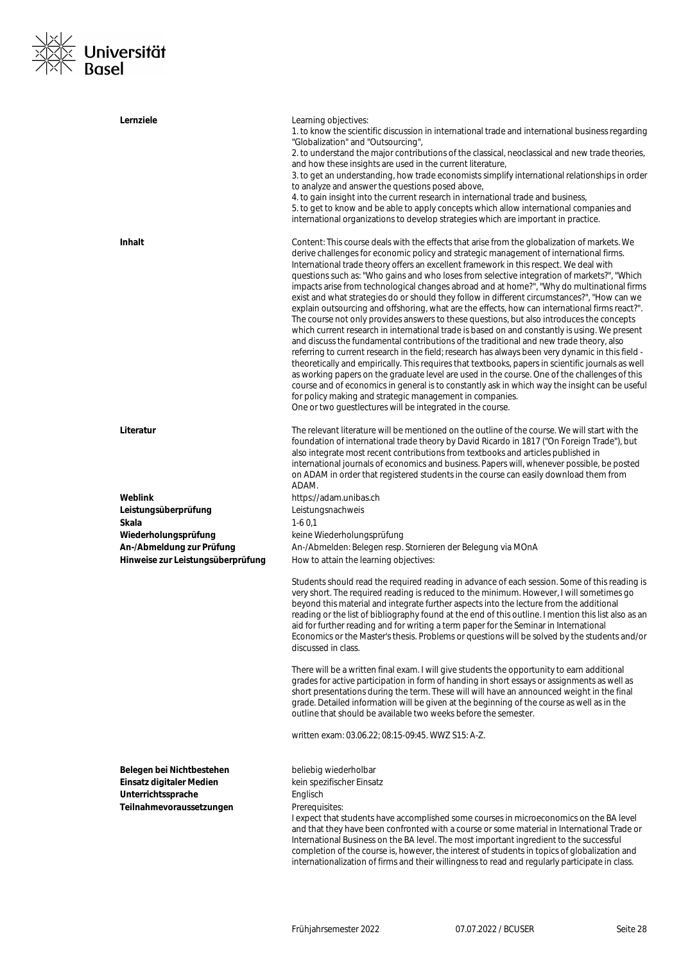

| Lernziele                                                                                               | Learning objectives:<br>1. to know the scientific discussion in international trade and international business regarding<br>"Globalization" and "Outsourcing",<br>2. to understand the major contributions of the classical, neoclassical and new trade theories,<br>and how these insights are used in the current literature,<br>3. to get an understanding, how trade economists simplify international relationships in order<br>to analyze and answer the questions posed above,<br>4. to gain insight into the current research in international trade and business,<br>5. to get to know and be able to apply concepts which allow international companies and<br>international organizations to develop strategies which are important in practice.                                                                                                                                                                                                                                                                                                                                                                                                                                                                                                                                                                                                                                                                                                                                                      |
|---------------------------------------------------------------------------------------------------------|------------------------------------------------------------------------------------------------------------------------------------------------------------------------------------------------------------------------------------------------------------------------------------------------------------------------------------------------------------------------------------------------------------------------------------------------------------------------------------------------------------------------------------------------------------------------------------------------------------------------------------------------------------------------------------------------------------------------------------------------------------------------------------------------------------------------------------------------------------------------------------------------------------------------------------------------------------------------------------------------------------------------------------------------------------------------------------------------------------------------------------------------------------------------------------------------------------------------------------------------------------------------------------------------------------------------------------------------------------------------------------------------------------------------------------------------------------------------------------------------------------------|
| <b>Inhalt</b>                                                                                           | Content: This course deals with the effects that arise from the globalization of markets. We<br>derive challenges for economic policy and strategic management of international firms.<br>International trade theory offers an excellent framework in this respect. We deal with<br>questions such as: "Who gains and who loses from selective integration of markets?", "Which<br>impacts arise from technological changes abroad and at home?", "Why do multinational firms<br>exist and what strategies do or should they follow in different circumstances?", "How can we<br>explain outsourcing and offshoring, what are the effects, how can international firms react?".<br>The course not only provides answers to these questions, but also introduces the concepts<br>which current research in international trade is based on and constantly is using. We present<br>and discuss the fundamental contributions of the traditional and new trade theory, also<br>referring to current research in the field; research has always been very dynamic in this field -<br>theoretically and empirically. This requires that textbooks, papers in scientific journals as well<br>as working papers on the graduate level are used in the course. One of the challenges of this<br>course and of economics in general is to constantly ask in which way the insight can be useful<br>for policy making and strategic management in companies.<br>One or two guestlectures will be integrated in the course. |
| Literatur                                                                                               | The relevant literature will be mentioned on the outline of the course. We will start with the<br>foundation of international trade theory by David Ricardo in 1817 ("On Foreign Trade"), but<br>also integrate most recent contributions from textbooks and articles published in<br>international journals of economics and business. Papers will, whenever possible, be posted<br>on ADAM in order that registered students in the course can easily download them from<br>ADAM.                                                                                                                                                                                                                                                                                                                                                                                                                                                                                                                                                                                                                                                                                                                                                                                                                                                                                                                                                                                                                              |
| Weblink                                                                                                 | https://adam.unibas.ch                                                                                                                                                                                                                                                                                                                                                                                                                                                                                                                                                                                                                                                                                                                                                                                                                                                                                                                                                                                                                                                                                                                                                                                                                                                                                                                                                                                                                                                                                           |
| Leistungsüberprüfung                                                                                    | Leistungsnachweis                                                                                                                                                                                                                                                                                                                                                                                                                                                                                                                                                                                                                                                                                                                                                                                                                                                                                                                                                                                                                                                                                                                                                                                                                                                                                                                                                                                                                                                                                                |
| Skala                                                                                                   | $1-60.1$                                                                                                                                                                                                                                                                                                                                                                                                                                                                                                                                                                                                                                                                                                                                                                                                                                                                                                                                                                                                                                                                                                                                                                                                                                                                                                                                                                                                                                                                                                         |
| Wiederholungsprüfung                                                                                    | keine Wiederholungsprüfung                                                                                                                                                                                                                                                                                                                                                                                                                                                                                                                                                                                                                                                                                                                                                                                                                                                                                                                                                                                                                                                                                                                                                                                                                                                                                                                                                                                                                                                                                       |
| An-/Abmeldung zur Prüfung<br>Hinweise zur Leistungsüberprüfung                                          | An-/Abmelden: Belegen resp. Stornieren der Belegung via MOnA<br>How to attain the learning objectives:                                                                                                                                                                                                                                                                                                                                                                                                                                                                                                                                                                                                                                                                                                                                                                                                                                                                                                                                                                                                                                                                                                                                                                                                                                                                                                                                                                                                           |
|                                                                                                         | Students should read the required reading in advance of each session. Some of this reading is<br>very short. The required reading is reduced to the minimum. However, I will sometimes go<br>beyond this material and integrate further aspects into the lecture from the additional<br>reading or the list of bibliography found at the end of this outline. I mention this list also as an<br>aid for further reading and for writing a term paper for the Seminar in International<br>Economics or the Master's thesis. Problems or questions will be solved by the students and/or<br>discussed in class.                                                                                                                                                                                                                                                                                                                                                                                                                                                                                                                                                                                                                                                                                                                                                                                                                                                                                                    |
|                                                                                                         | There will be a written final exam. I will give students the opportunity to earn additional<br>grades for active participation in form of handing in short essays or assignments as well as<br>short presentations during the term. These will will have an announced weight in the final<br>grade. Detailed information will be given at the beginning of the course as well as in the<br>outline that should be available two weeks before the semester.                                                                                                                                                                                                                                                                                                                                                                                                                                                                                                                                                                                                                                                                                                                                                                                                                                                                                                                                                                                                                                                       |
|                                                                                                         | written exam: 03.06.22; 08:15-09:45. WWZ S15: A-Z.                                                                                                                                                                                                                                                                                                                                                                                                                                                                                                                                                                                                                                                                                                                                                                                                                                                                                                                                                                                                                                                                                                                                                                                                                                                                                                                                                                                                                                                               |
| Belegen bei Nichtbestehen<br>Einsatz digitaler Medien<br>Unterrichtssprache<br>Teilnahmevoraussetzungen | beliebig wiederholbar<br>kein spezifischer Einsatz<br>Englisch<br>Prerequisites:<br>I expect that students have accomplished some courses in microeconomics on the BA level<br>and that they have been confronted with a course or some material in International Trade or<br>International Business on the BA level. The most important ingredient to the successful<br>completion of the course is, however, the interest of students in topics of globalization and<br>internationalization of firms and their willingness to read and regularly participate in class.                                                                                                                                                                                                                                                                                                                                                                                                                                                                                                                                                                                                                                                                                                                                                                                                                                                                                                                                        |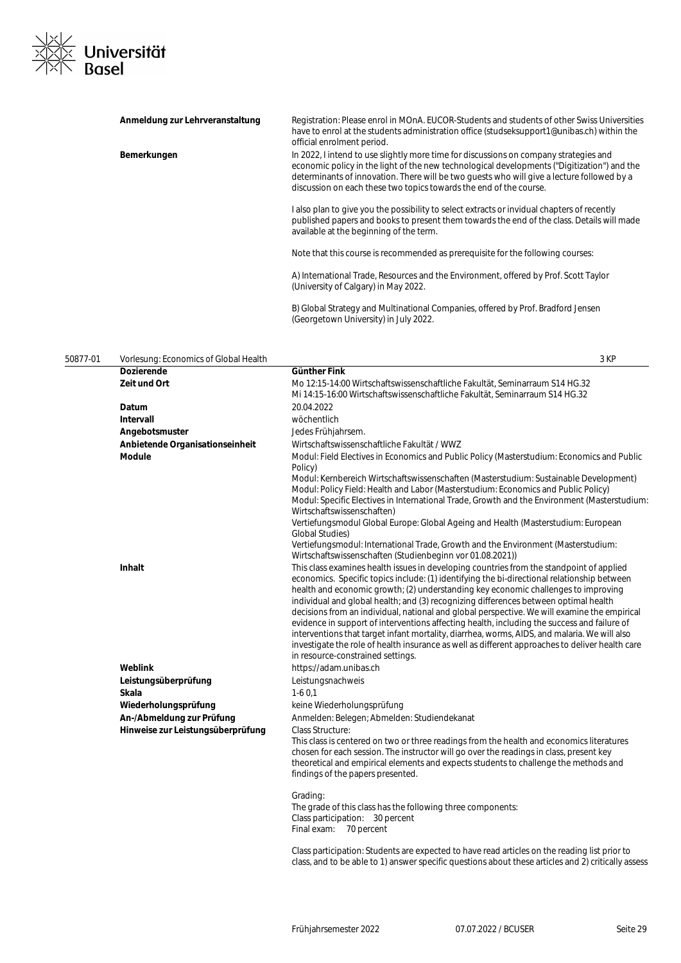

| Anmeldung zur Lehrveranstaltung | Registration: Please enrol in MOnA. EUCOR-Students and students of other Swiss Universities<br>have to enrol at the students administration office (studseksupport1@unibas.ch) within the<br>official enrolment period.                                                                                                                                  |
|---------------------------------|----------------------------------------------------------------------------------------------------------------------------------------------------------------------------------------------------------------------------------------------------------------------------------------------------------------------------------------------------------|
| Bemerkungen                     | In 2022, I intend to use slightly more time for discussions on company strategies and<br>economic policy in the light of the new technological developments ("Digitization") and the<br>determinants of innovation. There will be two quests who will give a lecture followed by a<br>discussion on each these two topics towards the end of the course. |
|                                 | l also plan to give you the possibility to select extracts or invidual chapters of recently<br>published papers and books to present them towards the end of the class. Details will made<br>available at the beginning of the term.                                                                                                                     |
|                                 | Note that this course is recommended as prerequisite for the following courses:                                                                                                                                                                                                                                                                          |
|                                 | A) International Trade, Resources and the Environment, offered by Prof. Scott Taylor<br>(University of Calgary) in May 2022.                                                                                                                                                                                                                             |
|                                 | B) Global Strategy and Multinational Companies, offered by Prof. Bradford Jensen                                                                                                                                                                                                                                                                         |

(Georgetown University) in July 2022.

# 50877-01 Vorlesung: Economics of Global Health 3 KP

| voriosang. Loonomios or Giobarnoaith |                                                                                                                                                                                                                                                                                                                                                                                                                                                                                                                                                                                                                                                                                                                                                                         |
|--------------------------------------|-------------------------------------------------------------------------------------------------------------------------------------------------------------------------------------------------------------------------------------------------------------------------------------------------------------------------------------------------------------------------------------------------------------------------------------------------------------------------------------------------------------------------------------------------------------------------------------------------------------------------------------------------------------------------------------------------------------------------------------------------------------------------|
| <b>Dozierende</b>                    | Günther Fink                                                                                                                                                                                                                                                                                                                                                                                                                                                                                                                                                                                                                                                                                                                                                            |
| Zeit und Ort                         | Mo 12:15-14:00 Wirtschaftswissenschaftliche Fakultät, Seminarraum S14 HG.32<br>Mi 14:15-16:00 Wirtschaftswissenschaftliche Fakultät, Seminarraum S14 HG.32                                                                                                                                                                                                                                                                                                                                                                                                                                                                                                                                                                                                              |
| Datum                                | 20.04.2022                                                                                                                                                                                                                                                                                                                                                                                                                                                                                                                                                                                                                                                                                                                                                              |
| Intervall                            | wöchentlich                                                                                                                                                                                                                                                                                                                                                                                                                                                                                                                                                                                                                                                                                                                                                             |
| Angebotsmuster                       | Jedes Frühjahrsem.                                                                                                                                                                                                                                                                                                                                                                                                                                                                                                                                                                                                                                                                                                                                                      |
| Anbietende Organisationseinheit      | Wirtschaftswissenschaftliche Fakultät / WWZ                                                                                                                                                                                                                                                                                                                                                                                                                                                                                                                                                                                                                                                                                                                             |
| <b>Module</b>                        | Modul: Field Electives in Economics and Public Policy (Masterstudium: Economics and Public<br>Policy)                                                                                                                                                                                                                                                                                                                                                                                                                                                                                                                                                                                                                                                                   |
|                                      | Modul: Kernbereich Wirtschaftswissenschaften (Masterstudium: Sustainable Development)<br>Modul: Policy Field: Health and Labor (Masterstudium: Economics and Public Policy)<br>Modul: Specific Electives in International Trade, Growth and the Environment (Masterstudium:<br>Wirtschaftswissenschaften)                                                                                                                                                                                                                                                                                                                                                                                                                                                               |
|                                      | Vertiefungsmodul Global Europe: Global Ageing and Health (Masterstudium: European<br>Global Studies)                                                                                                                                                                                                                                                                                                                                                                                                                                                                                                                                                                                                                                                                    |
|                                      | Vertiefungsmodul: International Trade, Growth and the Environment (Masterstudium:<br>Wirtschaftswissenschaften (Studienbeginn vor 01.08.2021))                                                                                                                                                                                                                                                                                                                                                                                                                                                                                                                                                                                                                          |
| <b>Inhalt</b>                        | This class examines health issues in developing countries from the standpoint of applied<br>economics. Specific topics include: (1) identifying the bi-directional relationship between<br>health and economic growth; (2) understanding key economic challenges to improving<br>individual and global health; and (3) recognizing differences between optimal health<br>decisions from an individual, national and global perspective. We will examine the empirical<br>evidence in support of interventions affecting health, including the success and failure of<br>interventions that target infant mortality, diarrhea, worms, AIDS, and malaria. We will also<br>investigate the role of health insurance as well as different approaches to deliver health care |
|                                      | in resource-constrained settings.                                                                                                                                                                                                                                                                                                                                                                                                                                                                                                                                                                                                                                                                                                                                       |
| Weblink                              | https://adam.unibas.ch                                                                                                                                                                                                                                                                                                                                                                                                                                                                                                                                                                                                                                                                                                                                                  |
| Leistungsüberprüfung                 | Leistungsnachweis                                                                                                                                                                                                                                                                                                                                                                                                                                                                                                                                                                                                                                                                                                                                                       |
| Skala                                | $1-60.1$                                                                                                                                                                                                                                                                                                                                                                                                                                                                                                                                                                                                                                                                                                                                                                |
| Wiederholungsprüfung                 | keine Wiederholungsprüfung                                                                                                                                                                                                                                                                                                                                                                                                                                                                                                                                                                                                                                                                                                                                              |
| An-/Abmeldung zur Prüfung            | Anmelden: Belegen; Abmelden: Studiendekanat                                                                                                                                                                                                                                                                                                                                                                                                                                                                                                                                                                                                                                                                                                                             |
| Hinweise zur Leistungsüberprüfung    | <b>Class Structure:</b><br>This class is centered on two or three readings from the health and economics literatures<br>chosen for each session. The instructor will go over the readings in class, present key<br>theoretical and empirical elements and expects students to challenge the methods and<br>findings of the papers presented.                                                                                                                                                                                                                                                                                                                                                                                                                            |
|                                      | Grading:<br>The grade of this class has the following three components:<br>Class participation: 30 percent<br>Final exam: 70 percent                                                                                                                                                                                                                                                                                                                                                                                                                                                                                                                                                                                                                                    |
|                                      | Class participation: Students are expected to have read articles on the reading list prior to<br>class, and to be able to 1) answer specific questions about these articles and 2) critically assess                                                                                                                                                                                                                                                                                                                                                                                                                                                                                                                                                                    |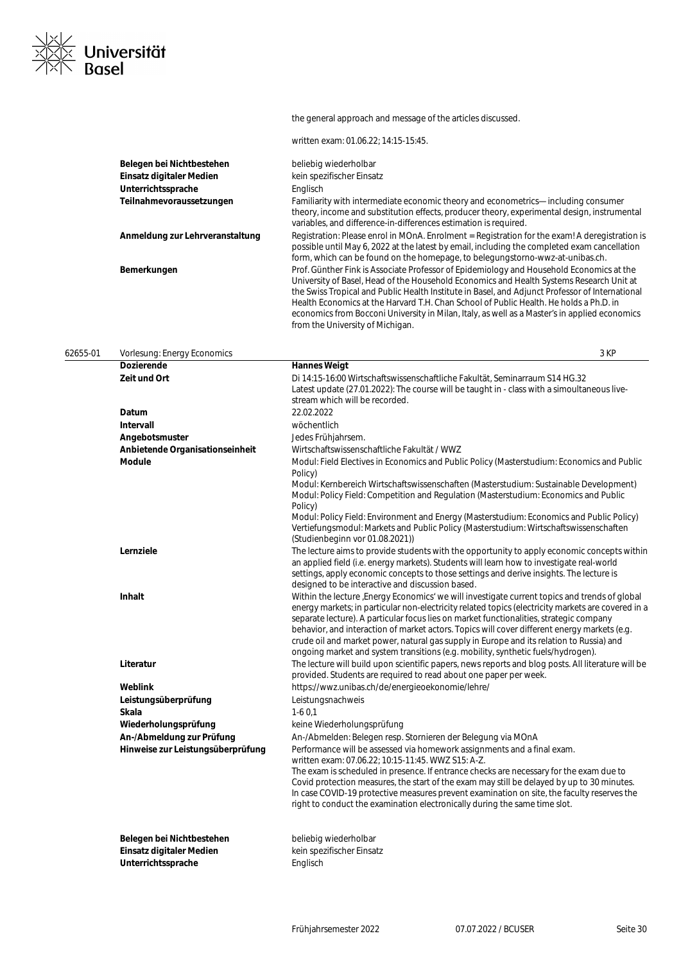

# the general approach and message of the articles discussed.

written exam: 01.06.22; 14:15-15:45.

| Belegen bei Nichtbestehen       | beliebig wiederholbar                                                                                                                                                                                                                                                                                                                                                                                                                                                                                                  |
|---------------------------------|------------------------------------------------------------------------------------------------------------------------------------------------------------------------------------------------------------------------------------------------------------------------------------------------------------------------------------------------------------------------------------------------------------------------------------------------------------------------------------------------------------------------|
| Einsatz digitaler Medien        | kein spezifischer Einsatz                                                                                                                                                                                                                                                                                                                                                                                                                                                                                              |
| Unterrichtssprache              | Englisch                                                                                                                                                                                                                                                                                                                                                                                                                                                                                                               |
| Teilnahmevoraussetzungen        | Familiarity with intermediate economic theory and econometrics—including consumer<br>theory, income and substitution effects, producer theory, experimental design, instrumental<br>variables, and difference-in-differences estimation is required.                                                                                                                                                                                                                                                                   |
| Anmeldung zur Lehrveranstaltung | Registration: Please enrol in MOnA. Enrolment = Registration for the exam! A deregistration is<br>possible until May 6, 2022 at the latest by email, including the completed exam cancellation<br>form, which can be found on the homepage, to belegungstorno-wwz-at-unibas.ch.                                                                                                                                                                                                                                        |
| Bemerkungen                     | Prof. Günther Fink is Associate Professor of Epidemiology and Household Economics at the<br>University of Basel, Head of the Household Economics and Health Systems Research Unit at<br>the Swiss Tropical and Public Health Institute in Basel, and Adjunct Professor of International<br>Health Economics at the Harvard T.H. Chan School of Public Health. He holds a Ph.D. in<br>economics from Bocconi University in Milan, Italy, as well as a Master's in applied economics<br>from the University of Michigan. |

| 62655-01 | Vorlesung: Energy Economics       | 3 KP                                                                                                                                                                                                                                                                                                                                                                                                                                                                                                                                                                            |
|----------|-----------------------------------|---------------------------------------------------------------------------------------------------------------------------------------------------------------------------------------------------------------------------------------------------------------------------------------------------------------------------------------------------------------------------------------------------------------------------------------------------------------------------------------------------------------------------------------------------------------------------------|
|          | <b>Dozierende</b>                 | <b>Hannes Weigt</b>                                                                                                                                                                                                                                                                                                                                                                                                                                                                                                                                                             |
|          | Zeit und Ort                      | Di 14:15-16:00 Wirtschaftswissenschaftliche Fakultät, Seminarraum S14 HG.32<br>Latest update (27.01.2022): The course will be taught in - class with a simoultaneous live-<br>stream which will be recorded.                                                                                                                                                                                                                                                                                                                                                                    |
|          | Datum                             | 22.02.2022                                                                                                                                                                                                                                                                                                                                                                                                                                                                                                                                                                      |
|          | Intervall                         | wöchentlich                                                                                                                                                                                                                                                                                                                                                                                                                                                                                                                                                                     |
|          | Angebotsmuster                    | Jedes Frühjahrsem.                                                                                                                                                                                                                                                                                                                                                                                                                                                                                                                                                              |
|          | Anbietende Organisationseinheit   | Wirtschaftswissenschaftliche Fakultät / WWZ                                                                                                                                                                                                                                                                                                                                                                                                                                                                                                                                     |
|          | <b>Module</b>                     | Modul: Field Electives in Economics and Public Policy (Masterstudium: Economics and Public<br>Policy)                                                                                                                                                                                                                                                                                                                                                                                                                                                                           |
|          |                                   | Modul: Kernbereich Wirtschaftswissenschaften (Masterstudium: Sustainable Development)<br>Modul: Policy Field: Competition and Regulation (Masterstudium: Economics and Public<br>Policy)                                                                                                                                                                                                                                                                                                                                                                                        |
|          |                                   | Modul: Policy Field: Environment and Energy (Masterstudium: Economics and Public Policy)<br>Vertiefungsmodul: Markets and Public Policy (Masterstudium: Wirtschaftswissenschaften<br>(Studienbeginn vor 01.08.2021))                                                                                                                                                                                                                                                                                                                                                            |
|          | Lernziele                         | The lecture aims to provide students with the opportunity to apply economic concepts within<br>an applied field (i.e. energy markets). Students will learn how to investigate real-world<br>settings, apply economic concepts to those settings and derive insights. The lecture is<br>designed to be interactive and discussion based.                                                                                                                                                                                                                                         |
|          | Inhalt                            | Within the lecture , Energy Economics' we will investigate current topics and trends of global<br>energy markets; in particular non-electricity related topics (electricity markets are covered in a<br>separate lecture). A particular focus lies on market functionalities, strategic company<br>behavior, and interaction of market actors. Topics will cover different energy markets (e.g.<br>crude oil and market power, natural gas supply in Europe and its relation to Russia) and<br>ongoing market and system transitions (e.g. mobility, synthetic fuels/hydrogen). |
|          | Literatur                         | The lecture will build upon scientific papers, news reports and blog posts. All literature will be<br>provided. Students are required to read about one paper per week.                                                                                                                                                                                                                                                                                                                                                                                                         |
|          | Weblink                           | https://wwz.unibas.ch/de/energieoekonomie/lehre/                                                                                                                                                                                                                                                                                                                                                                                                                                                                                                                                |
|          | Leistungsüberprüfung              | Leistungsnachweis                                                                                                                                                                                                                                                                                                                                                                                                                                                                                                                                                               |
|          | Skala                             | $1-60,1$                                                                                                                                                                                                                                                                                                                                                                                                                                                                                                                                                                        |
|          | Wiederholungsprüfung              | keine Wiederholungsprüfung                                                                                                                                                                                                                                                                                                                                                                                                                                                                                                                                                      |
|          | An-/Abmeldung zur Prüfung         | An-/Abmelden: Belegen resp. Stornieren der Belegung via MOnA                                                                                                                                                                                                                                                                                                                                                                                                                                                                                                                    |
|          | Hinweise zur Leistungsüberprüfung | Performance will be assessed via homework assignments and a final exam.<br>written exam: 07.06.22; 10:15-11:45. WWZ S15: A-Z.                                                                                                                                                                                                                                                                                                                                                                                                                                                   |
|          |                                   | The exam is scheduled in presence. If entrance checks are necessary for the exam due to<br>Covid protection measures, the start of the exam may still be delayed by up to 30 minutes.<br>In case COVID-19 protective measures prevent examination on site, the faculty reserves the<br>right to conduct the examination electronically during the same time slot.                                                                                                                                                                                                               |
|          | Belegen bei Nichtbestehen         | beliebig wiederholbar                                                                                                                                                                                                                                                                                                                                                                                                                                                                                                                                                           |
|          | <b>Einsatz digitaler Medien</b>   | kein spezifischer Einsatz                                                                                                                                                                                                                                                                                                                                                                                                                                                                                                                                                       |
|          | Unterrichtssprache                | Englisch                                                                                                                                                                                                                                                                                                                                                                                                                                                                                                                                                                        |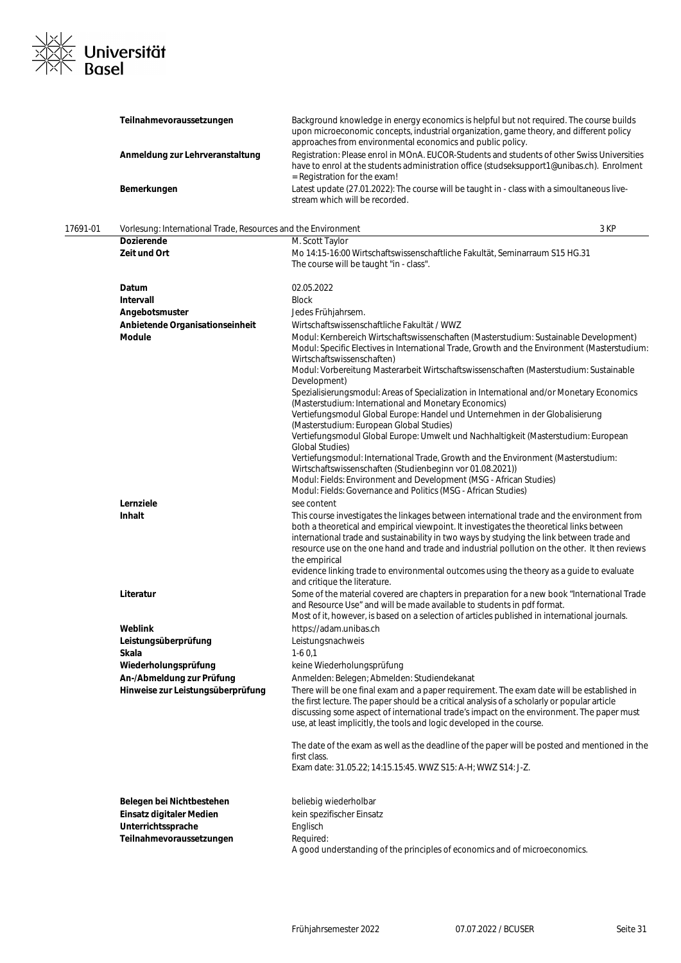

|          | Teilnahmevoraussetzungen                                      | Background knowledge in energy economics is helpful but not required. The course builds<br>upon microeconomic concepts, industrial organization, game theory, and different policy<br>approaches from environmental economics and public policy.                                                                                                                                                       |
|----------|---------------------------------------------------------------|--------------------------------------------------------------------------------------------------------------------------------------------------------------------------------------------------------------------------------------------------------------------------------------------------------------------------------------------------------------------------------------------------------|
|          | Anmeldung zur Lehrveranstaltung                               | Registration: Please enrol in MOnA. EUCOR-Students and students of other Swiss Universities<br>have to enrol at the students administration office (studseksupport1@unibas.ch). Enrolment<br>= Registration for the exam!                                                                                                                                                                              |
|          | Bemerkungen                                                   | Latest update (27.01.2022): The course will be taught in - class with a simoultaneous live-<br>stream which will be recorded.                                                                                                                                                                                                                                                                          |
| 17691-01 | Vorlesung: International Trade, Resources and the Environment | 3 KP                                                                                                                                                                                                                                                                                                                                                                                                   |
|          | <b>Dozierende</b>                                             | M. Scott Taylor                                                                                                                                                                                                                                                                                                                                                                                        |
|          | Zeit und Ort                                                  | Mo 14:15-16:00 Wirtschaftswissenschaftliche Fakultät, Seminarraum S15 HG.31<br>The course will be taught "in - class".                                                                                                                                                                                                                                                                                 |
|          | Datum                                                         | 02.05.2022                                                                                                                                                                                                                                                                                                                                                                                             |
|          | <b>Intervall</b>                                              | <b>Block</b>                                                                                                                                                                                                                                                                                                                                                                                           |
|          | Angebotsmuster                                                | Jedes Frühjahrsem.                                                                                                                                                                                                                                                                                                                                                                                     |
|          | Anbietende Organisationseinheit                               | Wirtschaftswissenschaftliche Fakultät / WWZ                                                                                                                                                                                                                                                                                                                                                            |
|          | <b>Module</b>                                                 | Modul: Kernbereich Wirtschaftswissenschaften (Masterstudium: Sustainable Development)<br>Modul: Specific Electives in International Trade, Growth and the Environment (Masterstudium:<br>Wirtschaftswissenschaften)<br>Modul: Vorbereitung Masterarbeit Wirtschaftswissenschaften (Masterstudium: Sustainable<br>Development)                                                                          |
|          |                                                               | Spezialisierungsmodul: Areas of Specialization in International and/or Monetary Economics<br>(Masterstudium: International and Monetary Economics)<br>Vertiefungsmodul Global Europe: Handel und Unternehmen in der Globalisierung                                                                                                                                                                     |
|          |                                                               | (Masterstudium: European Global Studies)<br>Vertiefungsmodul Global Europe: Umwelt und Nachhaltigkeit (Masterstudium: European<br><b>Global Studies)</b>                                                                                                                                                                                                                                               |
|          |                                                               | Vertiefungsmodul: International Trade, Growth and the Environment (Masterstudium:<br>Wirtschaftswissenschaften (Studienbeginn vor 01.08.2021))<br>Modul: Fields: Environment and Development (MSG - African Studies)                                                                                                                                                                                   |
|          |                                                               | Modul: Fields: Governance and Politics (MSG - African Studies)                                                                                                                                                                                                                                                                                                                                         |
|          | Lernziele                                                     | see content                                                                                                                                                                                                                                                                                                                                                                                            |
|          | <b>Inhalt</b>                                                 | This course investigates the linkages between international trade and the environment from<br>both a theoretical and empirical viewpoint. It investigates the theoretical links between<br>international trade and sustainability in two ways by studying the link between trade and<br>resource use on the one hand and trade and industrial pollution on the other. It then reviews<br>the empirical |
|          |                                                               | evidence linking trade to environmental outcomes using the theory as a guide to evaluate<br>and critique the literature.                                                                                                                                                                                                                                                                               |
|          | Literatur                                                     | Some of the material covered are chapters in preparation for a new book "International Trade<br>and Resource Use" and will be made available to students in pdf format.<br>Most of it, however, is based on a selection of articles published in international journals.                                                                                                                               |
|          | Weblink                                                       | https://adam.unibas.ch                                                                                                                                                                                                                                                                                                                                                                                 |
|          | Leistungsüberprüfung                                          | Leistungsnachweis                                                                                                                                                                                                                                                                                                                                                                                      |
|          | Skala                                                         | $1-60,1$                                                                                                                                                                                                                                                                                                                                                                                               |
|          | Wiederholungsprüfung                                          | keine Wiederholungsprüfung                                                                                                                                                                                                                                                                                                                                                                             |
|          | An-/Abmeldung zur Prüfung                                     | Anmelden: Belegen; Abmelden: Studiendekanat                                                                                                                                                                                                                                                                                                                                                            |
|          | Hinweise zur Leistungsüberprüfung                             | There will be one final exam and a paper requirement. The exam date will be established in<br>the first lecture. The paper should be a critical analysis of a scholarly or popular article<br>discussing some aspect of international trade's impact on the environment. The paper must<br>use, at least implicitly, the tools and logic developed in the course.                                      |
|          |                                                               | The date of the exam as well as the deadline of the paper will be posted and mentioned in the<br>first class.<br>Exam date: 31.05.22; 14:15.15:45. WWZ S15: A-H; WWZ S14: J-Z.                                                                                                                                                                                                                         |
|          | Belegen bei Nichtbestehen                                     | beliebig wiederholbar                                                                                                                                                                                                                                                                                                                                                                                  |
|          | Einsatz digitaler Medien                                      | kein spezifischer Einsatz                                                                                                                                                                                                                                                                                                                                                                              |
|          | Unterrichtssprache                                            | Englisch                                                                                                                                                                                                                                                                                                                                                                                               |
|          | Teilnahmevoraussetzungen                                      | Required:                                                                                                                                                                                                                                                                                                                                                                                              |
|          |                                                               | A good understanding of the principles of economics and of microeconomics.                                                                                                                                                                                                                                                                                                                             |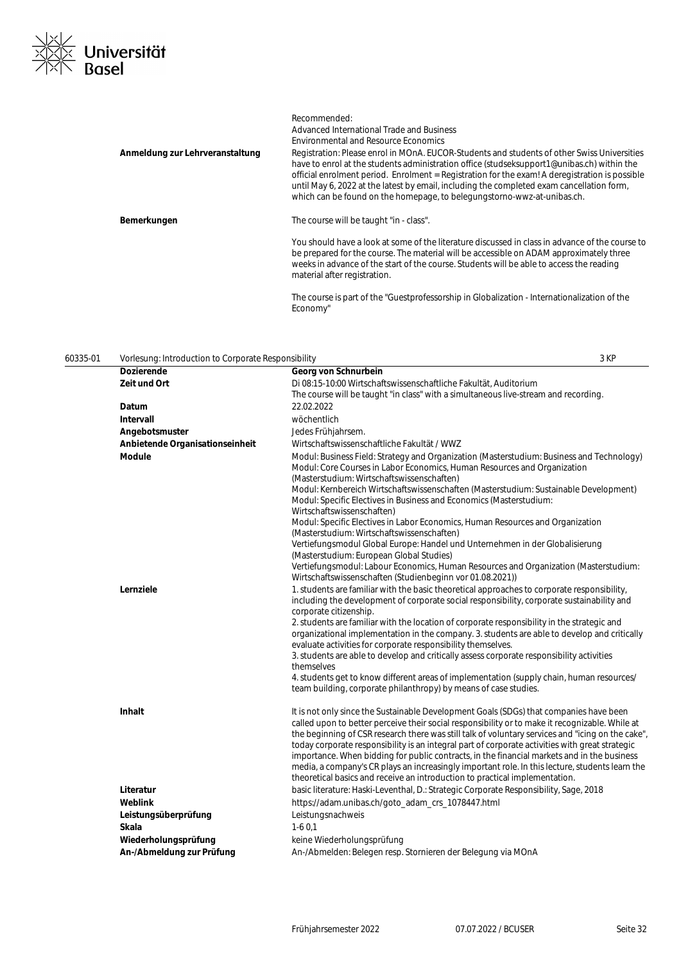

|                                 | Recommended:<br>Advanced International Trade and Business                                                                                                                                                                                                                                                                                                                                                                                                           |
|---------------------------------|---------------------------------------------------------------------------------------------------------------------------------------------------------------------------------------------------------------------------------------------------------------------------------------------------------------------------------------------------------------------------------------------------------------------------------------------------------------------|
|                                 | <b>Environmental and Resource Economics</b>                                                                                                                                                                                                                                                                                                                                                                                                                         |
| Anmeldung zur Lehrveranstaltung | Registration: Please enrol in MOnA. EUCOR-Students and students of other Swiss Universities<br>have to enrol at the students administration office (studseksupport1@unibas.ch) within the<br>official enrolment period. Enrolment = Registration for the exam! A deregistration is possible<br>until May 6, 2022 at the latest by email, including the completed exam cancellation form,<br>which can be found on the homepage, to belegungstorno-wwz-at-unibas.ch. |
| Bemerkungen                     | The course will be taught "in - class".                                                                                                                                                                                                                                                                                                                                                                                                                             |
|                                 | You should have a look at some of the literature discussed in class in advance of the course to<br>be prepared for the course. The material will be accessible on ADAM approximately three<br>weeks in advance of the start of the course. Students will be able to access the reading<br>material after registration.                                                                                                                                              |
|                                 | The course is part of the "Guestprofessorship in Globalization - Internationalization of the<br>Economy"                                                                                                                                                                                                                                                                                                                                                            |

| 60335-01 | Vorlesung: Introduction to Corporate Responsibility | 3 KF |
|----------|-----------------------------------------------------|------|
|          |                                                     |      |

| <b>Dozierende</b>               | Georg von Schnurbein                                                                                                                                                                                                                                                                                                                                                                                                                                                                                                                                                                                                                                                                                                                                                  |
|---------------------------------|-----------------------------------------------------------------------------------------------------------------------------------------------------------------------------------------------------------------------------------------------------------------------------------------------------------------------------------------------------------------------------------------------------------------------------------------------------------------------------------------------------------------------------------------------------------------------------------------------------------------------------------------------------------------------------------------------------------------------------------------------------------------------|
| Zeit und Ort                    | Di 08:15-10:00 Wirtschaftswissenschaftliche Fakultät, Auditorium                                                                                                                                                                                                                                                                                                                                                                                                                                                                                                                                                                                                                                                                                                      |
|                                 | The course will be taught "in class" with a simultaneous live-stream and recording.                                                                                                                                                                                                                                                                                                                                                                                                                                                                                                                                                                                                                                                                                   |
| Datum                           | 22.02.2022                                                                                                                                                                                                                                                                                                                                                                                                                                                                                                                                                                                                                                                                                                                                                            |
| Intervall                       | wöchentlich                                                                                                                                                                                                                                                                                                                                                                                                                                                                                                                                                                                                                                                                                                                                                           |
| Angebotsmuster                  | Jedes Frühjahrsem.                                                                                                                                                                                                                                                                                                                                                                                                                                                                                                                                                                                                                                                                                                                                                    |
| Anbietende Organisationseinheit | Wirtschaftswissenschaftliche Fakultät / WWZ                                                                                                                                                                                                                                                                                                                                                                                                                                                                                                                                                                                                                                                                                                                           |
| Module                          | Modul: Business Field: Strategy and Organization (Masterstudium: Business and Technology)<br>Modul: Core Courses in Labor Economics, Human Resources and Organization<br>(Masterstudium: Wirtschaftswissenschaften)<br>Modul: Kernbereich Wirtschaftswissenschaften (Masterstudium: Sustainable Development)<br>Modul: Specific Electives in Business and Economics (Masterstudium:<br>Wirtschaftswissenschaften)<br>Modul: Specific Electives in Labor Economics, Human Resources and Organization<br>(Masterstudium: Wirtschaftswissenschaften)<br>Vertiefungsmodul Global Europe: Handel und Unternehmen in der Globalisierung<br>(Masterstudium: European Global Studies)<br>Vertiefungsmodul: Labour Economics, Human Resources and Organization (Masterstudium: |
|                                 | Wirtschaftswissenschaften (Studienbeginn vor 01.08.2021))                                                                                                                                                                                                                                                                                                                                                                                                                                                                                                                                                                                                                                                                                                             |
| Lernziele                       | 1. students are familiar with the basic theoretical approaches to corporate responsibility.<br>including the development of corporate social responsibility, corporate sustainability and<br>corporate citizenship.<br>2. students are familiar with the location of corporate responsibility in the strategic and<br>organizational implementation in the company. 3. students are able to develop and critically<br>evaluate activities for corporate responsibility themselves.<br>3. students are able to develop and critically assess corporate responsibility activities<br>themselves<br>4. students get to know different areas of implementation (supply chain, human resources/<br>team building, corporate philanthropy) by means of case studies.        |
| <b>Inhalt</b>                   | It is not only since the Sustainable Development Goals (SDGs) that companies have been<br>called upon to better perceive their social responsibility or to make it recognizable. While at<br>the beginning of CSR research there was still talk of voluntary services and "icing on the cake",<br>today corporate responsibility is an integral part of corporate activities with great strategic<br>importance. When bidding for public contracts, in the financial markets and in the business<br>media, a company's CR plays an increasingly important role. In this lecture, students learn the<br>theoretical basics and receive an introduction to practical implementation.                                                                                    |
| Literatur                       | basic literature: Haski-Leventhal, D.: Strategic Corporate Responsibility, Sage, 2018                                                                                                                                                                                                                                                                                                                                                                                                                                                                                                                                                                                                                                                                                 |
| <b>Weblink</b>                  | https://adam.unibas.ch/goto_adam_crs_1078447.html                                                                                                                                                                                                                                                                                                                                                                                                                                                                                                                                                                                                                                                                                                                     |
| Leistungsüberprüfung            | Leistungsnachweis                                                                                                                                                                                                                                                                                                                                                                                                                                                                                                                                                                                                                                                                                                                                                     |
| Skala                           | $1-60.1$                                                                                                                                                                                                                                                                                                                                                                                                                                                                                                                                                                                                                                                                                                                                                              |
| Wiederholungsprüfung            | keine Wiederholungsprüfung                                                                                                                                                                                                                                                                                                                                                                                                                                                                                                                                                                                                                                                                                                                                            |
| An-/Abmeldung zur Prüfung       | An-/Abmelden: Belegen resp. Stornieren der Belegung via MOnA                                                                                                                                                                                                                                                                                                                                                                                                                                                                                                                                                                                                                                                                                                          |
|                                 |                                                                                                                                                                                                                                                                                                                                                                                                                                                                                                                                                                                                                                                                                                                                                                       |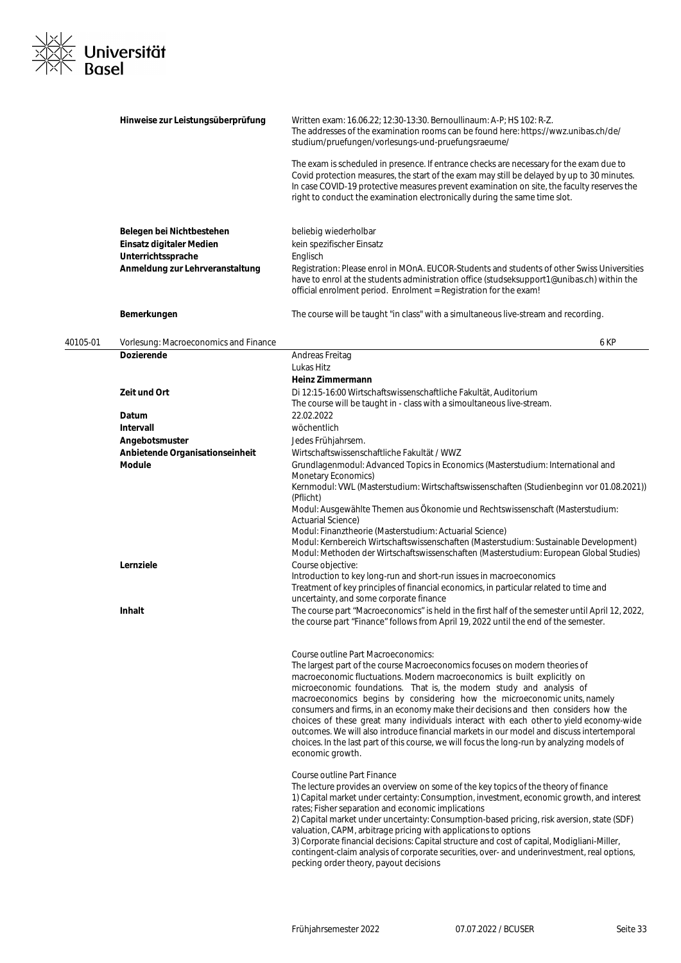

|          | Hinweise zur Leistungsüberprüfung                     | Written exam: 16.06.22; 12:30-13:30. Bernoullinaum: A-P; HS 102: R-Z.<br>The addresses of the examination rooms can be found here: https://wwz.unibas.ch/de/<br>studium/pruefungen/vorlesungs-und-pruefungsraeume/<br>The exam is scheduled in presence. If entrance checks are necessary for the exam due to<br>Covid protection measures, the start of the exam may still be delayed by up to 30 minutes.<br>In case COVID-19 protective measures prevent examination on site, the faculty reserves the<br>right to conduct the examination electronically during the same time slot.                                                                                                                                                            |
|----------|-------------------------------------------------------|----------------------------------------------------------------------------------------------------------------------------------------------------------------------------------------------------------------------------------------------------------------------------------------------------------------------------------------------------------------------------------------------------------------------------------------------------------------------------------------------------------------------------------------------------------------------------------------------------------------------------------------------------------------------------------------------------------------------------------------------------|
|          | Belegen bei Nichtbestehen                             | beliebig wiederholbar                                                                                                                                                                                                                                                                                                                                                                                                                                                                                                                                                                                                                                                                                                                              |
|          | Einsatz digitaler Medien                              | kein spezifischer Einsatz                                                                                                                                                                                                                                                                                                                                                                                                                                                                                                                                                                                                                                                                                                                          |
|          | Unterrichtssprache<br>Anmeldung zur Lehrveranstaltung | Englisch<br>Registration: Please enrol in MOnA. EUCOR-Students and students of other Swiss Universities<br>have to enrol at the students administration office (studseksupport1@unibas.ch) within the<br>official enrolment period. Enrolment = Registration for the exam!                                                                                                                                                                                                                                                                                                                                                                                                                                                                         |
|          | Bemerkungen                                           | The course will be taught "in class" with a simultaneous live-stream and recording.                                                                                                                                                                                                                                                                                                                                                                                                                                                                                                                                                                                                                                                                |
| 40105-01 | Vorlesung: Macroeconomics and Finance                 | 6 KP                                                                                                                                                                                                                                                                                                                                                                                                                                                                                                                                                                                                                                                                                                                                               |
|          | <b>Dozierende</b>                                     | Andreas Freitag                                                                                                                                                                                                                                                                                                                                                                                                                                                                                                                                                                                                                                                                                                                                    |
|          |                                                       | Lukas Hitz<br>Heinz Zimmermann                                                                                                                                                                                                                                                                                                                                                                                                                                                                                                                                                                                                                                                                                                                     |
|          | Zeit und Ort                                          | Di 12:15-16:00 Wirtschaftswissenschaftliche Fakultät, Auditorium<br>The course will be taught in - class with a simoultaneous live-stream.                                                                                                                                                                                                                                                                                                                                                                                                                                                                                                                                                                                                         |
|          | Datum                                                 | 22.02.2022                                                                                                                                                                                                                                                                                                                                                                                                                                                                                                                                                                                                                                                                                                                                         |
|          | Intervall                                             | wöchentlich                                                                                                                                                                                                                                                                                                                                                                                                                                                                                                                                                                                                                                                                                                                                        |
|          | Angebotsmuster                                        | Jedes Frühjahrsem.                                                                                                                                                                                                                                                                                                                                                                                                                                                                                                                                                                                                                                                                                                                                 |
|          | Anbietende Organisationseinheit                       | Wirtschaftswissenschaftliche Fakultät / WWZ                                                                                                                                                                                                                                                                                                                                                                                                                                                                                                                                                                                                                                                                                                        |
|          | <b>Module</b>                                         | Grundlagenmodul: Advanced Topics in Economics (Masterstudium: International and<br>Monetary Economics)<br>Kernmodul: VWL (Masterstudium: Wirtschaftswissenschaften (Studienbeginn vor 01.08.2021))<br>(Pflicht)                                                                                                                                                                                                                                                                                                                                                                                                                                                                                                                                    |
|          |                                                       | Modul: Ausgewählte Themen aus Ökonomie und Rechtswissenschaft (Masterstudium:<br><b>Actuarial Science)</b><br>Modul: Finanztheorie (Masterstudium: Actuarial Science)                                                                                                                                                                                                                                                                                                                                                                                                                                                                                                                                                                              |
|          | Lernziele                                             | Modul: Kernbereich Wirtschaftswissenschaften (Masterstudium: Sustainable Development)<br>Modul: Methoden der Wirtschaftswissenschaften (Masterstudium: European Global Studies)<br>Course objective:                                                                                                                                                                                                                                                                                                                                                                                                                                                                                                                                               |
|          |                                                       | Introduction to key long-run and short-run issues in macroeconomics<br>Treatment of key principles of financial economics, in particular related to time and<br>uncertainty, and some corporate finance                                                                                                                                                                                                                                                                                                                                                                                                                                                                                                                                            |
|          | <b>Inhalt</b>                                         | The course part "Macroeconomics" is held in the first half of the semester until April 12, 2022,<br>the course part "Finance" follows from April 19, 2022 until the end of the semester.                                                                                                                                                                                                                                                                                                                                                                                                                                                                                                                                                           |
|          |                                                       | Course outline Part Macroeconomics:<br>The largest part of the course Macroeconomics focuses on modern theories of<br>macroeconomic fluctuations. Modern macroeconomics is built explicitly on<br>microeconomic foundations. That is, the modern study and analysis of<br>macroeconomics begins by considering how the microeconomic units, namely<br>consumers and firms, in an economy make their decisions and then considers how the<br>choices of these great many individuals interact with each other to yield economy-wide<br>outcomes. We will also introduce financial markets in our model and discuss intertemporal<br>choices. In the last part of this course, we will focus the long-run by analyzing models of<br>economic growth. |
|          |                                                       | Course outline Part Finance<br>The lecture provides an overview on some of the key topics of the theory of finance<br>1) Capital market under certainty: Consumption, investment, economic growth, and interest<br>rates; Fisher separation and economic implications<br>2) Capital market under uncertainty: Consumption-based pricing, risk aversion, state (SDF)<br>valuation, CAPM, arbitrage pricing with applications to options<br>3) Corporate financial decisions: Capital structure and cost of capital, Modigliani-Miller,<br>contingent-claim analysis of corporate securities, over- and underinvestment, real options,<br>pecking order theory, payout decisions                                                                     |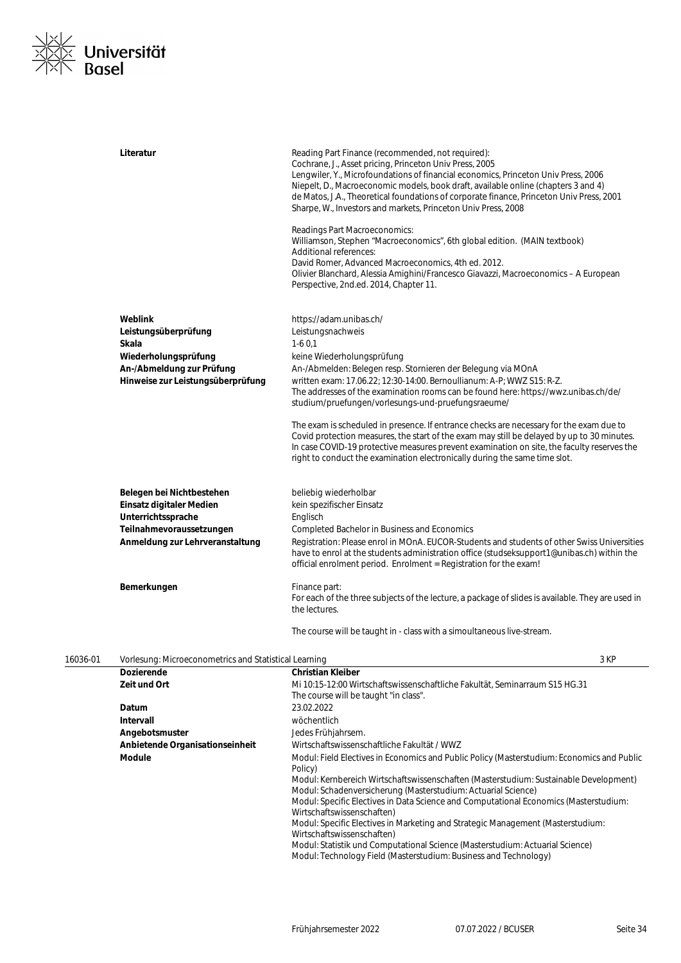

|          | Literatur                                             | Reading Part Finance (recommended, not required):<br>Cochrane, J., Asset pricing, Princeton Univ Press, 2005<br>Lengwiler, Y., Microfoundations of financial economics, Princeton Univ Press, 2006<br>Niepelt, D., Macroeconomic models, book draft, available online (chapters 3 and 4)<br>de Matos, J.A., Theoretical foundations of corporate finance, Princeton Univ Press, 2001<br>Sharpe, W., Investors and markets, Princeton Univ Press, 2008 |
|----------|-------------------------------------------------------|-------------------------------------------------------------------------------------------------------------------------------------------------------------------------------------------------------------------------------------------------------------------------------------------------------------------------------------------------------------------------------------------------------------------------------------------------------|
|          |                                                       | Readings Part Macroeconomics:<br>Williamson, Stephen "Macroeconomics", 6th global edition. (MAIN textbook)<br>Additional references:<br>David Romer, Advanced Macroeconomics, 4th ed. 2012.                                                                                                                                                                                                                                                           |
|          |                                                       | Olivier Blanchard, Alessia Amighini/Francesco Giavazzi, Macroeconomics - A European<br>Perspective, 2nd.ed. 2014, Chapter 11.                                                                                                                                                                                                                                                                                                                         |
|          | Weblink                                               | https://adam.unibas.ch/                                                                                                                                                                                                                                                                                                                                                                                                                               |
|          |                                                       |                                                                                                                                                                                                                                                                                                                                                                                                                                                       |
|          | Leistungsüberprüfung                                  | Leistungsnachweis                                                                                                                                                                                                                                                                                                                                                                                                                                     |
|          | Skala                                                 | $1-60,1$                                                                                                                                                                                                                                                                                                                                                                                                                                              |
|          | Wiederholungsprüfung                                  | keine Wiederholungsprüfung                                                                                                                                                                                                                                                                                                                                                                                                                            |
|          | An-/Abmeldung zur Prüfung                             | An-/Abmelden: Belegen resp. Stornieren der Belegung via MOnA                                                                                                                                                                                                                                                                                                                                                                                          |
|          | Hinweise zur Leistungsüberprüfung                     | written exam: 17.06.22; 12:30-14:00. Bernoullianum: A-P; WWZ S15: R-Z.<br>The addresses of the examination rooms can be found here: https://wwz.unibas.ch/de/<br>studium/pruefungen/vorlesungs-und-pruefungsraeume/                                                                                                                                                                                                                                   |
|          |                                                       | The exam is scheduled in presence. If entrance checks are necessary for the exam due to<br>Covid protection measures, the start of the exam may still be delayed by up to 30 minutes.<br>In case COVID-19 protective measures prevent examination on site, the faculty reserves the<br>right to conduct the examination electronically during the same time slot.                                                                                     |
|          | Belegen bei Nichtbestehen<br>Einsatz digitaler Medien | beliebig wiederholbar<br>kein spezifischer Einsatz                                                                                                                                                                                                                                                                                                                                                                                                    |
|          | Unterrichtssprache                                    | Englisch                                                                                                                                                                                                                                                                                                                                                                                                                                              |
|          | Teilnahmevoraussetzungen                              | <b>Completed Bachelor in Business and Economics</b>                                                                                                                                                                                                                                                                                                                                                                                                   |
|          | Anmeldung zur Lehrveranstaltung                       | Registration: Please enrol in MOnA. EUCOR-Students and students of other Swiss Universities<br>have to enrol at the students administration office (studseksupport1@unibas.ch) within the<br>official enrolment period. Enrolment = Registration for the exam!                                                                                                                                                                                        |
|          | Bemerkungen                                           | Finance part:<br>For each of the three subjects of the lecture, a package of slides is available. They are used in<br>the lectures.                                                                                                                                                                                                                                                                                                                   |
|          |                                                       | The course will be taught in - class with a simoultaneous live-stream.                                                                                                                                                                                                                                                                                                                                                                                |
| 16036-01 | Vorlesung: Microeconometrics and Statistical Learning | 3 KP                                                                                                                                                                                                                                                                                                                                                                                                                                                  |
|          | <b>Dozierende</b>                                     | <b>Christian Kleiber</b>                                                                                                                                                                                                                                                                                                                                                                                                                              |
|          | Zeit und Ort                                          | Mi 10:15-12:00 Wirtschaftswissenschaftliche Fakultät, Seminarraum S15 HG.31<br>The course will be taught "in class".                                                                                                                                                                                                                                                                                                                                  |
|          | Datum                                                 | 23.02.2022                                                                                                                                                                                                                                                                                                                                                                                                                                            |
|          | Intervall                                             | wöchentlich                                                                                                                                                                                                                                                                                                                                                                                                                                           |
|          | Angebotsmuster                                        | Jedes Frühjahrsem.                                                                                                                                                                                                                                                                                                                                                                                                                                    |
|          | Anbietende Organisationseinheit                       | Wirtschaftswissenschaftliche Fakultät / WWZ                                                                                                                                                                                                                                                                                                                                                                                                           |
|          | Module                                                | Modul: Field Electives in Economics and Public Policy (Masterstudium: Economics and Public<br>Policy)<br>Modul: Kernbereich Wirtschaftswissenschaften (Masterstudium: Sustainable Development)                                                                                                                                                                                                                                                        |
|          |                                                       | Modul: Schadenversicherung (Masterstudium: Actuarial Science)<br>Modul: Specific Electives in Data Science and Computational Economics (Masterstudium:                                                                                                                                                                                                                                                                                                |

Wirtschaftswissenschaften)

Modul: Specific Electives in Marketing and Strategic Management (Masterstudium: Wirtschaftswissenschaften)

Modul: Statistik und Computational Science (Masterstudium: Actuarial Science) Modul: Technology Field (Masterstudium: Business and Technology)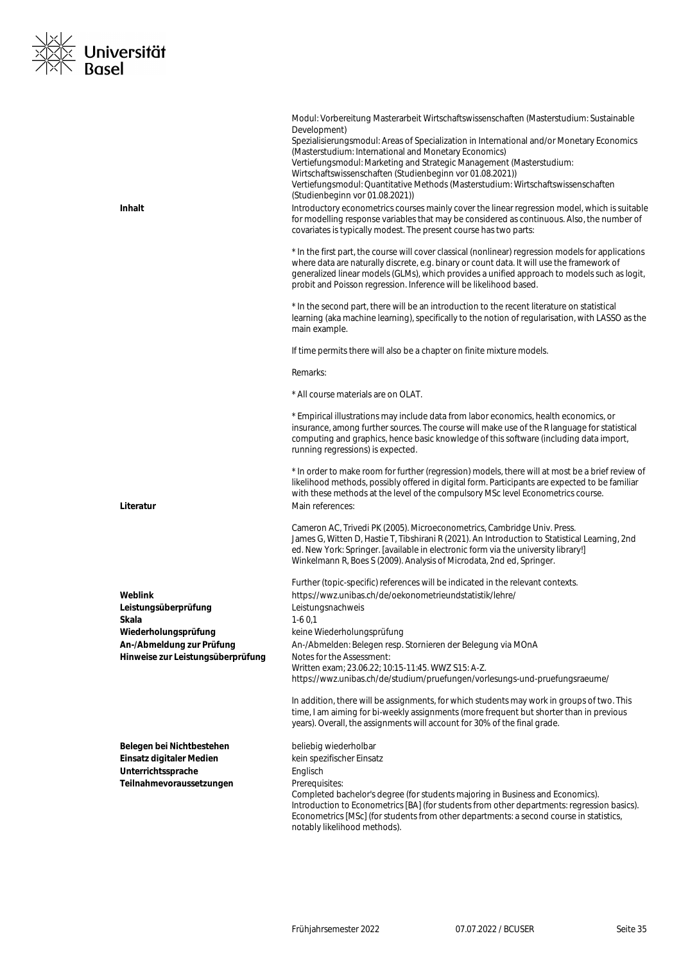

|                                                                | Modul: Vorbereitung Masterarbeit Wirtschaftswissenschaften (Masterstudium: Sustainable<br>Development)<br>Spezialisierungsmodul: Areas of Specialization in International and/or Monetary Economics<br>(Masterstudium: International and Monetary Economics)<br>Vertiefungsmodul: Marketing and Strategic Management (Masterstudium:<br>Wirtschaftswissenschaften (Studienbeginn vor 01.08.2021))<br>Vertiefungsmodul: Quantitative Methods (Masterstudium: Wirtschaftswissenschaften<br>(Studienbeginn vor 01.08.2021)) |
|----------------------------------------------------------------|--------------------------------------------------------------------------------------------------------------------------------------------------------------------------------------------------------------------------------------------------------------------------------------------------------------------------------------------------------------------------------------------------------------------------------------------------------------------------------------------------------------------------|
| <b>Inhalt</b>                                                  | Introductory econometrics courses mainly cover the linear regression model, which is suitable<br>for modelling response variables that may be considered as continuous. Also, the number of<br>covariates is typically modest. The present course has two parts:                                                                                                                                                                                                                                                         |
|                                                                | * In the first part, the course will cover classical (nonlinear) regression models for applications<br>where data are naturally discrete, e.g. binary or count data. It will use the framework of<br>generalized linear models (GLMs), which provides a unified approach to models such as logit,<br>probit and Poisson regression. Inference will be likelihood based.                                                                                                                                                  |
|                                                                | * In the second part, there will be an introduction to the recent literature on statistical<br>learning (aka machine learning), specifically to the notion of regularisation, with LASSO as the<br>main example.                                                                                                                                                                                                                                                                                                         |
|                                                                | If time permits there will also be a chapter on finite mixture models.                                                                                                                                                                                                                                                                                                                                                                                                                                                   |
|                                                                | Remarks:                                                                                                                                                                                                                                                                                                                                                                                                                                                                                                                 |
|                                                                | * All course materials are on OLAT.                                                                                                                                                                                                                                                                                                                                                                                                                                                                                      |
|                                                                | * Empirical illustrations may include data from labor economics, health economics, or<br>insurance, among further sources. The course will make use of the R language for statistical<br>computing and graphics, hence basic knowledge of this software (including data import,<br>running regressions) is expected.                                                                                                                                                                                                     |
| Literatur                                                      | * In order to make room for further (regression) models, there will at most be a brief review of<br>likelihood methods, possibly offered in digital form. Participants are expected to be familiar<br>with these methods at the level of the compulsory MSc level Econometrics course.<br>Main references:                                                                                                                                                                                                               |
|                                                                | Cameron AC, Trivedi PK (2005). Microeconometrics, Cambridge Univ. Press.<br>James G, Witten D, Hastie T, Tibshirani R (2021). An Introduction to Statistical Learning, 2nd<br>ed. New York: Springer. [available in electronic form via the university library!]<br>Winkelmann R, Boes S (2009). Analysis of Microdata, 2nd ed, Springer.                                                                                                                                                                                |
| Weblink                                                        | Further (topic-specific) references will be indicated in the relevant contexts.<br>https://wwz.unibas.ch/de/oekonometrieundstatistik/lehre/                                                                                                                                                                                                                                                                                                                                                                              |
| Leistungsüberprüfung                                           | Leistungsnachweis                                                                                                                                                                                                                                                                                                                                                                                                                                                                                                        |
| Skala<br>Wiederholungsprüfung                                  | $1-60,1$<br>keine Wiederholungsprüfung                                                                                                                                                                                                                                                                                                                                                                                                                                                                                   |
| An-/Abmeldung zur Prüfung<br>Hinweise zur Leistungsüberprüfung | An-/Abmelden: Belegen resp. Stornieren der Belegung via MOnA<br>Notes for the Assessment:                                                                                                                                                                                                                                                                                                                                                                                                                                |
|                                                                | Written exam; 23.06.22; 10:15-11:45. WWZ S15: A-Z.<br>https://wwz.unibas.ch/de/studium/pruefungen/vorlesungs-und-pruefungsraeume/                                                                                                                                                                                                                                                                                                                                                                                        |
|                                                                | In addition, there will be assignments, for which students may work in groups of two. This<br>time, I am aiming for bi-weekly assignments (more frequent but shorter than in previous<br>years). Overall, the assignments will account for 30% of the final grade.                                                                                                                                                                                                                                                       |
| Belegen bei Nichtbestehen                                      | beliebig wiederholbar                                                                                                                                                                                                                                                                                                                                                                                                                                                                                                    |
| Einsatz digitaler Medien<br>Unterrichtssprache                 | kein spezifischer Einsatz<br>Englisch                                                                                                                                                                                                                                                                                                                                                                                                                                                                                    |
| Teilnahmevoraussetzungen                                       | Prerequisites:                                                                                                                                                                                                                                                                                                                                                                                                                                                                                                           |
|                                                                | Completed bachelor's degree (for students majoring in Business and Economics).<br>Introduction to Econometrics [BA] (for students from other departments: regression basics).<br>Econometrics [MSc] (for students from other departments: a second course in statistics,<br>notably likelihood methods).                                                                                                                                                                                                                 |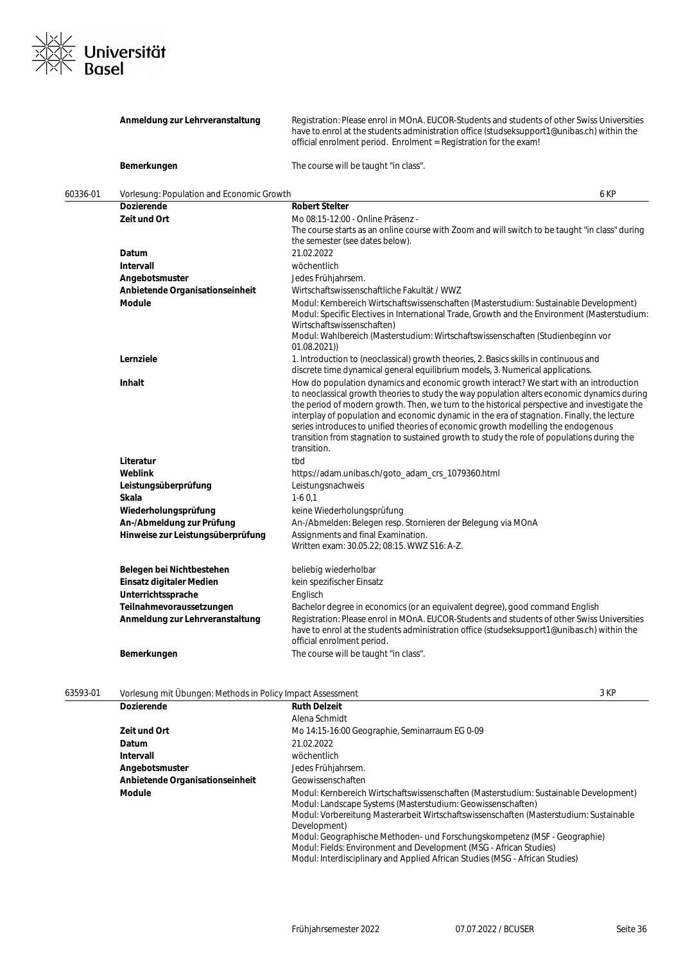

|          | Anmeldung zur Lehrveranstaltung                                                                                                                           | Registration: Please enrol in MOnA. EUCOR-Students and students of other Swiss Universities<br>have to enrol at the students administration office (studseksupport1@unibas.ch) within the<br>official enrolment period. Enrolment = Registration for the exam!                                                                                                                                                                                                                                                                                                                         |
|----------|-----------------------------------------------------------------------------------------------------------------------------------------------------------|----------------------------------------------------------------------------------------------------------------------------------------------------------------------------------------------------------------------------------------------------------------------------------------------------------------------------------------------------------------------------------------------------------------------------------------------------------------------------------------------------------------------------------------------------------------------------------------|
|          | Bemerkungen                                                                                                                                               | The course will be taught "in class".                                                                                                                                                                                                                                                                                                                                                                                                                                                                                                                                                  |
| 60336-01 | Vorlesung: Population and Economic Growth                                                                                                                 | 6 KP                                                                                                                                                                                                                                                                                                                                                                                                                                                                                                                                                                                   |
|          | <b>Dozierende</b>                                                                                                                                         | <b>Robert Stelter</b>                                                                                                                                                                                                                                                                                                                                                                                                                                                                                                                                                                  |
|          | Zeit und Ort                                                                                                                                              | Mo 08:15-12:00 - Online Präsenz -<br>The course starts as an online course with Zoom and will switch to be taught "in class" during<br>the semester (see dates below).                                                                                                                                                                                                                                                                                                                                                                                                                 |
|          | Datum                                                                                                                                                     | 21.02.2022                                                                                                                                                                                                                                                                                                                                                                                                                                                                                                                                                                             |
|          | Intervall                                                                                                                                                 | wöchentlich                                                                                                                                                                                                                                                                                                                                                                                                                                                                                                                                                                            |
|          | Angebotsmuster                                                                                                                                            | Jedes Frühjahrsem.                                                                                                                                                                                                                                                                                                                                                                                                                                                                                                                                                                     |
|          | Anbietende Organisationseinheit                                                                                                                           | Wirtschaftswissenschaftliche Fakultät / WWZ                                                                                                                                                                                                                                                                                                                                                                                                                                                                                                                                            |
|          | <b>Module</b>                                                                                                                                             | Modul: Kernbereich Wirtschaftswissenschaften (Masterstudium: Sustainable Development)<br>Modul: Specific Electives in International Trade, Growth and the Environment (Masterstudium:<br>Wirtschaftswissenschaften)<br>Modul: Wahlbereich (Masterstudium: Wirtschaftswissenschaften (Studienbeginn vor<br>01.08.2021))                                                                                                                                                                                                                                                                 |
|          | Lernziele                                                                                                                                                 | 1. Introduction to (neoclassical) growth theories, 2. Basics skills in continuous and<br>discrete time dynamical general equilibrium models, 3. Numerical applications.                                                                                                                                                                                                                                                                                                                                                                                                                |
|          | <b>Inhalt</b>                                                                                                                                             | How do population dynamics and economic growth interact? We start with an introduction<br>to neoclassical growth theories to study the way population alters economic dynamics during<br>the period of modern growth. Then, we turn to the historical perspective and investigate the<br>interplay of population and economic dynamic in the era of stagnation. Finally, the lecture<br>series introduces to unified theories of economic growth modelling the endogenous<br>transition from stagnation to sustained growth to study the role of populations during the<br>transition. |
|          | Literatur                                                                                                                                                 | tbd                                                                                                                                                                                                                                                                                                                                                                                                                                                                                                                                                                                    |
|          | Weblink                                                                                                                                                   | https://adam.unibas.ch/goto_adam_crs_1079360.html                                                                                                                                                                                                                                                                                                                                                                                                                                                                                                                                      |
|          | Leistungsüberprüfung                                                                                                                                      | Leistungsnachweis                                                                                                                                                                                                                                                                                                                                                                                                                                                                                                                                                                      |
|          | Skala                                                                                                                                                     | $1-60,1$                                                                                                                                                                                                                                                                                                                                                                                                                                                                                                                                                                               |
|          | Wiederholungsprüfung                                                                                                                                      | keine Wiederholungsprüfung                                                                                                                                                                                                                                                                                                                                                                                                                                                                                                                                                             |
|          | An-/Abmeldung zur Prüfung                                                                                                                                 | An-/Abmelden: Belegen resp. Stornieren der Belegung via MOnA                                                                                                                                                                                                                                                                                                                                                                                                                                                                                                                           |
|          | Hinweise zur Leistungsüberprüfung                                                                                                                         | Assignments and final Examination.<br>Written exam: 30.05.22; 08:15. WWZ S16: A-Z.                                                                                                                                                                                                                                                                                                                                                                                                                                                                                                     |
|          | Belegen bei Nichtbestehen<br>Einsatz digitaler Medien<br>Unterrichtssprache<br>Teilnahmevoraussetzungen<br>Anmeldung zur Lehrveranstaltung<br>Bemerkungen | beliebig wiederholbar<br>kein spezifischer Einsatz<br>Englisch<br>Bachelor degree in economics (or an equivalent degree), good command English<br>Registration: Please enrol in MOnA. EUCOR-Students and students of other Swiss Universities<br>have to enrol at the students administration office (studseksupport1@unibas.ch) within the<br>official enrolment period.<br>The course will be taught "in class".                                                                                                                                                                     |
|          |                                                                                                                                                           |                                                                                                                                                                                                                                                                                                                                                                                                                                                                                                                                                                                        |

| 63593-01 | Vorlesung mit Übungen: Methods in Policy Impact Assessment |                                                                                                                                                                                                                                 | 3 KP |
|----------|------------------------------------------------------------|---------------------------------------------------------------------------------------------------------------------------------------------------------------------------------------------------------------------------------|------|
|          | <b>Dozierende</b>                                          | <b>Ruth Delzeit</b>                                                                                                                                                                                                             |      |
|          |                                                            | Alena Schmidt                                                                                                                                                                                                                   |      |
|          | Zeit und Ort                                               | Mo 14:15-16:00 Geographie, Seminarraum EG 0-09                                                                                                                                                                                  |      |
|          | Datum                                                      | 21.02.2022                                                                                                                                                                                                                      |      |
|          | Intervall                                                  | wöchentlich                                                                                                                                                                                                                     |      |
|          | Angebotsmuster                                             | Jedes Frühjahrsem.                                                                                                                                                                                                              |      |
|          | Anbietende Organisationseinheit                            | Geowissenschaften                                                                                                                                                                                                               |      |
|          | <b>Module</b>                                              | Modul: Kernbereich Wirtschaftswissenschaften (Masterstudium: Sustainable Development)<br>Modul: Landscape Systems (Masterstudium: Geowissenschaften)                                                                            |      |
|          |                                                            | Modul: Vorbereitung Masterarbeit Wirtschaftswissenschaften (Masterstudium: Sustainable<br>Development)                                                                                                                          |      |
|          |                                                            | Modul: Geographische Methoden- und Forschungskompetenz (MSF - Geographie)<br>Modul: Fields: Environment and Development (MSG - African Studies)<br>Modul: Interdisciplinary and Applied African Studies (MSG - African Studies) |      |
|          |                                                            |                                                                                                                                                                                                                                 |      |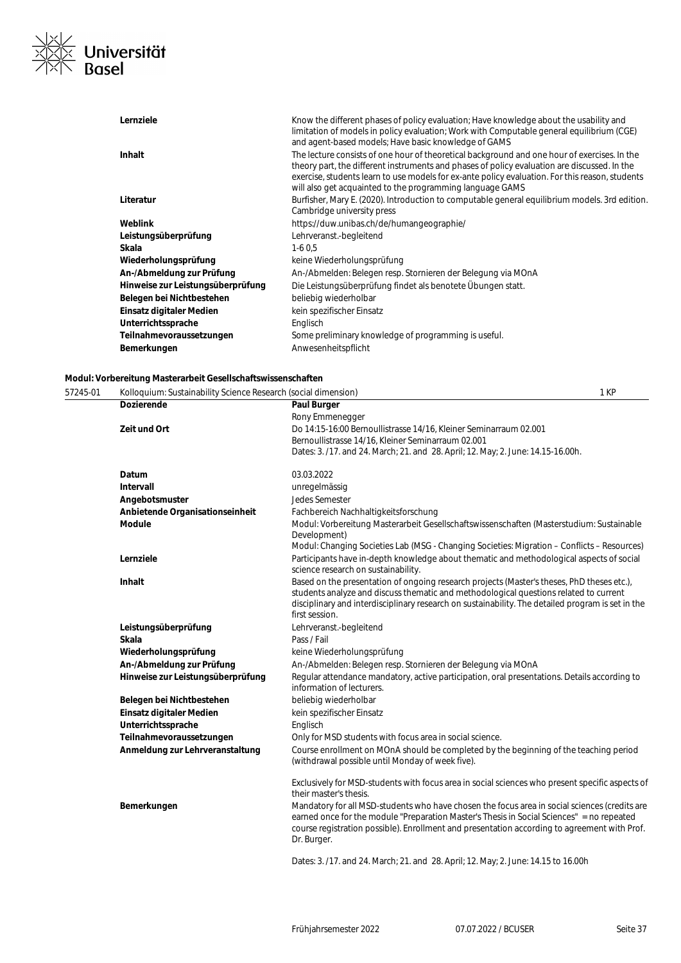

| Lernziele                         | Know the different phases of policy evaluation; Have knowledge about the usability and<br>limitation of models in policy evaluation; Work with Computable general equilibrium (CGE)<br>and agent-based models; Have basic knowledge of GAMS                                                                                                                  |
|-----------------------------------|--------------------------------------------------------------------------------------------------------------------------------------------------------------------------------------------------------------------------------------------------------------------------------------------------------------------------------------------------------------|
| <b>Inhalt</b>                     | The lecture consists of one hour of theoretical background and one hour of exercises. In the<br>theory part, the different instruments and phases of policy evaluation are discussed. In the<br>exercise, students learn to use models for ex-ante policy evaluation. For this reason, students<br>will also get acquainted to the programming language GAMS |
| Literatur                         | Burfisher, Mary E. (2020). Introduction to computable general equilibrium models. 3rd edition.<br>Cambridge university press                                                                                                                                                                                                                                 |
| Weblink                           | https://duw.unibas.ch/de/humangeographie/                                                                                                                                                                                                                                                                                                                    |
| Leistungsüberprüfung              | Lehrveranst.-begleitend                                                                                                                                                                                                                                                                                                                                      |
| Skala                             | $1-60.5$                                                                                                                                                                                                                                                                                                                                                     |
| Wiederholungsprüfung              | keine Wiederholungsprüfung                                                                                                                                                                                                                                                                                                                                   |
| An-/Abmeldung zur Prüfung         | An-/Abmelden: Belegen resp. Stornieren der Belegung via MOnA                                                                                                                                                                                                                                                                                                 |
| Hinweise zur Leistungsüberprüfung | Die Leistungsüberprüfung findet als benotete Übungen statt.                                                                                                                                                                                                                                                                                                  |
| Belegen bei Nichtbestehen         | beliebig wiederholbar                                                                                                                                                                                                                                                                                                                                        |
| Einsatz digitaler Medien          | kein spezifischer Einsatz                                                                                                                                                                                                                                                                                                                                    |
| Unterrichtssprache                | Englisch                                                                                                                                                                                                                                                                                                                                                     |
| Teilnahmevoraussetzungen          | Some preliminary knowledge of programming is useful.                                                                                                                                                                                                                                                                                                         |
| Bemerkungen                       | Anwesenheitspflicht                                                                                                                                                                                                                                                                                                                                          |

### **Modul: Vorbereitung Masterarbeit Gesellschaftswissenschaften**

57245-01 Kolloquium: Sustainability Science Research (social dimension) 1 KP **Dozierende Paul Burger** Rony Emmenegger **Zeit und Ort** Do 14:15-16:00 Bernoullistrasse 14/16, Kleiner Seminarraum 02.001 Bernoullistrasse 14/16, Kleiner Seminarraum 02.001 Dates: 3. /17. and 24. March; 21. and 28. April; 12. May; 2. June: 14.15-16.00h. **Datum** 03.03.2022 **Intervall** unregelmässig **Angebotsmuster** Jedes Semester **Anbietende Organisationseinheit** Fachbereich Nachhaltigkeitsforschung **Module** Modul: Vorbereitung Masterarbeit Gesellschaftswissenschaften (Masterstudium: Sustainable Development) Modul: Changing Societies Lab (MSG - Changing Societies: Migration – Conflicts – Resources) **Lernziele** Participants have in-depth knowledge about thematic and methodological aspects of social science research on sustainability. **Inhalt** Based on the presentation of ongoing research projects (Master's theses, PhD theses etc.), students analyze and discuss thematic and methodological questions related to current disciplinary and interdisciplinary research on sustainability. The detailed program is set in the first session. **Leistungsüberprüfung** Lehrveranst.-begleitend **Skala** Pass / Fail Wiederholungsprüfung **Keine Wiederholungsprüfung An-/Abmeldung zur Prüfung An-/Abmelden: Belegen resp. Stornieren der Belegung via MOnA Hinweise zur Leistungsüberprüfung** Regular attendance mandatory, active participation, oral presentations. Details according to information of lecturers. **Belegen bei Nichtbestehen** beliebig wiederholbar **Einsatz digitaler Medien** kein spezifischer Einsatz Unterrichtssprache **Englisch Teilnahmevoraussetzungen** Only for MSD students with focus area in social science. **Anmeldung zur Lehrveranstaltung** Course enrollment on MOnA should be completed by the beginning of the teaching period (withdrawal possible until Monday of week five). Exclusively for MSD-students with focus area in social sciences who present specific aspects of their master's thesis. Bemerkungen **Mandatory for all MSD-students who have chosen the focus area in social sciences (credits are** earned once for the module "Preparation Master's Thesis in Social Sciences" = no repeated course registration possible). Enrollment and presentation according to agreement with Prof. Dr. Burger. Dates: 3. /17. and 24. March; 21. and 28. April; 12. May; 2. June: 14.15 to 16.00h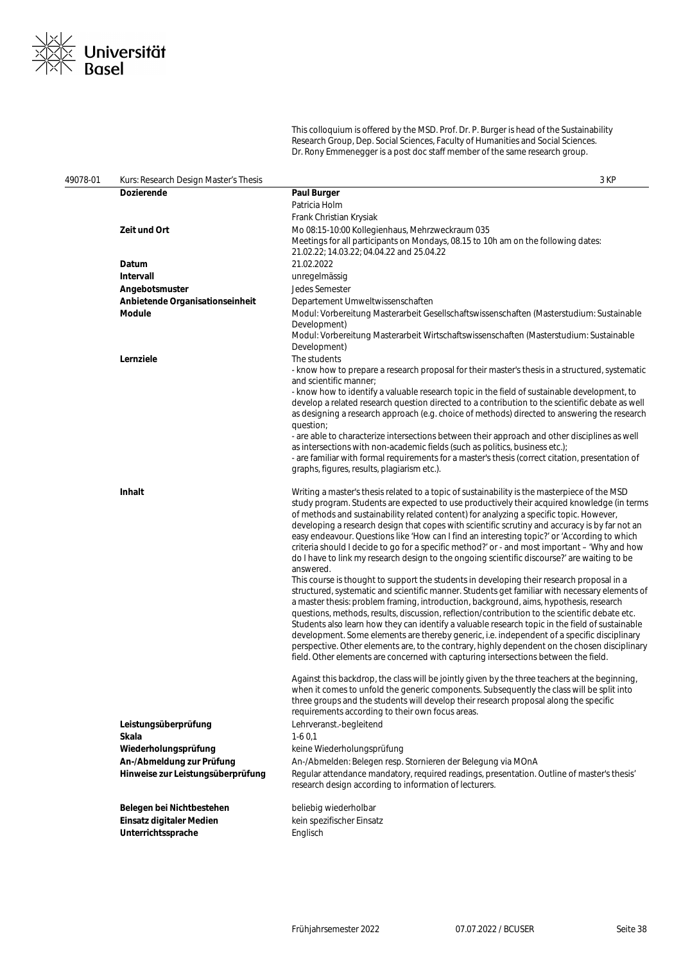

This colloquium is offered by the MSD. Prof. Dr. P. Burger is head of the Sustainability Research Group, Dep. Social Sciences, Faculty of Humanities and Social Sciences. Dr. Rony Emmenegger is a post doc staff member of the same research group.

| 49078-01 | Kurs: Research Design Master's Thesis                          | 3 KP                                                                                                                                                                                            |
|----------|----------------------------------------------------------------|-------------------------------------------------------------------------------------------------------------------------------------------------------------------------------------------------|
|          | <b>Dozierende</b>                                              | Paul Burger                                                                                                                                                                                     |
|          |                                                                | Patricia Holm                                                                                                                                                                                   |
|          |                                                                | Frank Christian Krysiak                                                                                                                                                                         |
|          | Zeit und Ort                                                   | Mo 08:15-10:00 Kollegienhaus, Mehrzweckraum 035                                                                                                                                                 |
|          |                                                                | Meetings for all participants on Mondays, 08.15 to 10h am on the following dates:                                                                                                               |
|          | Datum                                                          | 21.02.22; 14.03.22; 04.04.22 and 25.04.22<br>21.02.2022                                                                                                                                         |
|          | Intervall                                                      |                                                                                                                                                                                                 |
|          | Angebotsmuster                                                 | unregelmässig<br>Jedes Semester                                                                                                                                                                 |
|          | Anbietende Organisationseinheit                                | Departement Umweltwissenschaften                                                                                                                                                                |
|          | Module                                                         | Modul: Vorbereitung Masterarbeit Gesellschaftswissenschaften (Masterstudium: Sustainable                                                                                                        |
|          |                                                                | Development)                                                                                                                                                                                    |
|          |                                                                | Modul: Vorbereitung Masterarbeit Wirtschaftswissenschaften (Masterstudium: Sustainable                                                                                                          |
|          |                                                                | Development)                                                                                                                                                                                    |
|          | Lernziele                                                      | The students                                                                                                                                                                                    |
|          |                                                                | - know how to prepare a research proposal for their master's thesis in a structured, systematic<br>and scientific manner;                                                                       |
|          |                                                                | - know how to identify a valuable research topic in the field of sustainable development, to                                                                                                    |
|          |                                                                | develop a related research question directed to a contribution to the scientific debate as well<br>as designing a research approach (e.g. choice of methods) directed to answering the research |
|          |                                                                | question;                                                                                                                                                                                       |
|          |                                                                | - are able to characterize intersections between their approach and other disciplines as well                                                                                                   |
|          |                                                                | as intersections with non-academic fields (such as politics, business etc.);                                                                                                                    |
|          |                                                                | - are familiar with formal requirements for a master's thesis (correct citation, presentation of                                                                                                |
|          |                                                                | graphs, figures, results, plagiarism etc.).                                                                                                                                                     |
|          | <b>Inhalt</b>                                                  | Writing a master's thesis related to a topic of sustainability is the masterpiece of the MSD                                                                                                    |
|          |                                                                | study program. Students are expected to use productively their acquired knowledge (in terms                                                                                                     |
|          |                                                                | of methods and sustainability related content) for analyzing a specific topic. However,                                                                                                         |
|          |                                                                | developing a research design that copes with scientific scrutiny and accuracy is by far not an<br>easy endeavour. Questions like 'How can I find an interesting topic?' or 'According to which  |
|          |                                                                | criteria should I decide to go for a specific method?' or - and most important - 'Why and how                                                                                                   |
|          |                                                                | do I have to link my research design to the ongoing scientific discourse?' are waiting to be                                                                                                    |
|          |                                                                | answered.                                                                                                                                                                                       |
|          |                                                                | This course is thought to support the students in developing their research proposal in a                                                                                                       |
|          |                                                                | structured, systematic and scientific manner. Students get familiar with necessary elements of                                                                                                  |
|          |                                                                | a master thesis: problem framing, introduction, background, aims, hypothesis, research<br>questions, methods, results, discussion, reflection/contribution to the scientific debate etc.        |
|          |                                                                | Students also learn how they can identify a valuable research topic in the field of sustainable                                                                                                 |
|          |                                                                | development. Some elements are thereby generic, i.e. independent of a specific disciplinary                                                                                                     |
|          |                                                                | perspective. Other elements are, to the contrary, highly dependent on the chosen disciplinary                                                                                                   |
|          |                                                                | field. Other elements are concerned with capturing intersections between the field.                                                                                                             |
|          |                                                                | Against this backdrop, the class will be jointly given by the three teachers at the beginning,                                                                                                  |
|          |                                                                | when it comes to unfold the generic components. Subsequently the class will be split into                                                                                                       |
|          |                                                                | three groups and the students will develop their research proposal along the specific                                                                                                           |
|          |                                                                | requirements according to their own focus areas.                                                                                                                                                |
|          | Leistungsüberprüfung                                           | Lehrveranst.-begleitend                                                                                                                                                                         |
|          | Skala                                                          | $1-60,1$                                                                                                                                                                                        |
|          | Wiederholungsprüfung                                           | keine Wiederholungsprüfung                                                                                                                                                                      |
|          | An-/Abmeldung zur Prüfung<br>Hinweise zur Leistungsüberprüfung | An-/Abmelden: Belegen resp. Stornieren der Belegung via MOnA                                                                                                                                    |
|          |                                                                | Regular attendance mandatory, required readings, presentation. Outline of master's thesis'<br>research design according to information of lecturers.                                            |
|          | Belegen bei Nichtbestehen                                      | beliebig wiederholbar                                                                                                                                                                           |
|          | Einsatz digitaler Medien                                       | kein spezifischer Einsatz                                                                                                                                                                       |
|          | Unterrichtssprache                                             | Englisch                                                                                                                                                                                        |
|          |                                                                |                                                                                                                                                                                                 |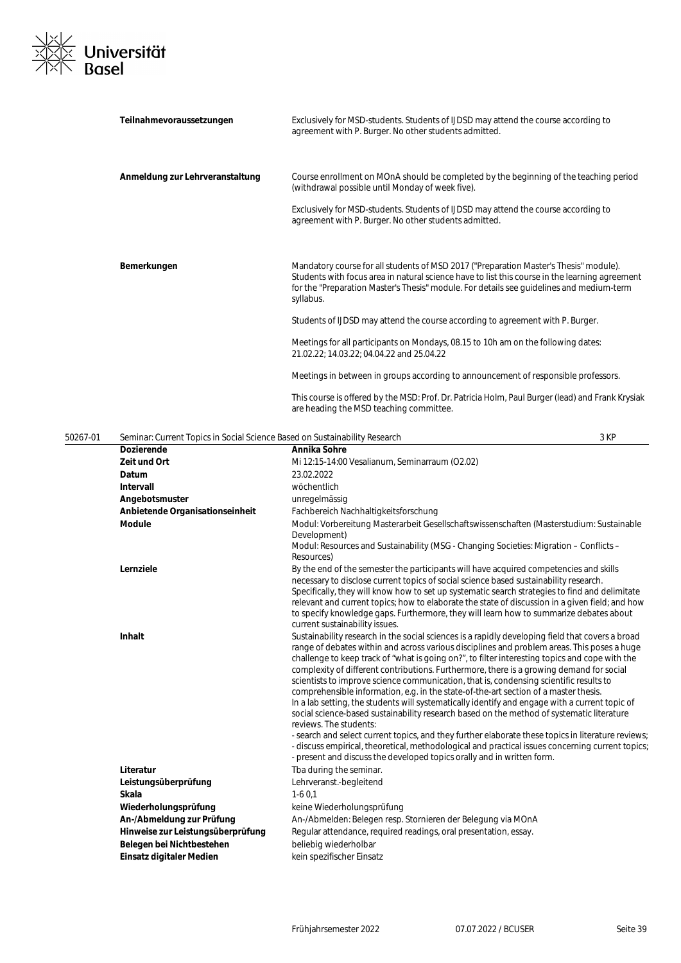

|          | Teilnahmevoraussetzungen                                                   | Exclusively for MSD-students. Students of IJDSD may attend the course according to<br>agreement with P. Burger. No other students admitted.                                                                                                                                                                                                                                                                                                                                                                                                                                                                                                                                                                                                                                                              |
|----------|----------------------------------------------------------------------------|----------------------------------------------------------------------------------------------------------------------------------------------------------------------------------------------------------------------------------------------------------------------------------------------------------------------------------------------------------------------------------------------------------------------------------------------------------------------------------------------------------------------------------------------------------------------------------------------------------------------------------------------------------------------------------------------------------------------------------------------------------------------------------------------------------|
|          | Anmeldung zur Lehrveranstaltung                                            | Course enrollment on MOnA should be completed by the beginning of the teaching period<br>(withdrawal possible until Monday of week five).                                                                                                                                                                                                                                                                                                                                                                                                                                                                                                                                                                                                                                                                |
|          |                                                                            | Exclusively for MSD-students. Students of IJDSD may attend the course according to<br>agreement with P. Burger. No other students admitted.                                                                                                                                                                                                                                                                                                                                                                                                                                                                                                                                                                                                                                                              |
|          | Bemerkungen                                                                | Mandatory course for all students of MSD 2017 ("Preparation Master's Thesis" module).<br>Students with focus area in natural science have to list this course in the learning agreement<br>for the "Preparation Master's Thesis" module. For details see guidelines and medium-term<br>syllabus.                                                                                                                                                                                                                                                                                                                                                                                                                                                                                                         |
|          |                                                                            | Students of IJDSD may attend the course according to agreement with P. Burger.                                                                                                                                                                                                                                                                                                                                                                                                                                                                                                                                                                                                                                                                                                                           |
|          |                                                                            | Meetings for all participants on Mondays, 08.15 to 10h am on the following dates:<br>21.02.22; 14.03.22; 04.04.22 and 25.04.22                                                                                                                                                                                                                                                                                                                                                                                                                                                                                                                                                                                                                                                                           |
|          |                                                                            | Meetings in between in groups according to announcement of responsible professors.                                                                                                                                                                                                                                                                                                                                                                                                                                                                                                                                                                                                                                                                                                                       |
|          |                                                                            | This course is offered by the MSD: Prof. Dr. Patricia Holm, Paul Burger (lead) and Frank Krysiak<br>are heading the MSD teaching committee.                                                                                                                                                                                                                                                                                                                                                                                                                                                                                                                                                                                                                                                              |
| 50267-01 | Seminar: Current Topics in Social Science Based on Sustainability Research | 3 KP                                                                                                                                                                                                                                                                                                                                                                                                                                                                                                                                                                                                                                                                                                                                                                                                     |
|          | <b>Dozierende</b>                                                          | Annika Sohre                                                                                                                                                                                                                                                                                                                                                                                                                                                                                                                                                                                                                                                                                                                                                                                             |
|          | Zeit und Ort                                                               | Mi 12:15-14:00 Vesalianum, Seminarraum (O2.02)                                                                                                                                                                                                                                                                                                                                                                                                                                                                                                                                                                                                                                                                                                                                                           |
|          | Datum                                                                      | 23.02.2022                                                                                                                                                                                                                                                                                                                                                                                                                                                                                                                                                                                                                                                                                                                                                                                               |
|          | Intervall                                                                  | wöchentlich                                                                                                                                                                                                                                                                                                                                                                                                                                                                                                                                                                                                                                                                                                                                                                                              |
|          | Angebotsmuster                                                             | unregelmässig                                                                                                                                                                                                                                                                                                                                                                                                                                                                                                                                                                                                                                                                                                                                                                                            |
|          | Anbietende Organisationseinheit                                            | Fachbereich Nachhaltigkeitsforschung                                                                                                                                                                                                                                                                                                                                                                                                                                                                                                                                                                                                                                                                                                                                                                     |
|          | Module                                                                     | Modul: Vorbereitung Masterarbeit Gesellschaftswissenschaften (Masterstudium: Sustainable                                                                                                                                                                                                                                                                                                                                                                                                                                                                                                                                                                                                                                                                                                                 |
|          |                                                                            | Development)                                                                                                                                                                                                                                                                                                                                                                                                                                                                                                                                                                                                                                                                                                                                                                                             |
|          |                                                                            | Modul: Resources and Sustainability (MSG - Changing Societies: Migration - Conflicts -                                                                                                                                                                                                                                                                                                                                                                                                                                                                                                                                                                                                                                                                                                                   |
|          |                                                                            | Resources)                                                                                                                                                                                                                                                                                                                                                                                                                                                                                                                                                                                                                                                                                                                                                                                               |
|          | Lernziele                                                                  | By the end of the semester the participants will have acquired competencies and skills<br>necessary to disclose current topics of social science based sustainability research.<br>Specifically, they will know how to set up systematic search strategies to find and delimitate<br>relevant and current topics; how to elaborate the state of discussion in a given field; and how<br>to specify knowledge gaps. Furthermore, they will learn how to summarize debates about                                                                                                                                                                                                                                                                                                                           |
|          |                                                                            | current sustainability issues.                                                                                                                                                                                                                                                                                                                                                                                                                                                                                                                                                                                                                                                                                                                                                                           |
|          | <b>Inhalt</b>                                                              | Sustainability research in the social sciences is a rapidly developing field that covers a broad<br>range of debates within and across various disciplines and problem areas. This poses a huge<br>challenge to keep track of "what is going on?", to filter interesting topics and cope with the<br>complexity of different contributions. Furthermore, there is a growing demand for social<br>scientists to improve science communication, that is, condensing scientific results to<br>comprehensible information, e.g. in the state-of-the-art section of a master thesis.<br>In a lab setting, the students will systematically identify and engage with a current topic of<br>social science-based sustainability research based on the method of systematic literature<br>reviews. The students: |
|          |                                                                            | - search and select current topics, and they further elaborate these topics in literature reviews;<br>- discuss empirical, theoretical, methodological and practical issues concerning current topics;<br>- present and discuss the developed topics orally and in written form.                                                                                                                                                                                                                                                                                                                                                                                                                                                                                                                         |
|          | Literatur                                                                  | Tba during the seminar.                                                                                                                                                                                                                                                                                                                                                                                                                                                                                                                                                                                                                                                                                                                                                                                  |
|          | Leistungsüberprüfung                                                       | Lehrveranst.-begleitend                                                                                                                                                                                                                                                                                                                                                                                                                                                                                                                                                                                                                                                                                                                                                                                  |
|          | Skala                                                                      | $1-60,1$                                                                                                                                                                                                                                                                                                                                                                                                                                                                                                                                                                                                                                                                                                                                                                                                 |
|          | Wiederholungsprüfung                                                       | keine Wiederholungsprüfung                                                                                                                                                                                                                                                                                                                                                                                                                                                                                                                                                                                                                                                                                                                                                                               |
|          | An-/Abmeldung zur Prüfung                                                  | An-/Abmelden: Belegen resp. Stornieren der Belegung via MOnA                                                                                                                                                                                                                                                                                                                                                                                                                                                                                                                                                                                                                                                                                                                                             |
|          | Hinweise zur Leistungsüberprüfung                                          | Regular attendance, required readings, oral presentation, essay.                                                                                                                                                                                                                                                                                                                                                                                                                                                                                                                                                                                                                                                                                                                                         |
|          | Belegen bei Nichtbestehen                                                  | beliebig wiederholbar                                                                                                                                                                                                                                                                                                                                                                                                                                                                                                                                                                                                                                                                                                                                                                                    |
|          | Einsatz digitaler Medien                                                   | kein spezifischer Einsatz                                                                                                                                                                                                                                                                                                                                                                                                                                                                                                                                                                                                                                                                                                                                                                                |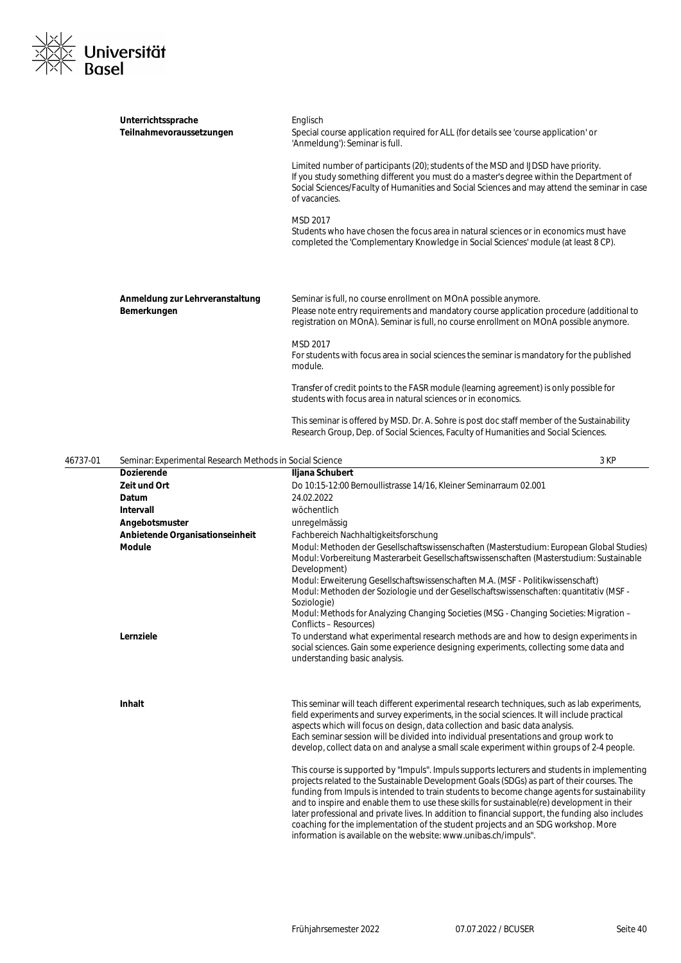

| Englisch<br>Special course application required for ALL (for details see 'course application' or<br>'Anmeldung'): Seminar is full.<br>Limited number of participants (20); students of the MSD and IJDSD have priority.<br>If you study something different you must do a master's degree within the Department of<br>Social Sciences/Faculty of Humanities and Social Sciences and may attend the seminar in case<br>of vacancies.<br>MSD 2017<br>Students who have chosen the focus area in natural sciences or in economics must have<br>completed the 'Complementary Knowledge in Social Sciences' module (at least 8 CP). |                                                                                                                                                                                                                                                                                                                                                                                                                                                                                                                             |
|--------------------------------------------------------------------------------------------------------------------------------------------------------------------------------------------------------------------------------------------------------------------------------------------------------------------------------------------------------------------------------------------------------------------------------------------------------------------------------------------------------------------------------------------------------------------------------------------------------------------------------|-----------------------------------------------------------------------------------------------------------------------------------------------------------------------------------------------------------------------------------------------------------------------------------------------------------------------------------------------------------------------------------------------------------------------------------------------------------------------------------------------------------------------------|
| Seminar is full, no course enrollment on MOnA possible anymore.<br>Please note entry requirements and mandatory course application procedure (additional to<br>registration on MOnA). Seminar is full, no course enrollment on MOnA possible anymore.<br>MSD 2017<br>For students with focus area in social sciences the seminar is mandatory for the published                                                                                                                                                                                                                                                                |                                                                                                                                                                                                                                                                                                                                                                                                                                                                                                                             |
| module.<br>Transfer of credit points to the FASR module (learning agreement) is only possible for<br>students with focus area in natural sciences or in economics.<br>This seminar is offered by MSD. Dr. A. Sohre is post doc staff member of the Sustainability                                                                                                                                                                                                                                                                                                                                                              |                                                                                                                                                                                                                                                                                                                                                                                                                                                                                                                             |
|                                                                                                                                                                                                                                                                                                                                                                                                                                                                                                                                                                                                                                |                                                                                                                                                                                                                                                                                                                                                                                                                                                                                                                             |
|                                                                                                                                                                                                                                                                                                                                                                                                                                                                                                                                                                                                                                |                                                                                                                                                                                                                                                                                                                                                                                                                                                                                                                             |
|                                                                                                                                                                                                                                                                                                                                                                                                                                                                                                                                                                                                                                |                                                                                                                                                                                                                                                                                                                                                                                                                                                                                                                             |
|                                                                                                                                                                                                                                                                                                                                                                                                                                                                                                                                                                                                                                |                                                                                                                                                                                                                                                                                                                                                                                                                                                                                                                             |
|                                                                                                                                                                                                                                                                                                                                                                                                                                                                                                                                                                                                                                |                                                                                                                                                                                                                                                                                                                                                                                                                                                                                                                             |
|                                                                                                                                                                                                                                                                                                                                                                                                                                                                                                                                                                                                                                |                                                                                                                                                                                                                                                                                                                                                                                                                                                                                                                             |
| unregelmässig                                                                                                                                                                                                                                                                                                                                                                                                                                                                                                                                                                                                                  |                                                                                                                                                                                                                                                                                                                                                                                                                                                                                                                             |
|                                                                                                                                                                                                                                                                                                                                                                                                                                                                                                                                                                                                                                |                                                                                                                                                                                                                                                                                                                                                                                                                                                                                                                             |
| Modul: Methoden der Gesellschaftswissenschaften (Masterstudium: European Global Studies)<br>Modul: Vorbereitung Masterarbeit Gesellschaftswissenschaften (Masterstudium: Sustainable<br>Development)                                                                                                                                                                                                                                                                                                                                                                                                                           |                                                                                                                                                                                                                                                                                                                                                                                                                                                                                                                             |
| Modul: Methoden der Soziologie und der Gesellschaftswissenschaften: quantitativ (MSF -<br>Soziologie)                                                                                                                                                                                                                                                                                                                                                                                                                                                                                                                          |                                                                                                                                                                                                                                                                                                                                                                                                                                                                                                                             |
|                                                                                                                                                                                                                                                                                                                                                                                                                                                                                                                                                                                                                                |                                                                                                                                                                                                                                                                                                                                                                                                                                                                                                                             |
| To understand what experimental research methods are and how to design experiments in<br>social sciences. Gain some experience designing experiments, collecting some data and<br>understanding basic analysis.                                                                                                                                                                                                                                                                                                                                                                                                                |                                                                                                                                                                                                                                                                                                                                                                                                                                                                                                                             |
| This seminar will teach different experimental research techniques, such as lab experiments,<br>field experiments and survey experiments, in the social sciences. It will include practical                                                                                                                                                                                                                                                                                                                                                                                                                                    |                                                                                                                                                                                                                                                                                                                                                                                                                                                                                                                             |
| aspects which will focus on design, data collection and basic data analysis.<br>Each seminar session will be divided into individual presentations and group work to<br>develop, collect data on and analyse a small scale experiment within groups of 2-4 people.                                                                                                                                                                                                                                                                                                                                                             |                                                                                                                                                                                                                                                                                                                                                                                                                                                                                                                             |
|                                                                                                                                                                                                                                                                                                                                                                                                                                                                                                                                                                                                                                | Research Group, Dep. of Social Sciences, Faculty of Humanities and Social Sciences.<br>Seminar: Experimental Research Methods in Social Science<br>3 KP<br>Iljana Schubert<br>Do 10:15-12:00 Bernoullistrasse 14/16, Kleiner Seminarraum 02.001<br>24.02.2022<br>wöchentlich<br>Fachbereich Nachhaltigkeitsforschung<br>Modul: Erweiterung Gesellschaftswissenschaften M.A. (MSF - Politikwissenschaft)<br>Modul: Methods for Analyzing Changing Societies (MSG - Changing Societies: Migration –<br>Conflicts – Resources) |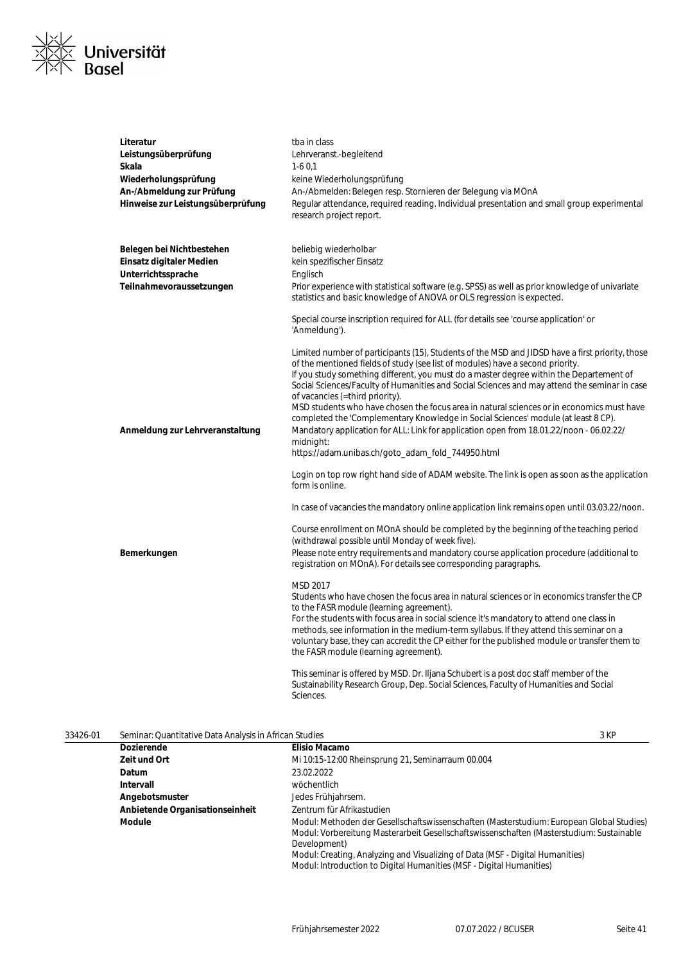

| Literatur                         | tba in class                                                                                                                                                                                                                                                                 |
|-----------------------------------|------------------------------------------------------------------------------------------------------------------------------------------------------------------------------------------------------------------------------------------------------------------------------|
| Leistungsüberprüfung              | Lehrveranst.-begleitend                                                                                                                                                                                                                                                      |
| Skala                             | $1-60.1$                                                                                                                                                                                                                                                                     |
| Wiederholungsprüfung              | keine Wiederholungsprüfung                                                                                                                                                                                                                                                   |
| An-/Abmeldung zur Prüfung         | An-/Abmelden: Belegen resp. Stornieren der Belegung via MOnA                                                                                                                                                                                                                 |
| Hinweise zur Leistungsüberprüfung | Regular attendance, required reading. Individual presentation and small group experimental<br>research project report.                                                                                                                                                       |
| Belegen bei Nichtbestehen         | beliebig wiederholbar                                                                                                                                                                                                                                                        |
| Einsatz digitaler Medien          | kein spezifischer Einsatz                                                                                                                                                                                                                                                    |
| Unterrichtssprache                | Englisch                                                                                                                                                                                                                                                                     |
| Teilnahmevoraussetzungen          | Prior experience with statistical software (e.g. SPSS) as well as prior knowledge of univariate<br>statistics and basic knowledge of ANOVA or OLS regression is expected.                                                                                                    |
|                                   | Special course inscription required for ALL (for details see 'course application' or<br>'Anmeldung').                                                                                                                                                                        |
|                                   | Limited number of participants (15), Students of the MSD and JIDSD have a first priority, those<br>of the mentioned fields of study (see list of modules) have a second priority.<br>If you study something different, you must do a master degree within the Departement of |
|                                   | Social Sciences/Faculty of Humanities and Social Sciences and may attend the seminar in case<br>of vacancies (=third priority).                                                                                                                                              |
|                                   | MSD students who have chosen the focus area in natural sciences or in economics must have                                                                                                                                                                                    |
| Anmeldung zur Lehrveranstaltung   | completed the 'Complementary Knowledge in Social Sciences' module (at least 8 CP).<br>Mandatory application for ALL: Link for application open from 18.01.22/noon - 06.02.22/                                                                                                |
|                                   | midnight:<br>https://adam.unibas.ch/goto_adam_fold_744950.html                                                                                                                                                                                                               |
|                                   | Login on top row right hand side of ADAM website. The link is open as soon as the application<br>form is online.                                                                                                                                                             |
|                                   | In case of vacancies the mandatory online application link remains open until 03.03.22/noon.                                                                                                                                                                                 |
|                                   | Course enrollment on MOnA should be completed by the beginning of the teaching period<br>(withdrawal possible until Monday of week five).                                                                                                                                    |
| Bemerkungen                       | Please note entry requirements and mandatory course application procedure (additional to<br>registration on MOnA). For details see corresponding paragraphs.                                                                                                                 |
|                                   | MSD 2017                                                                                                                                                                                                                                                                     |
|                                   | Students who have chosen the focus area in natural sciences or in economics transfer the CP                                                                                                                                                                                  |
|                                   | to the FASR module (learning agreement).                                                                                                                                                                                                                                     |
|                                   | For the students with focus area in social science it's mandatory to attend one class in<br>methods, see information in the medium-term syllabus. If they attend this seminar on a                                                                                           |
|                                   | voluntary base, they can accredit the CP either for the published module or transfer them to<br>the FASR module (learning agreement).                                                                                                                                        |
|                                   | This seminar is offered by MSD. Dr. Iljana Schubert is a post doc staff member of the                                                                                                                                                                                        |
|                                   | Sustainability Research Group, Dep. Social Sciences, Faculty of Humanities and Social<br>Sciences.                                                                                                                                                                           |

| 33426-01 | Seminar: Quantitative Data Analysis in African Studies |                                                                                                                                                                                                                                                                                                                                                               | 3 KP |
|----------|--------------------------------------------------------|---------------------------------------------------------------------------------------------------------------------------------------------------------------------------------------------------------------------------------------------------------------------------------------------------------------------------------------------------------------|------|
|          | <b>Dozierende</b>                                      | Elisio Macamo                                                                                                                                                                                                                                                                                                                                                 |      |
|          | Zeit und Ort                                           | Mi 10:15-12:00 Rheinsprung 21, Seminarraum 00.004                                                                                                                                                                                                                                                                                                             |      |
|          | Datum                                                  | 23.02.2022                                                                                                                                                                                                                                                                                                                                                    |      |
|          | Intervall                                              | wöchentlich                                                                                                                                                                                                                                                                                                                                                   |      |
|          | Angebotsmuster                                         | Jedes Frühjahrsem.                                                                                                                                                                                                                                                                                                                                            |      |
|          | Anbietende Organisationseinheit                        | Zentrum für Afrikastudien                                                                                                                                                                                                                                                                                                                                     |      |
|          | Module                                                 | Modul: Methoden der Gesellschaftswissenschaften (Masterstudium: European Global Studies)<br>Modul: Vorbereitung Masterarbeit Gesellschaftswissenschaften (Masterstudium: Sustainable<br>Development)<br>Modul: Creating, Analyzing and Visualizing of Data (MSF - Digital Humanities)<br>Modul: Introduction to Digital Humanities (MSF - Digital Humanities) |      |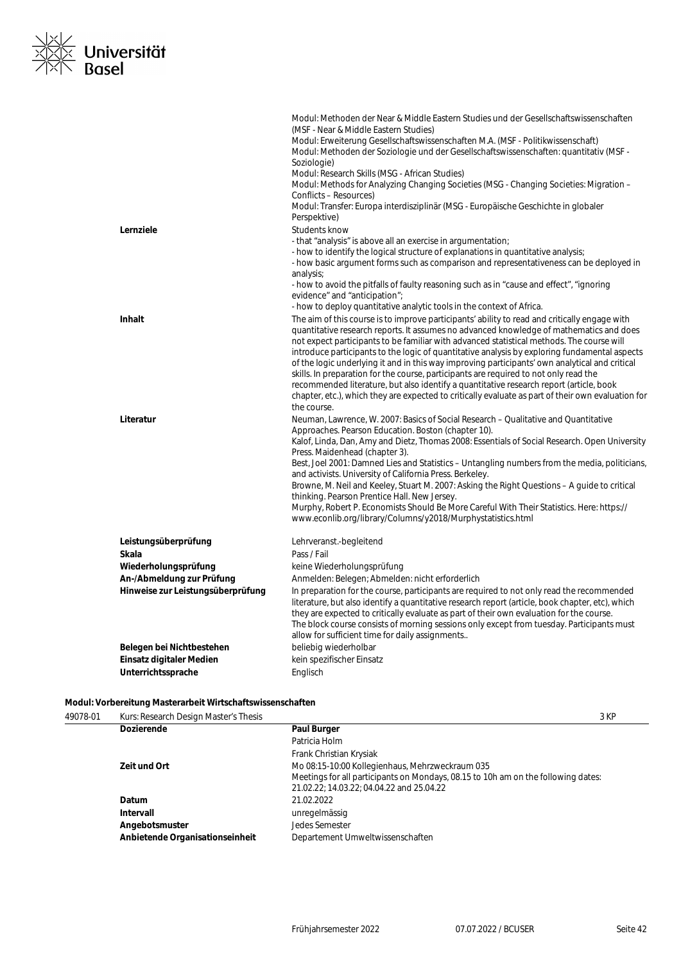

|                                   | Modul: Methoden der Near & Middle Eastern Studies und der Gesellschaftswissenschaften<br>(MSF - Near & Middle Eastern Studies)<br>Modul: Erweiterung Gesellschaftswissenschaften M.A. (MSF - Politikwissenschaft)<br>Modul: Methoden der Soziologie und der Gesellschaftswissenschaften: quantitativ (MSF -<br>Soziologie)<br>Modul: Research Skills (MSG - African Studies)<br>Modul: Methods for Analyzing Changing Societies (MSG - Changing Societies: Migration –<br>Conflicts - Resources)<br>Modul: Transfer: Europa interdisziplinär (MSG - Europäische Geschichte in globaler<br>Perspektive)                                                                                                                                                                                                                                                      |
|-----------------------------------|-------------------------------------------------------------------------------------------------------------------------------------------------------------------------------------------------------------------------------------------------------------------------------------------------------------------------------------------------------------------------------------------------------------------------------------------------------------------------------------------------------------------------------------------------------------------------------------------------------------------------------------------------------------------------------------------------------------------------------------------------------------------------------------------------------------------------------------------------------------|
| Lernziele                         | Students know<br>- that "analysis" is above all an exercise in argumentation;<br>- how to identify the logical structure of explanations in quantitative analysis;<br>- how basic argument forms such as comparison and representativeness can be deployed in<br>analysis;<br>- how to avoid the pitfalls of faulty reasoning such as in "cause and effect", "ignoring<br>evidence" and "anticipation";                                                                                                                                                                                                                                                                                                                                                                                                                                                     |
| <b>Inhalt</b>                     | - how to deploy quantitative analytic tools in the context of Africa.<br>The aim of this course is to improve participants' ability to read and critically engage with<br>quantitative research reports. It assumes no advanced knowledge of mathematics and does<br>not expect participants to be familiar with advanced statistical methods. The course will<br>introduce participants to the logic of quantitative analysis by exploring fundamental aspects<br>of the logic underlying it and in this way improving participants' own analytical and critical<br>skills. In preparation for the course, participants are required to not only read the<br>recommended literature, but also identify a quantitative research report (article, book<br>chapter, etc.), which they are expected to critically evaluate as part of their own evaluation for |
| Literatur                         | the course.<br>Neuman, Lawrence, W. 2007: Basics of Social Research – Qualitative and Quantitative<br>Approaches. Pearson Education. Boston (chapter 10).<br>Kalof, Linda, Dan, Amy and Dietz, Thomas 2008: Essentials of Social Research. Open University<br>Press. Maidenhead (chapter 3).<br>Best, Joel 2001: Damned Lies and Statistics – Untangling numbers from the media, politicians,<br>and activists. University of California Press. Berkeley.<br>Browne, M. Neil and Keeley, Stuart M. 2007: Asking the Right Questions - A guide to critical<br>thinking. Pearson Prentice Hall. New Jersey.<br>Murphy, Robert P. Economists Should Be More Careful With Their Statistics. Here: https://<br>www.econlib.org/library/Columns/y2018/Murphystatistics.html                                                                                       |
| Leistungsüberprüfung              | Lehrveranst.-begleitend                                                                                                                                                                                                                                                                                                                                                                                                                                                                                                                                                                                                                                                                                                                                                                                                                                     |
| Skala                             | Pass / Fail                                                                                                                                                                                                                                                                                                                                                                                                                                                                                                                                                                                                                                                                                                                                                                                                                                                 |
| Wiederholungsprüfung              | keine Wiederholungsprüfung                                                                                                                                                                                                                                                                                                                                                                                                                                                                                                                                                                                                                                                                                                                                                                                                                                  |
| An-/Abmeldung zur Prüfung         | Anmelden: Belegen; Abmelden: nicht erforderlich                                                                                                                                                                                                                                                                                                                                                                                                                                                                                                                                                                                                                                                                                                                                                                                                             |
| Hinweise zur Leistungsüberprüfung | In preparation for the course, participants are required to not only read the recommended<br>literature, but also identify a quantitative research report (article, book chapter, etc), which<br>they are expected to critically evaluate as part of their own evaluation for the course.<br>The block course consists of morning sessions only except from tuesday. Participants must<br>allow for sufficient time for daily assignments                                                                                                                                                                                                                                                                                                                                                                                                                   |
| Belegen bei Nichtbestehen         | beliebig wiederholbar                                                                                                                                                                                                                                                                                                                                                                                                                                                                                                                                                                                                                                                                                                                                                                                                                                       |
| Einsatz digitaler Medien          | kein spezifischer Einsatz                                                                                                                                                                                                                                                                                                                                                                                                                                                                                                                                                                                                                                                                                                                                                                                                                                   |
| Unterrichtssprache                | Englisch                                                                                                                                                                                                                                                                                                                                                                                                                                                                                                                                                                                                                                                                                                                                                                                                                                                    |

## **Modul: Vorbereitung Masterarbeit Wirtschaftswissenschaften**

| 49078-01 | Kurs: Research Design Master's Thesis |                                                                                   | 3 KP |
|----------|---------------------------------------|-----------------------------------------------------------------------------------|------|
|          | <b>Dozierende</b>                     | <b>Paul Burger</b>                                                                |      |
|          |                                       | Patricia Holm                                                                     |      |
|          |                                       | Frank Christian Krysiak                                                           |      |
|          | Zeit und Ort                          | Mo 08:15-10:00 Kollegienhaus, Mehrzweckraum 035                                   |      |
|          |                                       | Meetings for all participants on Mondays, 08.15 to 10h am on the following dates: |      |
|          |                                       | 21.02.22; 14.03.22; 04.04.22 and 25.04.22                                         |      |
|          | Datum                                 | 21.02.2022                                                                        |      |
|          | Intervall                             | unregelmässig                                                                     |      |
|          | Angebotsmuster                        | Jedes Semester                                                                    |      |
|          | Anbietende Organisationseinheit       | Departement Umweltwissenschaften                                                  |      |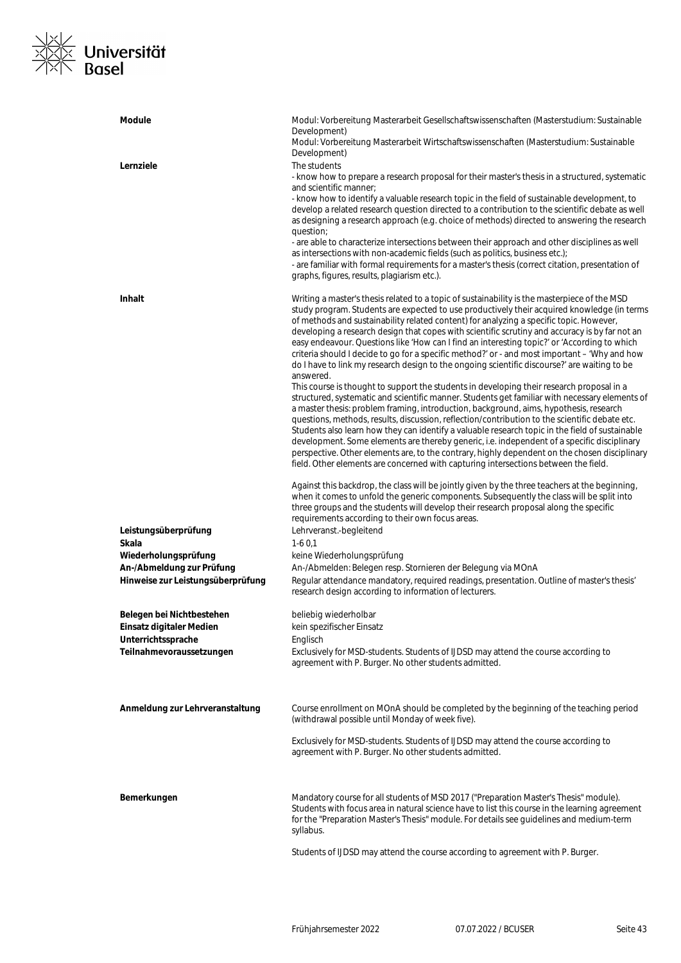# <u>※∠</u><br>※<mark>≪ Universität</mark><br>×∧ Basel  $\frac{1}{x}$

| <b>Module</b>                                                  | Modul: Vorbereitung Masterarbeit Gesellschaftswissenschaften (Masterstudium: Sustainable<br>Development)<br>Modul: Vorbereitung Masterarbeit Wirtschaftswissenschaften (Masterstudium: Sustainable<br>Development)                                                                                                                                                                                                                                                                                                                                                                                                                                                                                                                                                                                                                                                                                                                                                                                                                                                                                                                                                                                                                                                                                                                                                                                                                                                                          |
|----------------------------------------------------------------|---------------------------------------------------------------------------------------------------------------------------------------------------------------------------------------------------------------------------------------------------------------------------------------------------------------------------------------------------------------------------------------------------------------------------------------------------------------------------------------------------------------------------------------------------------------------------------------------------------------------------------------------------------------------------------------------------------------------------------------------------------------------------------------------------------------------------------------------------------------------------------------------------------------------------------------------------------------------------------------------------------------------------------------------------------------------------------------------------------------------------------------------------------------------------------------------------------------------------------------------------------------------------------------------------------------------------------------------------------------------------------------------------------------------------------------------------------------------------------------------|
| Lernziele                                                      | The students<br>- know how to prepare a research proposal for their master's thesis in a structured, systematic<br>and scientific manner:<br>- know how to identify a valuable research topic in the field of sustainable development, to<br>develop a related research question directed to a contribution to the scientific debate as well<br>as designing a research approach (e.g. choice of methods) directed to answering the research<br>question;<br>- are able to characterize intersections between their approach and other disciplines as well<br>as intersections with non-academic fields (such as politics, business etc.);<br>- are familiar with formal requirements for a master's thesis (correct citation, presentation of<br>graphs, figures, results, plagiarism etc.).                                                                                                                                                                                                                                                                                                                                                                                                                                                                                                                                                                                                                                                                                               |
| <b>Inhalt</b>                                                  | Writing a master's thesis related to a topic of sustainability is the masterpiece of the MSD<br>study program. Students are expected to use productively their acquired knowledge (in terms<br>of methods and sustainability related content) for analyzing a specific topic. However,<br>developing a research design that copes with scientific scrutiny and accuracy is by far not an<br>easy endeavour. Questions like 'How can I find an interesting topic?' or 'According to which<br>criteria should I decide to go for a specific method?' or - and most important – 'Why and how<br>do I have to link my research design to the ongoing scientific discourse?' are waiting to be<br>answered.<br>This course is thought to support the students in developing their research proposal in a<br>structured, systematic and scientific manner. Students get familiar with necessary elements of<br>a master thesis: problem framing, introduction, background, aims, hypothesis, research<br>questions, methods, results, discussion, reflection/contribution to the scientific debate etc.<br>Students also learn how they can identify a valuable research topic in the field of sustainable<br>development. Some elements are thereby generic, i.e. independent of a specific disciplinary<br>perspective. Other elements are, to the contrary, highly dependent on the chosen disciplinary<br>field. Other elements are concerned with capturing intersections between the field. |
|                                                                | Against this backdrop, the class will be jointly given by the three teachers at the beginning,<br>when it comes to unfold the generic components. Subsequently the class will be split into<br>three groups and the students will develop their research proposal along the specific<br>requirements according to their own focus areas.                                                                                                                                                                                                                                                                                                                                                                                                                                                                                                                                                                                                                                                                                                                                                                                                                                                                                                                                                                                                                                                                                                                                                    |
| Leistungsüberprüfung<br>Skala                                  | Lehrveranst.-begleitend<br>$1-60,1$                                                                                                                                                                                                                                                                                                                                                                                                                                                                                                                                                                                                                                                                                                                                                                                                                                                                                                                                                                                                                                                                                                                                                                                                                                                                                                                                                                                                                                                         |
| Wiederholungsprüfung                                           | keine Wiederholungsprüfung                                                                                                                                                                                                                                                                                                                                                                                                                                                                                                                                                                                                                                                                                                                                                                                                                                                                                                                                                                                                                                                                                                                                                                                                                                                                                                                                                                                                                                                                  |
| An-/Abmeldung zur Prüfung<br>Hinweise zur Leistungsüberprüfung | An-/Abmelden: Belegen resp. Stornieren der Belegung via MOnA<br>Regular attendance mandatory, required readings, presentation. Outline of master's thesis'<br>research design according to information of lecturers.                                                                                                                                                                                                                                                                                                                                                                                                                                                                                                                                                                                                                                                                                                                                                                                                                                                                                                                                                                                                                                                                                                                                                                                                                                                                        |
| Belegen bei Nichtbestehen                                      | beliebig wiederholbar                                                                                                                                                                                                                                                                                                                                                                                                                                                                                                                                                                                                                                                                                                                                                                                                                                                                                                                                                                                                                                                                                                                                                                                                                                                                                                                                                                                                                                                                       |
| Einsatz digitaler Medien<br>Unterrichtssprache                 | kein spezifischer Einsatz<br>Englisch                                                                                                                                                                                                                                                                                                                                                                                                                                                                                                                                                                                                                                                                                                                                                                                                                                                                                                                                                                                                                                                                                                                                                                                                                                                                                                                                                                                                                                                       |
| Teilnahmevoraussetzungen                                       | Exclusively for MSD-students. Students of IJDSD may attend the course according to<br>agreement with P. Burger. No other students admitted.                                                                                                                                                                                                                                                                                                                                                                                                                                                                                                                                                                                                                                                                                                                                                                                                                                                                                                                                                                                                                                                                                                                                                                                                                                                                                                                                                 |
| Anmeldung zur Lehrveranstaltung                                | Course enrollment on MOnA should be completed by the beginning of the teaching period<br>(withdrawal possible until Monday of week five).                                                                                                                                                                                                                                                                                                                                                                                                                                                                                                                                                                                                                                                                                                                                                                                                                                                                                                                                                                                                                                                                                                                                                                                                                                                                                                                                                   |
|                                                                | Exclusively for MSD-students. Students of IJDSD may attend the course according to<br>agreement with P. Burger. No other students admitted.                                                                                                                                                                                                                                                                                                                                                                                                                                                                                                                                                                                                                                                                                                                                                                                                                                                                                                                                                                                                                                                                                                                                                                                                                                                                                                                                                 |
| Bemerkungen                                                    | Mandatory course for all students of MSD 2017 ("Preparation Master's Thesis" module).<br>Students with focus area in natural science have to list this course in the learning agreement<br>for the "Preparation Master's Thesis" module. For details see guidelines and medium-term<br>syllabus.                                                                                                                                                                                                                                                                                                                                                                                                                                                                                                                                                                                                                                                                                                                                                                                                                                                                                                                                                                                                                                                                                                                                                                                            |
|                                                                | Students of IJDSD may attend the course according to agreement with P. Burger.                                                                                                                                                                                                                                                                                                                                                                                                                                                                                                                                                                                                                                                                                                                                                                                                                                                                                                                                                                                                                                                                                                                                                                                                                                                                                                                                                                                                              |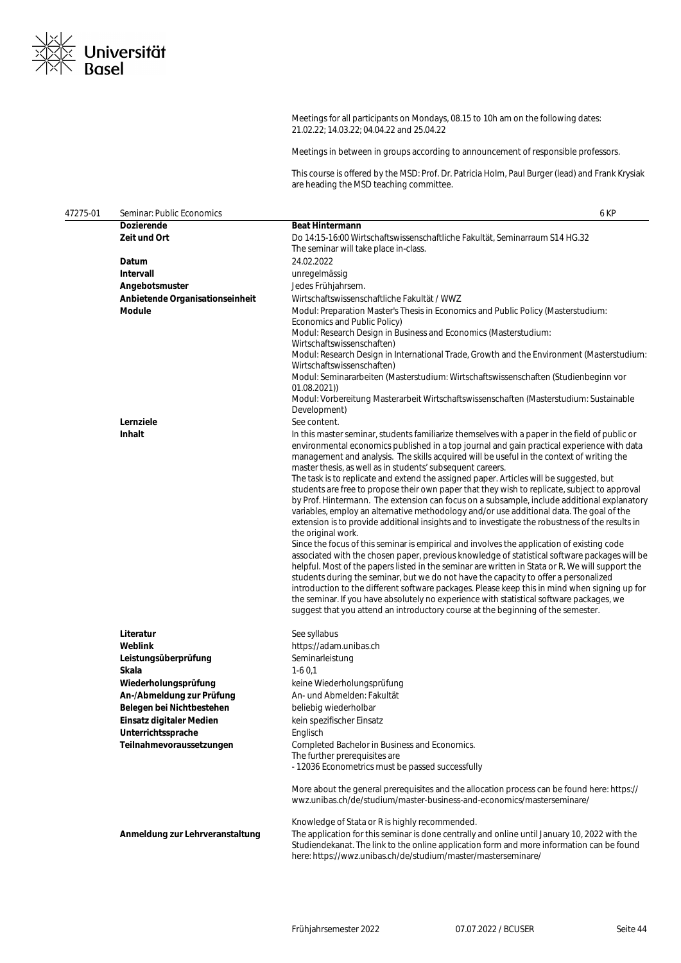

Meetings for all participants on Mondays, 08.15 to 10h am on the following dates: 21.02.22; 14.03.22; 04.04.22 and 25.04.22

Meetings in between in groups according to announcement of responsible professors.

This course is offered by the MSD: Prof. Dr. Patricia Holm, Paul Burger (lead) and Frank Krysiak are heading the MSD teaching committee.

| 47275-01 | Seminar: Public Economics       | 6 KP                                                                                                                                                                                                                                                                                                                                                                                                                                                                                                                                                                                                                                                                                                                                                                                                                                                                                                                                                                                                                                                                                                                                                                                                                                                                                                                                                                                                                                                                                                                                                |
|----------|---------------------------------|-----------------------------------------------------------------------------------------------------------------------------------------------------------------------------------------------------------------------------------------------------------------------------------------------------------------------------------------------------------------------------------------------------------------------------------------------------------------------------------------------------------------------------------------------------------------------------------------------------------------------------------------------------------------------------------------------------------------------------------------------------------------------------------------------------------------------------------------------------------------------------------------------------------------------------------------------------------------------------------------------------------------------------------------------------------------------------------------------------------------------------------------------------------------------------------------------------------------------------------------------------------------------------------------------------------------------------------------------------------------------------------------------------------------------------------------------------------------------------------------------------------------------------------------------------|
|          | <b>Dozierende</b>               | <b>Beat Hintermann</b>                                                                                                                                                                                                                                                                                                                                                                                                                                                                                                                                                                                                                                                                                                                                                                                                                                                                                                                                                                                                                                                                                                                                                                                                                                                                                                                                                                                                                                                                                                                              |
|          | Zeit und Ort                    | Do 14:15-16:00 Wirtschaftswissenschaftliche Fakultät, Seminarraum S14 HG.32<br>The seminar will take place in-class.                                                                                                                                                                                                                                                                                                                                                                                                                                                                                                                                                                                                                                                                                                                                                                                                                                                                                                                                                                                                                                                                                                                                                                                                                                                                                                                                                                                                                                |
|          | Datum                           | 24.02.2022                                                                                                                                                                                                                                                                                                                                                                                                                                                                                                                                                                                                                                                                                                                                                                                                                                                                                                                                                                                                                                                                                                                                                                                                                                                                                                                                                                                                                                                                                                                                          |
|          | Intervall                       | unregelmässig                                                                                                                                                                                                                                                                                                                                                                                                                                                                                                                                                                                                                                                                                                                                                                                                                                                                                                                                                                                                                                                                                                                                                                                                                                                                                                                                                                                                                                                                                                                                       |
|          | Angebotsmuster                  | Jedes Frühjahrsem.                                                                                                                                                                                                                                                                                                                                                                                                                                                                                                                                                                                                                                                                                                                                                                                                                                                                                                                                                                                                                                                                                                                                                                                                                                                                                                                                                                                                                                                                                                                                  |
|          | Anbietende Organisationseinheit | Wirtschaftswissenschaftliche Fakultät / WWZ                                                                                                                                                                                                                                                                                                                                                                                                                                                                                                                                                                                                                                                                                                                                                                                                                                                                                                                                                                                                                                                                                                                                                                                                                                                                                                                                                                                                                                                                                                         |
|          | Module                          | Modul: Preparation Master's Thesis in Economics and Public Policy (Masterstudium:<br>Economics and Public Policy)<br>Modul: Research Design in Business and Economics (Masterstudium:<br>Wirtschaftswissenschaften)<br>Modul: Research Design in International Trade, Growth and the Environment (Masterstudium:<br>Wirtschaftswissenschaften)<br>Modul: Seminararbeiten (Masterstudium: Wirtschaftswissenschaften (Studienbeginn vor                                                                                                                                                                                                                                                                                                                                                                                                                                                                                                                                                                                                                                                                                                                                                                                                                                                                                                                                                                                                                                                                                                               |
|          |                                 | 01.08.2021)<br>Modul: Vorbereitung Masterarbeit Wirtschaftswissenschaften (Masterstudium: Sustainable<br>Development)                                                                                                                                                                                                                                                                                                                                                                                                                                                                                                                                                                                                                                                                                                                                                                                                                                                                                                                                                                                                                                                                                                                                                                                                                                                                                                                                                                                                                               |
|          | Lernziele                       | See content.                                                                                                                                                                                                                                                                                                                                                                                                                                                                                                                                                                                                                                                                                                                                                                                                                                                                                                                                                                                                                                                                                                                                                                                                                                                                                                                                                                                                                                                                                                                                        |
|          | <b>Inhalt</b>                   | In this master seminar, students familiarize themselves with a paper in the field of public or<br>environmental economics published in a top journal and gain practical experience with data<br>management and analysis. The skills acquired will be useful in the context of writing the<br>master thesis, as well as in students' subsequent careers.<br>The task is to replicate and extend the assigned paper. Articles will be suggested, but<br>students are free to propose their own paper that they wish to replicate, subject to approval<br>by Prof. Hintermann. The extension can focus on a subsample, include additional explanatory<br>variables, employ an alternative methodology and/or use additional data. The goal of the<br>extension is to provide additional insights and to investigate the robustness of the results in<br>the original work.<br>Since the focus of this seminar is empirical and involves the application of existing code<br>associated with the chosen paper, previous knowledge of statistical software packages will be<br>helpful. Most of the papers listed in the seminar are written in Stata or R. We will support the<br>students during the seminar, but we do not have the capacity to offer a personalized<br>introduction to the different software packages. Please keep this in mind when signing up for<br>the seminar. If you have absolutely no experience with statistical software packages, we<br>suggest that you attend an introductory course at the beginning of the semester. |
|          |                                 |                                                                                                                                                                                                                                                                                                                                                                                                                                                                                                                                                                                                                                                                                                                                                                                                                                                                                                                                                                                                                                                                                                                                                                                                                                                                                                                                                                                                                                                                                                                                                     |
|          | Literatur                       | See syllabus                                                                                                                                                                                                                                                                                                                                                                                                                                                                                                                                                                                                                                                                                                                                                                                                                                                                                                                                                                                                                                                                                                                                                                                                                                                                                                                                                                                                                                                                                                                                        |
|          | Weblink                         | https://adam.unibas.ch                                                                                                                                                                                                                                                                                                                                                                                                                                                                                                                                                                                                                                                                                                                                                                                                                                                                                                                                                                                                                                                                                                                                                                                                                                                                                                                                                                                                                                                                                                                              |
|          | Leistungsüberprüfung            | Seminarleistung                                                                                                                                                                                                                                                                                                                                                                                                                                                                                                                                                                                                                                                                                                                                                                                                                                                                                                                                                                                                                                                                                                                                                                                                                                                                                                                                                                                                                                                                                                                                     |
|          | Skala                           | $1-60,1$                                                                                                                                                                                                                                                                                                                                                                                                                                                                                                                                                                                                                                                                                                                                                                                                                                                                                                                                                                                                                                                                                                                                                                                                                                                                                                                                                                                                                                                                                                                                            |
|          | Wiederholungsprüfung            | keine Wiederholungsprüfung                                                                                                                                                                                                                                                                                                                                                                                                                                                                                                                                                                                                                                                                                                                                                                                                                                                                                                                                                                                                                                                                                                                                                                                                                                                                                                                                                                                                                                                                                                                          |
|          | An-/Abmeldung zur Prüfung       | An- und Abmelden: Fakultät                                                                                                                                                                                                                                                                                                                                                                                                                                                                                                                                                                                                                                                                                                                                                                                                                                                                                                                                                                                                                                                                                                                                                                                                                                                                                                                                                                                                                                                                                                                          |
|          | Belegen bei Nichtbestehen       | beliebig wiederholbar                                                                                                                                                                                                                                                                                                                                                                                                                                                                                                                                                                                                                                                                                                                                                                                                                                                                                                                                                                                                                                                                                                                                                                                                                                                                                                                                                                                                                                                                                                                               |
|          | Einsatz digitaler Medien        | kein spezifischer Einsatz                                                                                                                                                                                                                                                                                                                                                                                                                                                                                                                                                                                                                                                                                                                                                                                                                                                                                                                                                                                                                                                                                                                                                                                                                                                                                                                                                                                                                                                                                                                           |
|          | Unterrichtssprache              | Englisch                                                                                                                                                                                                                                                                                                                                                                                                                                                                                                                                                                                                                                                                                                                                                                                                                                                                                                                                                                                                                                                                                                                                                                                                                                                                                                                                                                                                                                                                                                                                            |
|          | Teilnahmevoraussetzungen        | Completed Bachelor in Business and Economics.<br>The further prerequisites are<br>- 12036 Econometrics must be passed successfully                                                                                                                                                                                                                                                                                                                                                                                                                                                                                                                                                                                                                                                                                                                                                                                                                                                                                                                                                                                                                                                                                                                                                                                                                                                                                                                                                                                                                  |
|          |                                 | More about the general prerequisites and the allocation process can be found here: https://<br>wwz.unibas.ch/de/studium/master-business-and-economics/masterseminare/                                                                                                                                                                                                                                                                                                                                                                                                                                                                                                                                                                                                                                                                                                                                                                                                                                                                                                                                                                                                                                                                                                                                                                                                                                                                                                                                                                               |
|          |                                 | Knowledge of Stata or R is highly recommended.                                                                                                                                                                                                                                                                                                                                                                                                                                                                                                                                                                                                                                                                                                                                                                                                                                                                                                                                                                                                                                                                                                                                                                                                                                                                                                                                                                                                                                                                                                      |
|          | Anmeldung zur Lehrveranstaltung | The application for this seminar is done centrally and online until January 10, 2022 with the<br>Studiendekanat. The link to the online application form and more information can be found<br>here: https://wwz.unibas.ch/de/studium/master/masterseminare/                                                                                                                                                                                                                                                                                                                                                                                                                                                                                                                                                                                                                                                                                                                                                                                                                                                                                                                                                                                                                                                                                                                                                                                                                                                                                         |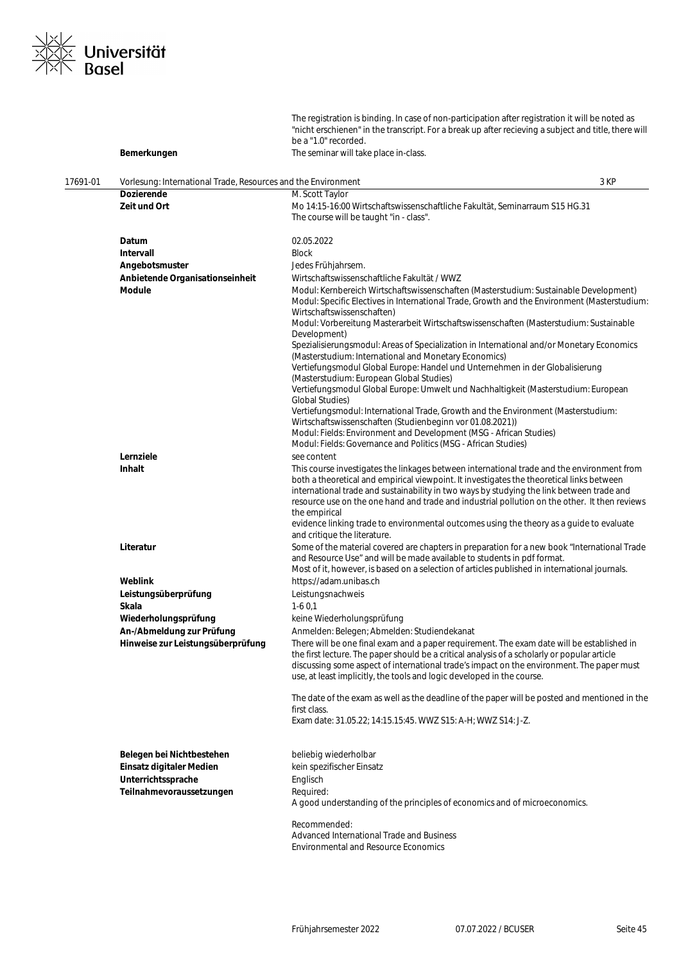

|          | Bemerkungen                                                   | The registration is binding. In case of non-participation after registration it will be noted as<br>"nicht erschienen" in the transcript. For a break up after recieving a subject and title, there will<br>be a "1.0" recorded.                                                                                                                                                                                                                                                                                                   |  |
|----------|---------------------------------------------------------------|------------------------------------------------------------------------------------------------------------------------------------------------------------------------------------------------------------------------------------------------------------------------------------------------------------------------------------------------------------------------------------------------------------------------------------------------------------------------------------------------------------------------------------|--|
|          |                                                               | The seminar will take place in-class.                                                                                                                                                                                                                                                                                                                                                                                                                                                                                              |  |
| 17691-01 | Vorlesung: International Trade, Resources and the Environment |                                                                                                                                                                                                                                                                                                                                                                                                                                                                                                                                    |  |
|          | <b>Dozierende</b>                                             | 3 KP<br>M. Scott Taylor                                                                                                                                                                                                                                                                                                                                                                                                                                                                                                            |  |
|          | Zeit und Ort                                                  | Mo 14:15-16:00 Wirtschaftswissenschaftliche Fakultät, Seminarraum S15 HG.31<br>The course will be taught "in - class".                                                                                                                                                                                                                                                                                                                                                                                                             |  |
|          | Datum                                                         | 02.05.2022                                                                                                                                                                                                                                                                                                                                                                                                                                                                                                                         |  |
|          | Intervall                                                     | <b>Block</b>                                                                                                                                                                                                                                                                                                                                                                                                                                                                                                                       |  |
|          | Angebotsmuster                                                | Jedes Frühjahrsem.                                                                                                                                                                                                                                                                                                                                                                                                                                                                                                                 |  |
|          | Anbietende Organisationseinheit                               | Wirtschaftswissenschaftliche Fakultät / WWZ                                                                                                                                                                                                                                                                                                                                                                                                                                                                                        |  |
|          | <b>Module</b>                                                 | Modul: Kernbereich Wirtschaftswissenschaften (Masterstudium: Sustainable Development)<br>Modul: Specific Electives in International Trade, Growth and the Environment (Masterstudium:<br>Wirtschaftswissenschaften)<br>Modul: Vorbereitung Masterarbeit Wirtschaftswissenschaften (Masterstudium: Sustainable                                                                                                                                                                                                                      |  |
|          |                                                               | Development)<br>Spezialisierungsmodul: Areas of Specialization in International and/or Monetary Economics<br>(Masterstudium: International and Monetary Economics)                                                                                                                                                                                                                                                                                                                                                                 |  |
|          |                                                               | Vertiefungsmodul Global Europe: Handel und Unternehmen in der Globalisierung<br>(Masterstudium: European Global Studies)<br>Vertiefungsmodul Global Europe: Umwelt und Nachhaltigkeit (Masterstudium: European                                                                                                                                                                                                                                                                                                                     |  |
|          |                                                               | <b>Global Studies)</b><br>Vertiefungsmodul: International Trade, Growth and the Environment (Masterstudium:<br>Wirtschaftswissenschaften (Studienbeginn vor 01.08.2021))                                                                                                                                                                                                                                                                                                                                                           |  |
|          |                                                               | Modul: Fields: Environment and Development (MSG - African Studies)<br>Modul: Fields: Governance and Politics (MSG - African Studies)                                                                                                                                                                                                                                                                                                                                                                                               |  |
|          | Lernziele                                                     | see content                                                                                                                                                                                                                                                                                                                                                                                                                                                                                                                        |  |
|          | <b>Inhalt</b>                                                 | This course investigates the linkages between international trade and the environment from<br>both a theoretical and empirical viewpoint. It investigates the theoretical links between<br>international trade and sustainability in two ways by studying the link between trade and<br>resource use on the one hand and trade and industrial pollution on the other. It then reviews<br>the empirical<br>evidence linking trade to environmental outcomes using the theory as a guide to evaluate<br>and critique the literature. |  |
|          | Literatur                                                     | Some of the material covered are chapters in preparation for a new book "International Trade<br>and Resource Use" and will be made available to students in pdf format.<br>Most of it, however, is based on a selection of articles published in international journals.                                                                                                                                                                                                                                                           |  |
|          | Weblink                                                       | https://adam.unibas.ch                                                                                                                                                                                                                                                                                                                                                                                                                                                                                                             |  |
|          | Leistungsüberprüfung                                          | Leistungsnachweis                                                                                                                                                                                                                                                                                                                                                                                                                                                                                                                  |  |
|          | Skala                                                         | $1-60,1$                                                                                                                                                                                                                                                                                                                                                                                                                                                                                                                           |  |
|          | Wiederholungsprüfung                                          | keine Wiederholungsprüfung                                                                                                                                                                                                                                                                                                                                                                                                                                                                                                         |  |
|          | An-/Abmeldung zur Prüfung                                     | Anmelden: Belegen; Abmelden: Studiendekanat                                                                                                                                                                                                                                                                                                                                                                                                                                                                                        |  |
|          | Hinweise zur Leistungsüberprüfung                             | There will be one final exam and a paper requirement. The exam date will be established in<br>the first lecture. The paper should be a critical analysis of a scholarly or popular article<br>discussing some aspect of international trade's impact on the environment. The paper must<br>use, at least implicitly, the tools and logic developed in the course.                                                                                                                                                                  |  |
|          |                                                               | The date of the exam as well as the deadline of the paper will be posted and mentioned in the<br>first class.                                                                                                                                                                                                                                                                                                                                                                                                                      |  |
|          |                                                               | Exam date: 31.05.22; 14:15.15:45. WWZ S15: A-H; WWZ S14: J-Z.                                                                                                                                                                                                                                                                                                                                                                                                                                                                      |  |
|          | Belegen bei Nichtbestehen                                     | beliebig wiederholbar                                                                                                                                                                                                                                                                                                                                                                                                                                                                                                              |  |
|          | Einsatz digitaler Medien                                      | kein spezifischer Einsatz                                                                                                                                                                                                                                                                                                                                                                                                                                                                                                          |  |
|          | Unterrichtssprache                                            | Englisch                                                                                                                                                                                                                                                                                                                                                                                                                                                                                                                           |  |
|          | Teilnahmevoraussetzungen                                      | Required:<br>A good understanding of the principles of economics and of microeconomics.                                                                                                                                                                                                                                                                                                                                                                                                                                            |  |
|          |                                                               | Recommended:<br>Advanced International Trade and Business<br><b>Environmental and Resource Economics</b>                                                                                                                                                                                                                                                                                                                                                                                                                           |  |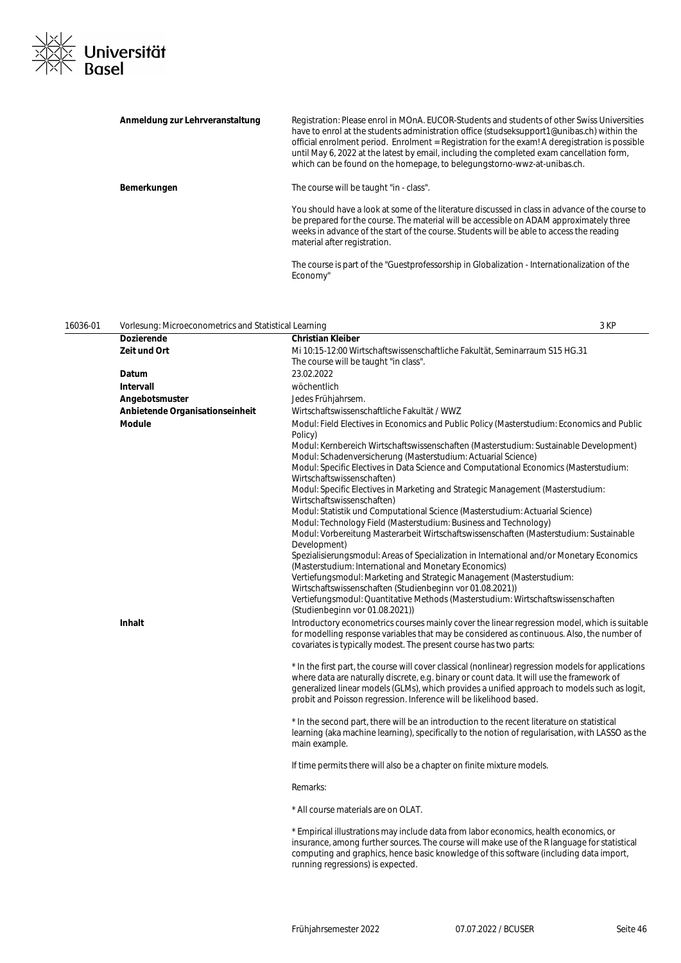

| Anmeldung zur Lehrveranstaltung | Registration: Please enrol in MOnA. EUCOR-Students and students of other Swiss Universities<br>have to enrol at the students administration office (studseksupport1@unibas.ch) within the<br>official enrolment period. Enrolment = Registration for the exam! A deregistration is possible<br>until May 6, 2022 at the latest by email, including the completed exam cancellation form,<br>which can be found on the homepage, to belegungstorno-wwz-at-unibas.ch. |
|---------------------------------|---------------------------------------------------------------------------------------------------------------------------------------------------------------------------------------------------------------------------------------------------------------------------------------------------------------------------------------------------------------------------------------------------------------------------------------------------------------------|
| Bemerkungen                     | The course will be taught "in - class".                                                                                                                                                                                                                                                                                                                                                                                                                             |
|                                 | You should have a look at some of the literature discussed in class in advance of the course to<br>be prepared for the course. The material will be accessible on ADAM approximately three<br>weeks in advance of the start of the course. Students will be able to access the reading<br>material after registration.                                                                                                                                              |
|                                 | The course is part of the "Guestprofessorship in Globalization - Internationalization of the<br>Economy"                                                                                                                                                                                                                                                                                                                                                            |

| 16036-01 | Vorlesung: Microeconometrics and Statistical Learning |                                                                                                                                                                                                                                                                                                                                                                                                                                                                                                                                                                                                                                                                                                                                                                                                                                                                                                                                                                                                                                                                                                                                                       | 3 KP |
|----------|-------------------------------------------------------|-------------------------------------------------------------------------------------------------------------------------------------------------------------------------------------------------------------------------------------------------------------------------------------------------------------------------------------------------------------------------------------------------------------------------------------------------------------------------------------------------------------------------------------------------------------------------------------------------------------------------------------------------------------------------------------------------------------------------------------------------------------------------------------------------------------------------------------------------------------------------------------------------------------------------------------------------------------------------------------------------------------------------------------------------------------------------------------------------------------------------------------------------------|------|
|          | <b>Dozierende</b>                                     | <b>Christian Kleiber</b>                                                                                                                                                                                                                                                                                                                                                                                                                                                                                                                                                                                                                                                                                                                                                                                                                                                                                                                                                                                                                                                                                                                              |      |
|          | Zeit und Ort                                          | Mi 10:15-12:00 Wirtschaftswissenschaftliche Fakultät, Seminarraum S15 HG.31<br>The course will be taught "in class".                                                                                                                                                                                                                                                                                                                                                                                                                                                                                                                                                                                                                                                                                                                                                                                                                                                                                                                                                                                                                                  |      |
|          | Datum                                                 | 23.02.2022                                                                                                                                                                                                                                                                                                                                                                                                                                                                                                                                                                                                                                                                                                                                                                                                                                                                                                                                                                                                                                                                                                                                            |      |
|          | <b>Intervall</b>                                      | wöchentlich                                                                                                                                                                                                                                                                                                                                                                                                                                                                                                                                                                                                                                                                                                                                                                                                                                                                                                                                                                                                                                                                                                                                           |      |
|          | Angebotsmuster                                        | Jedes Frühjahrsem.                                                                                                                                                                                                                                                                                                                                                                                                                                                                                                                                                                                                                                                                                                                                                                                                                                                                                                                                                                                                                                                                                                                                    |      |
|          | Anbietende Organisationseinheit                       | Wirtschaftswissenschaftliche Fakultät / WWZ                                                                                                                                                                                                                                                                                                                                                                                                                                                                                                                                                                                                                                                                                                                                                                                                                                                                                                                                                                                                                                                                                                           |      |
|          | <b>Module</b>                                         | Modul: Field Electives in Economics and Public Policy (Masterstudium: Economics and Public<br>Policy)<br>Modul: Kernbereich Wirtschaftswissenschaften (Masterstudium: Sustainable Development)<br>Modul: Schadenversicherung (Masterstudium: Actuarial Science)<br>Modul: Specific Electives in Data Science and Computational Economics (Masterstudium:<br>Wirtschaftswissenschaften)<br>Modul: Specific Electives in Marketing and Strategic Management (Masterstudium:<br>Wirtschaftswissenschaften)<br>Modul: Statistik und Computational Science (Masterstudium: Actuarial Science)<br>Modul: Technology Field (Masterstudium: Business and Technology)<br>Modul: Vorbereitung Masterarbeit Wirtschaftswissenschaften (Masterstudium: Sustainable<br>Development)<br>Spezialisierungsmodul: Areas of Specialization in International and/or Monetary Economics<br>(Masterstudium: International and Monetary Economics)<br>Vertiefungsmodul: Marketing and Strategic Management (Masterstudium:<br>Wirtschaftswissenschaften (Studienbeginn vor 01.08.2021))<br>Vertiefungsmodul: Quantitative Methods (Masterstudium: Wirtschaftswissenschaften |      |
|          | <b>Inhalt</b>                                         | (Studienbeginn vor 01.08.2021))<br>Introductory econometrics courses mainly cover the linear regression model, which is suitable<br>for modelling response variables that may be considered as continuous. Also, the number of<br>covariates is typically modest. The present course has two parts:                                                                                                                                                                                                                                                                                                                                                                                                                                                                                                                                                                                                                                                                                                                                                                                                                                                   |      |
|          |                                                       | * In the first part, the course will cover classical (nonlinear) regression models for applications<br>where data are naturally discrete, e.g. binary or count data. It will use the framework of<br>generalized linear models (GLMs), which provides a unified approach to models such as logit,<br>probit and Poisson regression. Inference will be likelihood based.                                                                                                                                                                                                                                                                                                                                                                                                                                                                                                                                                                                                                                                                                                                                                                               |      |
|          |                                                       | * In the second part, there will be an introduction to the recent literature on statistical<br>learning (aka machine learning), specifically to the notion of regularisation, with LASSO as the<br>main example.                                                                                                                                                                                                                                                                                                                                                                                                                                                                                                                                                                                                                                                                                                                                                                                                                                                                                                                                      |      |
|          |                                                       | If time permits there will also be a chapter on finite mixture models.                                                                                                                                                                                                                                                                                                                                                                                                                                                                                                                                                                                                                                                                                                                                                                                                                                                                                                                                                                                                                                                                                |      |
|          |                                                       | Remarks:                                                                                                                                                                                                                                                                                                                                                                                                                                                                                                                                                                                                                                                                                                                                                                                                                                                                                                                                                                                                                                                                                                                                              |      |
|          |                                                       | * All course materials are on OLAT.                                                                                                                                                                                                                                                                                                                                                                                                                                                                                                                                                                                                                                                                                                                                                                                                                                                                                                                                                                                                                                                                                                                   |      |
|          |                                                       | * Empirical illustrations may include data from labor economics, health economics, or<br>insurance, among further sources. The course will make use of the R language for statistical<br>computing and graphics, hence basic knowledge of this software (including data import,                                                                                                                                                                                                                                                                                                                                                                                                                                                                                                                                                                                                                                                                                                                                                                                                                                                                       |      |

running regressions) is expected.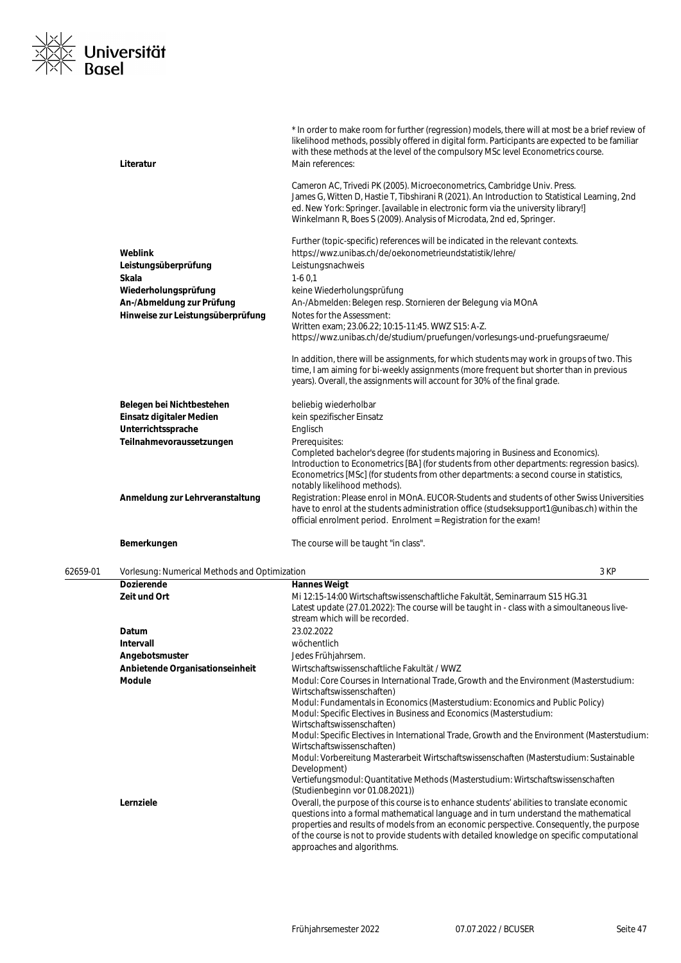

|          | Literatur                                     | * In order to make room for further (regression) models, there will at most be a brief review of<br>likelihood methods, possibly offered in digital form. Participants are expected to be familiar<br>with these methods at the level of the compulsory MSc level Econometrics course.<br>Main references:<br>Cameron AC, Trivedi PK (2005). Microeconometrics, Cambridge Univ. Press.<br>James G, Witten D, Hastie T, Tibshirani R (2021). An Introduction to Statistical Learning, 2nd |
|----------|-----------------------------------------------|------------------------------------------------------------------------------------------------------------------------------------------------------------------------------------------------------------------------------------------------------------------------------------------------------------------------------------------------------------------------------------------------------------------------------------------------------------------------------------------|
|          |                                               | ed. New York: Springer. [available in electronic form via the university library!]<br>Winkelmann R, Boes S (2009). Analysis of Microdata, 2nd ed, Springer.                                                                                                                                                                                                                                                                                                                              |
|          | Weblink<br>Leistungsüberprüfung<br>Skala      | Further (topic-specific) references will be indicated in the relevant contexts.<br>https://wwz.unibas.ch/de/oekonometrieundstatistik/lehre/<br>Leistungsnachweis<br>$1-60,1$                                                                                                                                                                                                                                                                                                             |
|          | Wiederholungsprüfung                          | keine Wiederholungsprüfung                                                                                                                                                                                                                                                                                                                                                                                                                                                               |
|          | An-/Abmeldung zur Prüfung                     | An-/Abmelden: Belegen resp. Stornieren der Belegung via MOnA                                                                                                                                                                                                                                                                                                                                                                                                                             |
|          | Hinweise zur Leistungsüberprüfung             | Notes for the Assessment:                                                                                                                                                                                                                                                                                                                                                                                                                                                                |
|          |                                               | Written exam; 23.06.22; 10:15-11:45. WWZ S15: A-Z.<br>https://wwz.unibas.ch/de/studium/pruefungen/vorlesungs-und-pruefungsraeume/                                                                                                                                                                                                                                                                                                                                                        |
|          |                                               | In addition, there will be assignments, for which students may work in groups of two. This<br>time, I am aiming for bi-weekly assignments (more frequent but shorter than in previous<br>years). Overall, the assignments will account for 30% of the final grade.                                                                                                                                                                                                                       |
|          | Belegen bei Nichtbestehen                     | beliebig wiederholbar                                                                                                                                                                                                                                                                                                                                                                                                                                                                    |
|          | Einsatz digitaler Medien                      | kein spezifischer Einsatz                                                                                                                                                                                                                                                                                                                                                                                                                                                                |
|          | Unterrichtssprache                            | Englisch                                                                                                                                                                                                                                                                                                                                                                                                                                                                                 |
|          | Teilnahmevoraussetzungen                      | Prerequisites:                                                                                                                                                                                                                                                                                                                                                                                                                                                                           |
|          |                                               | Completed bachelor's degree (for students majoring in Business and Economics).<br>Introduction to Econometrics [BA] (for students from other departments: regression basics).<br>Econometrics [MSc] (for students from other departments: a second course in statistics,<br>notably likelihood methods).                                                                                                                                                                                 |
|          | Anmeldung zur Lehrveranstaltung               | Registration: Please enrol in MOnA. EUCOR-Students and students of other Swiss Universities<br>have to enrol at the students administration office (studseksupport1@unibas.ch) within the<br>official enrolment period. Enrolment = Registration for the exam!                                                                                                                                                                                                                           |
|          | Bemerkungen                                   | The course will be taught "in class".                                                                                                                                                                                                                                                                                                                                                                                                                                                    |
| 62659-01 | Vorlesung: Numerical Methods and Optimization | 3 KP                                                                                                                                                                                                                                                                                                                                                                                                                                                                                     |
|          | <b>Dozierende</b>                             | <b>Hannes Weigt</b>                                                                                                                                                                                                                                                                                                                                                                                                                                                                      |
|          | Zeit und Ort                                  | Mi 12:15-14:00 Wirtschaftswissenschaftliche Fakultät, Seminarraum S15 HG.31<br>Latest update (27.01.2022): The course will be taught in - class with a simoultaneous live-<br>stream which will be recorded.                                                                                                                                                                                                                                                                             |
|          | Datum<br>Intervall                            | 23.02.2022<br>wöchentlich                                                                                                                                                                                                                                                                                                                                                                                                                                                                |
|          | Angebotsmuster                                | Jedes Frühjahrsem.                                                                                                                                                                                                                                                                                                                                                                                                                                                                       |
|          | Anbietende Organisationseinheit               | Wirtschaftswissenschaftliche Fakultät / WWZ                                                                                                                                                                                                                                                                                                                                                                                                                                              |
|          | <b>Module</b>                                 | Modul: Core Courses in International Trade, Growth and the Environment (Masterstudium:<br>Wirtschaftswissenschaften)                                                                                                                                                                                                                                                                                                                                                                     |
|          |                                               | Modul: Fundamentals in Economics (Masterstudium: Economics and Public Policy)<br>Modul: Specific Electives in Business and Economics (Masterstudium:<br>Wirtschaftswissenschaften)                                                                                                                                                                                                                                                                                                       |
|          |                                               | Modul: Specific Electives in International Trade, Growth and the Environment (Masterstudium:<br>Wirtschaftswissenschaften)<br>Modul: Vorbereitung Masterarbeit Wirtschaftswissenschaften (Masterstudium: Sustainable<br>Development)                                                                                                                                                                                                                                                     |
|          |                                               | Vertiefungsmodul: Quantitative Methods (Masterstudium: Wirtschaftswissenschaften<br>(Studienbeginn vor 01.08.2021))                                                                                                                                                                                                                                                                                                                                                                      |
|          | Lernziele                                     | Overall, the purpose of this course is to enhance students' abilities to translate economic<br>questions into a formal mathematical language and in turn understand the mathematical<br>properties and results of models from an economic perspective. Consequently, the purpose<br>of the course is not to provide students with detailed knowledge on specific computational<br>approaches and algorithms.                                                                             |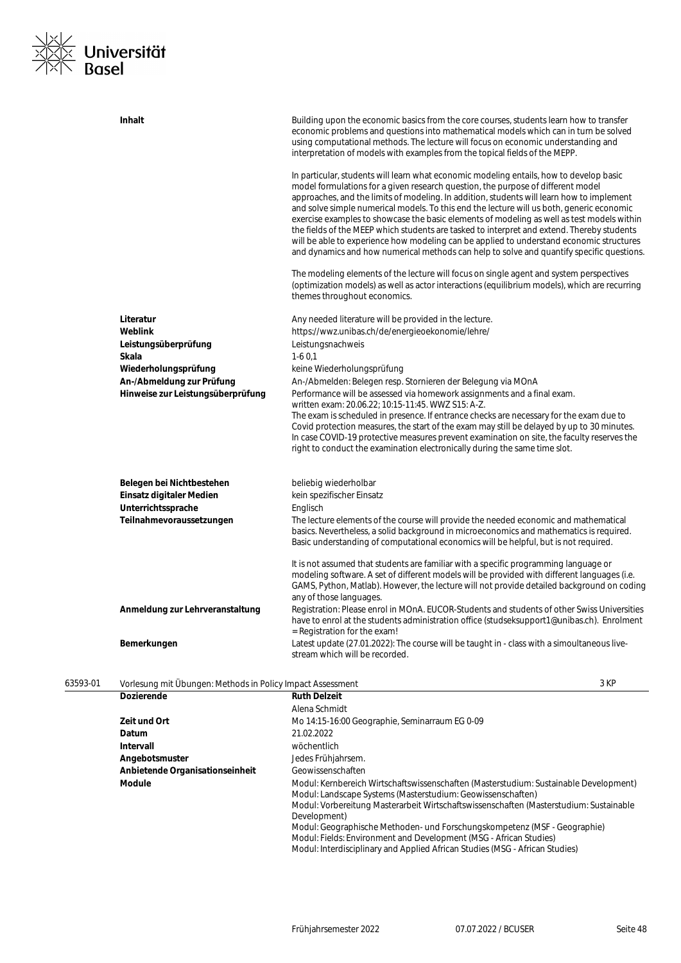

|          | <b>Inhalt</b>                                                            | Building upon the economic basics from the core courses, students learn how to transfer<br>economic problems and questions into mathematical models which can in turn be solved<br>using computational methods. The lecture will focus on economic understanding and<br>interpretation of models with examples from the topical fields of the MEPP.                                                                                                                                                                                                                                                                                                                                                                                                        |
|----------|--------------------------------------------------------------------------|------------------------------------------------------------------------------------------------------------------------------------------------------------------------------------------------------------------------------------------------------------------------------------------------------------------------------------------------------------------------------------------------------------------------------------------------------------------------------------------------------------------------------------------------------------------------------------------------------------------------------------------------------------------------------------------------------------------------------------------------------------|
|          |                                                                          | In particular, students will learn what economic modeling entails, how to develop basic<br>model formulations for a given research question, the purpose of different model<br>approaches, and the limits of modeling. In addition, students will learn how to implement<br>and solve simple numerical models. To this end the lecture will us both, generic economic<br>exercise examples to showcase the basic elements of modeling as well as test models within<br>the fields of the MEEP which students are tasked to interpret and extend. Thereby students<br>will be able to experience how modeling can be applied to understand economic structures<br>and dynamics and how numerical methods can help to solve and quantify specific questions. |
|          |                                                                          | The modeling elements of the lecture will focus on single agent and system perspectives<br>(optimization models) as well as actor interactions (equilibrium models), which are recurring<br>themes throughout economics.                                                                                                                                                                                                                                                                                                                                                                                                                                                                                                                                   |
|          | Literatur<br>Weblink<br>Leistungsüberprüfung                             | Any needed literature will be provided in the lecture.<br>https://wwz.unibas.ch/de/energieoekonomie/lehre/<br>Leistungsnachweis                                                                                                                                                                                                                                                                                                                                                                                                                                                                                                                                                                                                                            |
|          | Skala                                                                    | $1-60,1$                                                                                                                                                                                                                                                                                                                                                                                                                                                                                                                                                                                                                                                                                                                                                   |
|          | Wiederholungsprüfung                                                     | keine Wiederholungsprüfung                                                                                                                                                                                                                                                                                                                                                                                                                                                                                                                                                                                                                                                                                                                                 |
|          | An-/Abmeldung zur Prüfung                                                | An-/Abmelden: Belegen resp. Stornieren der Belegung via MOnA                                                                                                                                                                                                                                                                                                                                                                                                                                                                                                                                                                                                                                                                                               |
|          | Hinweise zur Leistungsüberprüfung                                        | Performance will be assessed via homework assignments and a final exam.<br>written exam: 20.06.22; 10:15-11:45. WWZ S15: A-Z.                                                                                                                                                                                                                                                                                                                                                                                                                                                                                                                                                                                                                              |
|          |                                                                          | The exam is scheduled in presence. If entrance checks are necessary for the exam due to                                                                                                                                                                                                                                                                                                                                                                                                                                                                                                                                                                                                                                                                    |
|          |                                                                          | Covid protection measures, the start of the exam may still be delayed by up to 30 minutes.                                                                                                                                                                                                                                                                                                                                                                                                                                                                                                                                                                                                                                                                 |
|          |                                                                          | In case COVID-19 protective measures prevent examination on site, the faculty reserves the                                                                                                                                                                                                                                                                                                                                                                                                                                                                                                                                                                                                                                                                 |
|          |                                                                          | right to conduct the examination electronically during the same time slot.                                                                                                                                                                                                                                                                                                                                                                                                                                                                                                                                                                                                                                                                                 |
|          | Belegen bei Nichtbestehen                                                | beliebig wiederholbar                                                                                                                                                                                                                                                                                                                                                                                                                                                                                                                                                                                                                                                                                                                                      |
|          | Einsatz digitaler Medien                                                 | kein spezifischer Einsatz                                                                                                                                                                                                                                                                                                                                                                                                                                                                                                                                                                                                                                                                                                                                  |
|          | Unterrichtssprache                                                       | Englisch                                                                                                                                                                                                                                                                                                                                                                                                                                                                                                                                                                                                                                                                                                                                                   |
|          | Teilnahmevoraussetzungen                                                 | The lecture elements of the course will provide the needed economic and mathematical                                                                                                                                                                                                                                                                                                                                                                                                                                                                                                                                                                                                                                                                       |
|          |                                                                          | basics. Nevertheless, a solid background in microeconomics and mathematics is required.                                                                                                                                                                                                                                                                                                                                                                                                                                                                                                                                                                                                                                                                    |
|          |                                                                          | Basic understanding of computational economics will be helpful, but is not required.                                                                                                                                                                                                                                                                                                                                                                                                                                                                                                                                                                                                                                                                       |
|          |                                                                          | It is not assumed that students are familiar with a specific programming language or                                                                                                                                                                                                                                                                                                                                                                                                                                                                                                                                                                                                                                                                       |
|          |                                                                          | modeling software. A set of different models will be provided with different languages (i.e.                                                                                                                                                                                                                                                                                                                                                                                                                                                                                                                                                                                                                                                               |
|          |                                                                          | GAMS, Python, Matlab). However, the lecture will not provide detailed background on coding                                                                                                                                                                                                                                                                                                                                                                                                                                                                                                                                                                                                                                                                 |
|          | Anmeldung zur Lehrveranstaltung                                          | any of those languages.<br>Registration: Please enrol in MOnA. EUCOR-Students and students of other Swiss Universities                                                                                                                                                                                                                                                                                                                                                                                                                                                                                                                                                                                                                                     |
|          |                                                                          | have to enrol at the students administration office (studseksupport1@unibas.ch). Enrolment                                                                                                                                                                                                                                                                                                                                                                                                                                                                                                                                                                                                                                                                 |
|          |                                                                          | = Registration for the exam!                                                                                                                                                                                                                                                                                                                                                                                                                                                                                                                                                                                                                                                                                                                               |
|          | Bemerkungen                                                              | Latest update (27.01.2022): The course will be taught in - class with a simoultaneous live-<br>stream which will be recorded.                                                                                                                                                                                                                                                                                                                                                                                                                                                                                                                                                                                                                              |
|          |                                                                          |                                                                                                                                                                                                                                                                                                                                                                                                                                                                                                                                                                                                                                                                                                                                                            |
| 63593-01 | Vorlesung mit Übungen: Methods in Policy Impact Assessment<br>Dozierende | 3 KP<br><b>Ruth Delzeit</b>                                                                                                                                                                                                                                                                                                                                                                                                                                                                                                                                                                                                                                                                                                                                |
|          |                                                                          | Alena Schmidt                                                                                                                                                                                                                                                                                                                                                                                                                                                                                                                                                                                                                                                                                                                                              |
|          | Zeit und Ort                                                             | Mo 14:15-16:00 Geographie, Seminarraum EG 0-09                                                                                                                                                                                                                                                                                                                                                                                                                                                                                                                                                                                                                                                                                                             |
|          | Datum                                                                    | 21.02.2022                                                                                                                                                                                                                                                                                                                                                                                                                                                                                                                                                                                                                                                                                                                                                 |
|          | Intervall                                                                | wöchentlich                                                                                                                                                                                                                                                                                                                                                                                                                                                                                                                                                                                                                                                                                                                                                |
|          | Angebotsmuster                                                           | Jedes Frühjahrsem.                                                                                                                                                                                                                                                                                                                                                                                                                                                                                                                                                                                                                                                                                                                                         |
|          | Anbietende Organisationseinheit                                          | Geowissenschaften                                                                                                                                                                                                                                                                                                                                                                                                                                                                                                                                                                                                                                                                                                                                          |
|          | <b>Module</b>                                                            | Modul: Kernbereich Wirtschaftswissenschaften (Masterstudium: Sustainable Development)                                                                                                                                                                                                                                                                                                                                                                                                                                                                                                                                                                                                                                                                      |
|          |                                                                          | Modul: Landscape Systems (Masterstudium: Geowissenschaften)<br>Modul: Vorbereitung Masterarbeit Wirtschaftswissenschaften (Masterstudium: Sustainable<br>Development)                                                                                                                                                                                                                                                                                                                                                                                                                                                                                                                                                                                      |

Modul: Geographische Methoden- und Forschungskompetenz (MSF - Geographie) Modul: Fields: Environment and Development (MSG - African Studies)

Modul: Interdisciplinary and Applied African Studies (MSG - African Studies)